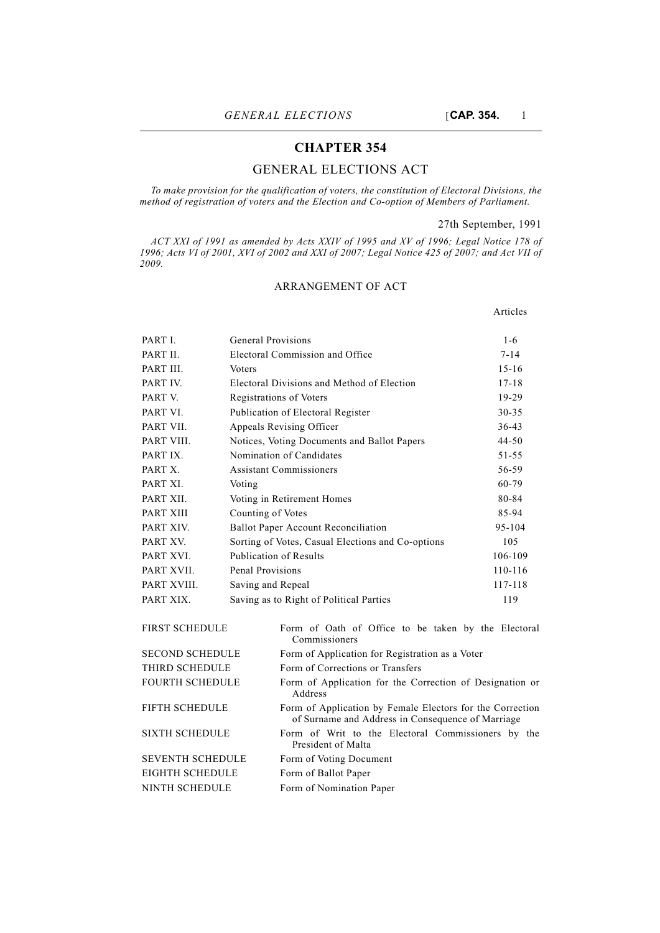## **CHAPTER 354**

# GENERAL ELECTIONS ACT

*To make provision for the qualification of voters, the constitution of Electoral Divisions, the method of registration of voters and the Election and Co-option of Members of Parliament.*

## 27th September, 1991

Articles

*ACT XXI of 1991 as amended by Acts XXIV of 1995 and XV of 1996; Legal Notice 178 of 1996; Acts VI of 2001, XVI of 2002 and XXI of 2007; Legal Notice 425 of 2007; and Act VII of 2009.*

## ARRANGEMENT OF ACT

PART I. General Provisions 1-6 PART II. Electoral Commission and Office 7-14 PART III. Voters 15-16 PART IV. Electoral Divisions and Method of Election 17-18 PART V. Registrations of Voters 19-29 PART VI. Publication of Electoral Register 30-35 PART VII. Appeals Revising Officer 36-43 PART VIII. Notices, Voting Documents and Ballot Papers 44-50 PART IX. Nomination of Candidates 51-55 PART X. Assistant Commissioners 56-59 PART XI. Voting 60-79 PART XII. Voting in Retirement Homes 80-84 PART XIII Counting of Votes 85-94 PART XIV. Ballot Paper Account Reconciliation 95-104 PART XV. Sorting of Votes, Casual Elections and Co-options 105 PART XVI. Publication of Results 106-109 PART XVII. Penal Provisions 110-116 PART XVIII. Saving and Repeal 117-118 PART XIX. Saving as to Right of Political Parties 119

| <b>FIRST SCHEDULE</b>   | Form of Oath of Office to be taken by the Electoral<br>Commissioners                                           |
|-------------------------|----------------------------------------------------------------------------------------------------------------|
| <b>SECOND SCHEDULE</b>  | Form of Application for Registration as a Voter                                                                |
| THIRD SCHEDULE          | Form of Corrections or Transfers                                                                               |
| <b>FOURTH SCHEDULE</b>  | Form of Application for the Correction of Designation or<br>Address                                            |
| <b>FIFTH SCHEDULE</b>   | Form of Application by Female Electors for the Correction<br>of Surname and Address in Consequence of Marriage |
| <b>SIXTH SCHEDULE</b>   | Form of Writ to the Electoral Commissioners by the<br>President of Malta                                       |
| <b>SEVENTH SCHEDULE</b> | Form of Voting Document                                                                                        |
| EIGHTH SCHEDULE         | Form of Ballot Paper                                                                                           |
| NINTH SCHEDULE          | Form of Nomination Paper                                                                                       |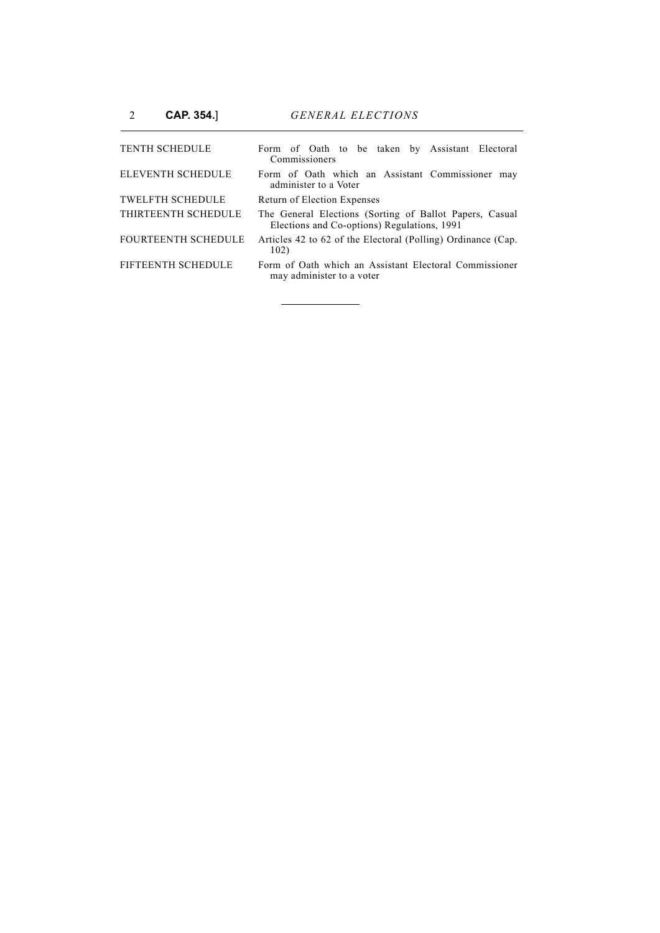| <b>TENTH SCHEDULE</b>      | Form of Oath to be taken by Assistant Electoral<br>Commissioners                                       |
|----------------------------|--------------------------------------------------------------------------------------------------------|
| <b>ELEVENTH SCHEDULE</b>   | Form of Oath which an Assistant Commissioner<br>may<br>administer to a Voter                           |
| <b>TWELFTH SCHEDULE</b>    | Return of Election Expenses                                                                            |
| THIRTEENTH SCHEDULE        | The General Elections (Sorting of Ballot Papers, Casual<br>Elections and Co-options) Regulations, 1991 |
| <b>FOURTEENTH SCHEDULE</b> | Articles 42 to 62 of the Electoral (Polling) Ordinance (Cap.<br>102)                                   |
| FIFTEENTH SCHEDULE         | Form of Oath which an Assistant Electoral Commissioner<br>may administer to a voter                    |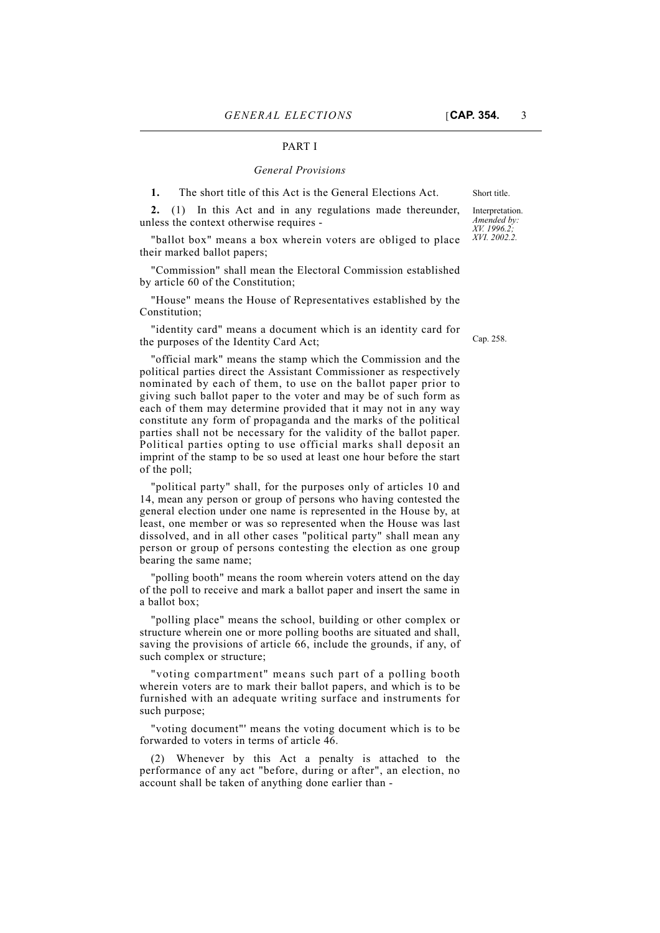#### PART I

#### *General Provisions*

**1.** The short title of this Act is the General Elections Act. Short title.

**2.** (1) In this Act and in any regulations made thereunder, unless the context otherwise requires -

"ballot box" means a box wherein voters are obliged to place their marked ballot papers;

"Commission" shall mean the Electoral Commission established by article 60 of the Constitution;

"House" means the House of Representatives established by the Constitution;

"identity card" means a document which is an identity card for the purposes of the Identity Card Act;

"official mark" means the stamp which the Commission and the political parties direct the Assistant Commissioner as respectively nominated by each of them, to use on the ballot paper prior to giving such ballot paper to the voter and may be of such form as each of them may determine provided that it may not in any way constitute any form of propaganda and the marks of the political parties shall not be necessary for the validity of the ballot paper. Political parties opting to use official marks shall deposit an imprint of the stamp to be so used at least one hour before the start of the poll;

"political party" shall, for the purposes only of articles 10 and 14, mean any person or group of persons who having contested the general election under one name is represented in the House by, at least, one member or was so represented when the House was last dissolved, and in all other cases "political party" shall mean any person or group of persons contesting the election as one group bearing the same name;

"polling booth" means the room wherein voters attend on the day of the poll to receive and mark a ballot paper and insert the same in a ballot box;

"polling place" means the school, building or other complex or structure wherein one or more polling booths are situated and shall, saving the provisions of article 66, include the grounds, if any, of such complex or structure;

"voting compartment" means such part of a polling booth wherein voters are to mark their ballot papers, and which is to be furnished with an adequate writing surface and instruments for such purpose;

"voting document"' means the voting document which is to be forwarded to voters in terms of article 46.

(2) Whenever by this Act a penalty is attached to the performance of any act "before, during or after", an election, no account shall be taken of anything done earlier than -

Interpretation. *Amended by: XV. 1996.2; XVI. 2002.2.*

Cap. 258.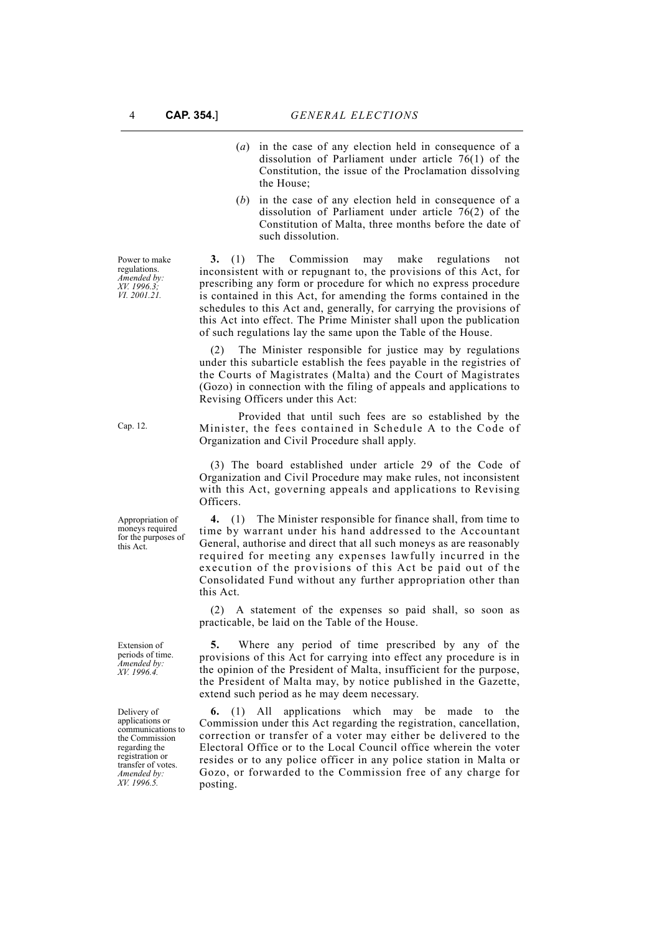- (*a*) in the case of any election held in consequence of a dissolution of Parliament under article 76(1) of the Constitution, the issue of the Proclamation dissolving the House;
- (*b*) in the case of any election held in consequence of a dissolution of Parliament under article 76(2) of the Constitution of Malta, three months before the date of such dissolution.

**3.** (1) The Commission may make regulations not inconsistent with or repugnant to, the provisions of this Act, for prescribing any form or procedure for which no express procedure is contained in this Act, for amending the forms contained in the schedules to this Act and, generally, for carrying the provisions of this Act into effect. The Prime Minister shall upon the publication of such regulations lay the same upon the Table of the House.

(2) The Minister responsible for justice may by regulations under this subarticle establish the fees payable in the registries of the Courts of Magistrates (Malta) and the Court of Magistrates (Gozo) in connection with the filing of appeals and applications to Revising Officers under this Act:

Provided that until such fees are so established by the Minister, the fees contained in Schedule A to the Code of Organization and Civil Procedure shall apply.

(3) The board established under article 29 of the Code of Organization and Civil Procedure may make rules, not inconsistent with this Act, governing appeals and applications to Revising Officers.

**4.** (1) The Minister responsible for finance shall, from time to time by warrant under his hand addressed to the Accountant General, authorise and direct that all such moneys as are reasonably required for meeting any expenses lawfully incurred in the execution of the provisions of this Act be paid out of the Consolidated Fund without any further appropriation other than this Act.

(2) A statement of the expenses so paid shall, so soon as practicable, be laid on the Table of the House.

**5.** Where any period of time prescribed by any of the provisions of this Act for carrying into effect any procedure is in the opinion of the President of Malta, insufficient for the purpose, the President of Malta may, by notice published in the Gazette, extend such period as he may deem necessary.

**6.** (1) All applications which may be made to the Commission under this Act regarding the registration, cancellation, correction or transfer of a voter may either be delivered to the Electoral Office or to the Local Council office wherein the voter resides or to any police officer in any police station in Malta or Gozo, or forwarded to the Commission free of any charge for posting.

Cap. 12.

Power to make regulations. *Amended by: XV. 1996.3; VI. 2001.21.*

Appropriation of moneys required for the purposes of this Act.

Extension of periods of time. *Amended by: XV. 1996.4.*

Delivery of applications or communications to the Commission regarding the registration or transfer of votes. *Amended by: XV. 1996.5.*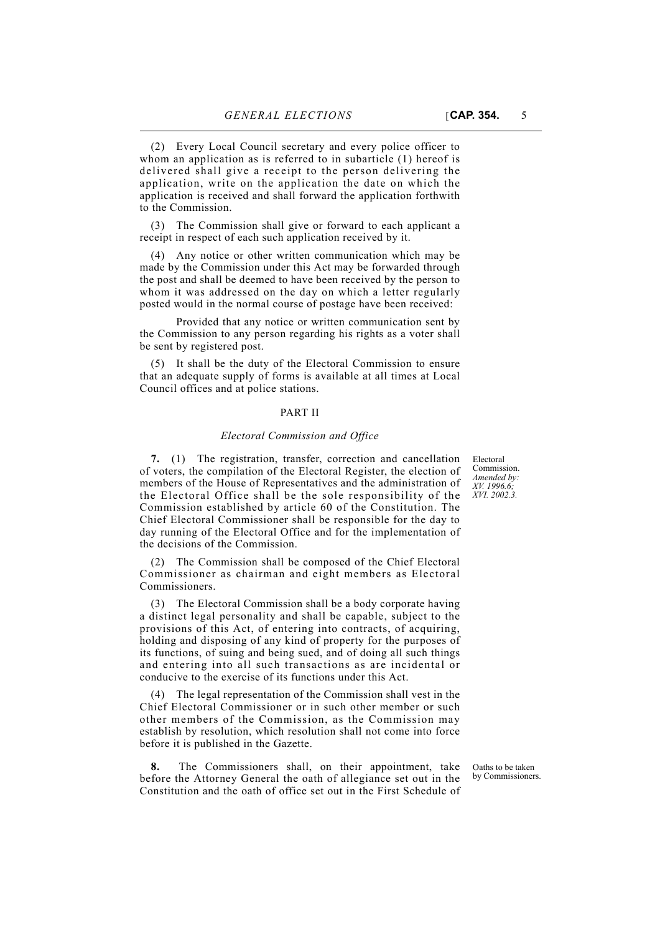(2) Every Local Council secretary and every police officer to whom an application as is referred to in subarticle (1) hereof is delivered shall give a receipt to the person delivering the application, write on the application the date on which the application is received and shall forward the application forthwith to the Commission.

(3) The Commission shall give or forward to each applicant a receipt in respect of each such application received by it.

(4) Any notice or other written communication which may be made by the Commission under this Act may be forwarded through the post and shall be deemed to have been received by the person to whom it was addressed on the day on which a letter regularly posted would in the normal course of postage have been received:

Provided that any notice or written communication sent by the Commission to any person regarding his rights as a voter shall be sent by registered post.

(5) It shall be the duty of the Electoral Commission to ensure that an adequate supply of forms is available at all times at Local Council offices and at police stations.

### PART II

#### *Electoral Commission and Office*

**7.** (1) The registration, transfer, correction and cancellation of voters, the compilation of the Electoral Register, the election of members of the House of Representatives and the administration of the Electoral Office shall be the sole responsibility of the Commission established by article 60 of the Constitution. The Chief Electoral Commissioner shall be responsible for the day to day running of the Electoral Office and for the implementation of the decisions of the Commission.

(2) The Commission shall be composed of the Chief Electoral Commissioner as chairman and eight members as Electoral Commissioners.

(3) The Electoral Commission shall be a body corporate having a distinct legal personality and shall be capable, subject to the provisions of this Act, of entering into contracts, of acquiring, holding and disposing of any kind of property for the purposes of its functions, of suing and being sued, and of doing all such things and entering into all such transactions as are incidental or conducive to the exercise of its functions under this Act.

(4) The legal representation of the Commission shall vest in the Chief Electoral Commissioner or in such other member or such other members of the Commission, as the Commission may establish by resolution, which resolution shall not come into force before it is published in the Gazette.

**8.** The Commissioners shall, on their appointment, take before the Attorney General the oath of allegiance set out in the Constitution and the oath of office set out in the First Schedule of

Electoral **Commission** *Amended by: XV. 1996.6; XVI. 2002.3.*

Oaths to be taken by Commissioners.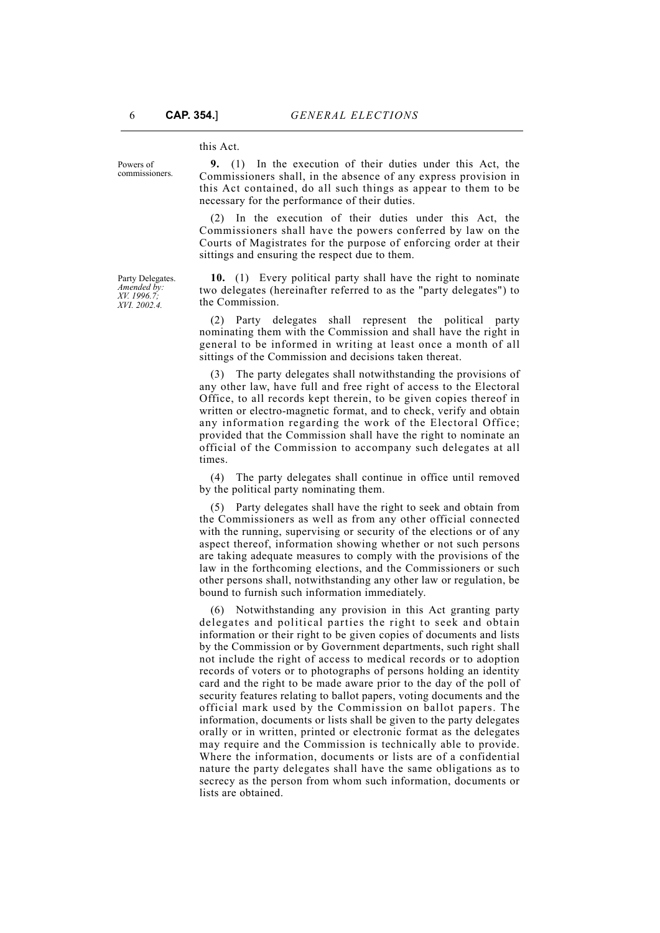this Act.

Powers of commissioners.

Party Delegates. *Amended by: XV. 1996.7; XVI. 2002.4.*

**9.** (1) In the execution of their duties under this Act, the Commissioners shall, in the absence of any express provision in this Act contained, do all such things as appear to them to be necessary for the performance of their duties.

(2) In the execution of their duties under this Act, the Commissioners shall have the powers conferred by law on the Courts of Magistrates for the purpose of enforcing order at their sittings and ensuring the respect due to them.

**10.** (1) Every political party shall have the right to nominate two delegates (hereinafter referred to as the "party delegates") to the Commission.

(2) Party delegates shall represent the political party nominating them with the Commission and shall have the right in general to be informed in writing at least once a month of all sittings of the Commission and decisions taken thereat.

(3) The party delegates shall notwithstanding the provisions of any other law, have full and free right of access to the Electoral Office, to all records kept therein, to be given copies thereof in written or electro-magnetic format, and to check, verify and obtain any information regarding the work of the Electoral Office; provided that the Commission shall have the right to nominate an official of the Commission to accompany such delegates at all times.

(4) The party delegates shall continue in office until removed by the political party nominating them.

(5) Party delegates shall have the right to seek and obtain from the Commissioners as well as from any other official connected with the running, supervising or security of the elections or of any aspect thereof, information showing whether or not such persons are taking adequate measures to comply with the provisions of the law in the forthcoming elections, and the Commissioners or such other persons shall, notwithstanding any other law or regulation, be bound to furnish such information immediately.

(6) Notwithstanding any provision in this Act granting party delegates and political parties the right to seek and obtain information or their right to be given copies of documents and lists by the Commission or by Government departments, such right shall not include the right of access to medical records or to adoption records of voters or to photographs of persons holding an identity card and the right to be made aware prior to the day of the poll of security features relating to ballot papers, voting documents and the official mark used by the Commission on ballot papers. The information, documents or lists shall be given to the party delegates orally or in written, printed or electronic format as the delegates may require and the Commission is technically able to provide. Where the information, documents or lists are of a confidential nature the party delegates shall have the same obligations as to secrecy as the person from whom such information, documents or lists are obtained.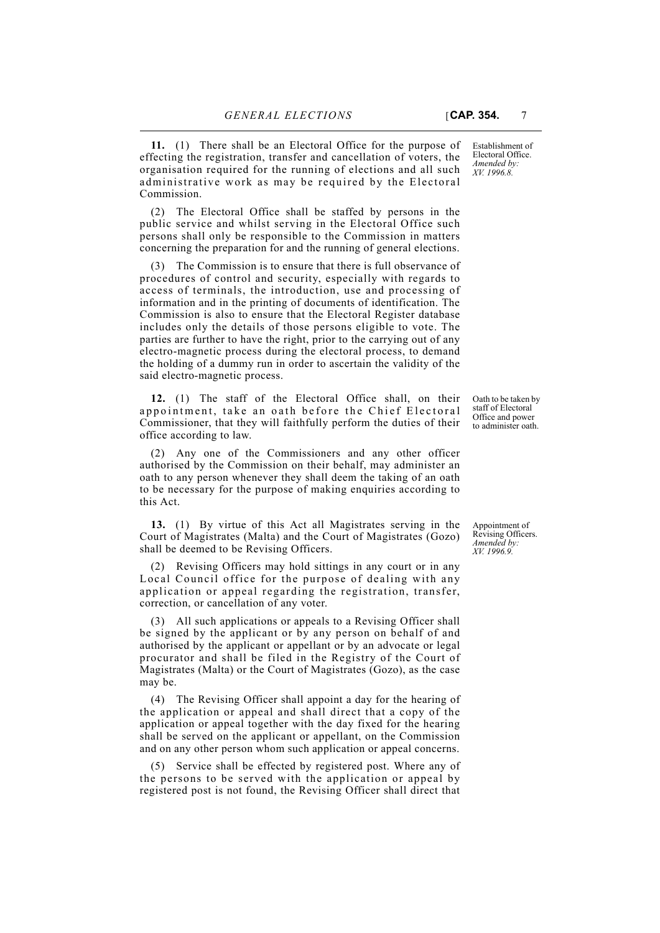**11.** (1) There shall be an Electoral Office for the purpose of effecting the registration, transfer and cancellation of voters, the organisation required for the running of elections and all such administrative work as may be required by the Electoral Commission.

(2) The Electoral Office shall be staffed by persons in the public service and whilst serving in the Electoral Office such persons shall only be responsible to the Commission in matters concerning the preparation for and the running of general elections.

(3) The Commission is to ensure that there is full observance of procedures of control and security, especially with regards to access of terminals, the introduction, use and processing of information and in the printing of documents of identification. The Commission is also to ensure that the Electoral Register database includes only the details of those persons eligible to vote. The parties are further to have the right, prior to the carrying out of any electro-magnetic process during the electoral process, to demand the holding of a dummy run in order to ascertain the validity of the said electro-magnetic process.

**12.** (1) The staff of the Electoral Office shall, on their appointment, take an oath before the Chief Electoral Commissioner, that they will faithfully perform the duties of their office according to law.

(2) Any one of the Commissioners and any other officer authorised by the Commission on their behalf, may administer an oath to any person whenever they shall deem the taking of an oath to be necessary for the purpose of making enquiries according to this Act.

**13.** (1) By virtue of this Act all Magistrates serving in the Court of Magistrates (Malta) and the Court of Magistrates (Gozo) shall be deemed to be Revising Officers.

(2) Revising Officers may hold sittings in any court or in any Local Council office for the purpose of dealing with any application or appeal regarding the registration, transfer, correction, or cancellation of any voter.

(3) All such applications or appeals to a Revising Officer shall be signed by the applicant or by any person on behalf of and authorised by the applicant or appellant or by an advocate or legal procurator and shall be filed in the Registry of the Court of Magistrates (Malta) or the Court of Magistrates (Gozo), as the case may be.

(4) The Revising Officer shall appoint a day for the hearing of the application or appeal and shall direct that a copy of the application or appeal together with the day fixed for the hearing shall be served on the applicant or appellant, on the Commission and on any other person whom such application or appeal concerns.

(5) Service shall be effected by registered post. Where any of the persons to be served with the application or appeal by registered post is not found, the Revising Officer shall direct that

Establishment of Electoral Office. *Amended by: XV. 1996.8.*

Oath to be taken by staff of Electoral Office and power to administer oath.

Appointment of Revising Officers. *Amended by: XV. 1996.9.*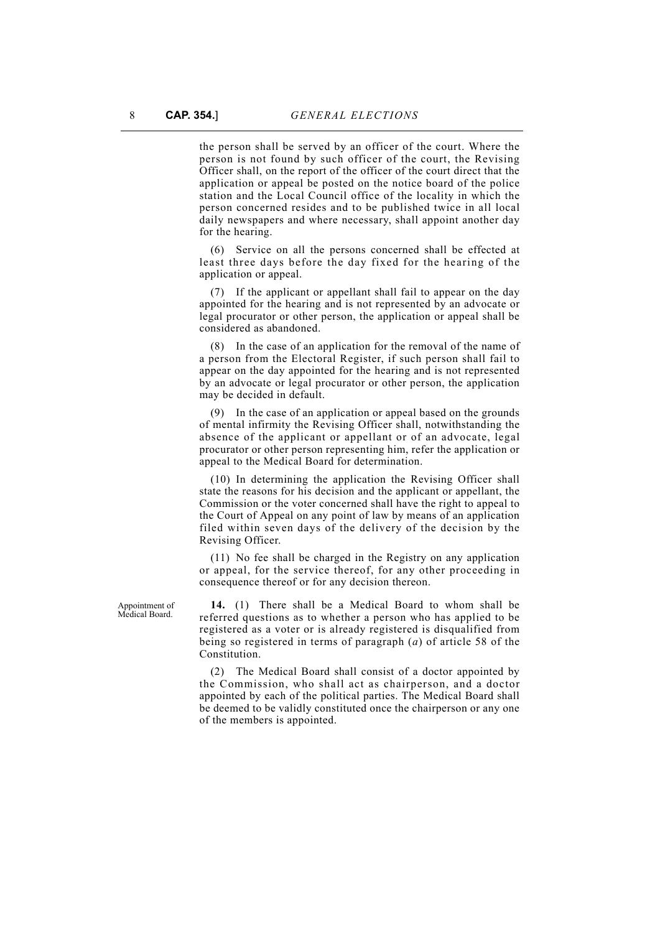the person shall be served by an officer of the court. Where the person is not found by such officer of the court, the Revising Officer shall, on the report of the officer of the court direct that the application or appeal be posted on the notice board of the police station and the Local Council office of the locality in which the person concerned resides and to be published twice in all local daily newspapers and where necessary, shall appoint another day for the hearing.

(6) Service on all the persons concerned shall be effected at least three days before the day fixed for the hearing of the application or appeal.

(7) If the applicant or appellant shall fail to appear on the day appointed for the hearing and is not represented by an advocate or legal procurator or other person, the application or appeal shall be considered as abandoned.

(8) In the case of an application for the removal of the name of a person from the Electoral Register, if such person shall fail to appear on the day appointed for the hearing and is not represented by an advocate or legal procurator or other person, the application may be decided in default.

(9) In the case of an application or appeal based on the grounds of mental infirmity the Revising Officer shall, notwithstanding the absence of the applicant or appellant or of an advocate, legal procurator or other person representing him, refer the application or appeal to the Medical Board for determination.

(10) In determining the application the Revising Officer shall state the reasons for his decision and the applicant or appellant, the Commission or the voter concerned shall have the right to appeal to the Court of Appeal on any point of law by means of an application filed within seven days of the delivery of the decision by the Revising Officer.

(11) No fee shall be charged in the Registry on any application or appeal, for the service thereof, for any other proceeding in consequence thereof or for any decision thereon.

**14.** (1) There shall be a Medical Board to whom shall be referred questions as to whether a person who has applied to be registered as a voter or is already registered is disqualified from being so registered in terms of paragraph (*a*) of article 58 of the Constitution.

(2) The Medical Board shall consist of a doctor appointed by the Commission, who shall act as chairperson, and a doctor appointed by each of the political parties. The Medical Board shall be deemed to be validly constituted once the chairperson or any one of the members is appointed.

Appointment of Medical Board.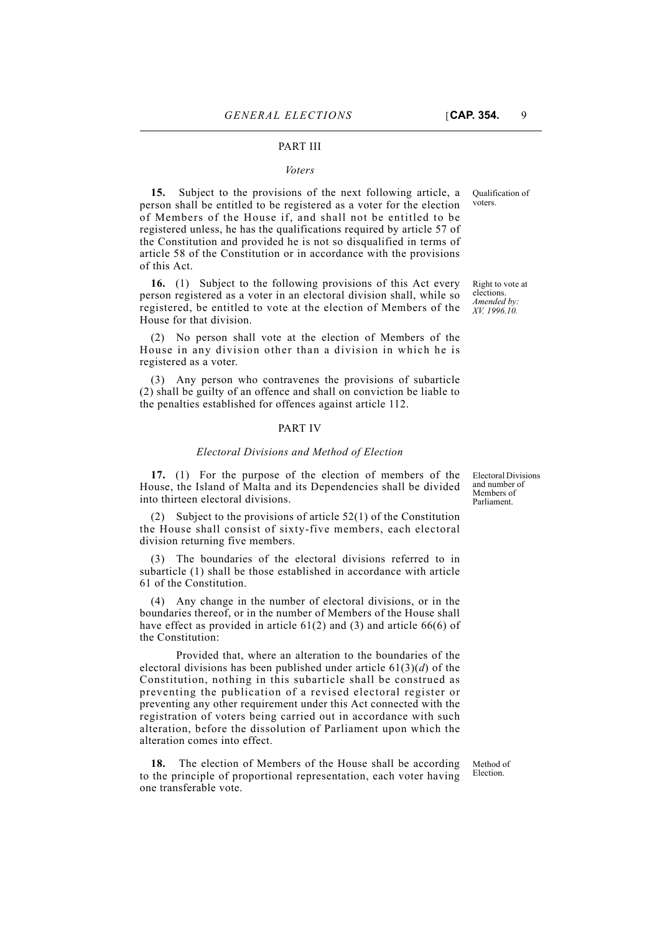#### PART III

#### *Voters*

**15.** Subject to the provisions of the next following article, a person shall be entitled to be registered as a voter for the election of Members of the House if, and shall not be entitled to be registered unless, he has the qualifications required by article 57 of the Constitution and provided he is not so disqualified in terms of article 58 of the Constitution or in accordance with the provisions of this Act.

**16.** (1) Subject to the following provisions of this Act every person registered as a voter in an electoral division shall, while so registered, be entitled to vote at the election of Members of the House for that division.

(2) No person shall vote at the election of Members of the House in any division other than a division in which he is registered as a voter.

(3) Any person who contravenes the provisions of subarticle (2) shall be guilty of an offence and shall on conviction be liable to the penalties established for offences against article 112.

### PART IV

#### *Electoral Divisions and Method of Election*

**17.** (1) For the purpose of the election of members of the House, the Island of Malta and its Dependencies shall be divided into thirteen electoral divisions.

(2) Subject to the provisions of article 52(1) of the Constitution the House shall consist of sixty-five members, each electoral division returning five members.

The boundaries of the electoral divisions referred to in subarticle (1) shall be those established in accordance with article 61 of the Constitution.

(4) Any change in the number of electoral divisions, or in the boundaries thereof, or in the number of Members of the House shall have effect as provided in article  $61(2)$  and  $(3)$  and article  $66(6)$  of the Constitution:

Provided that, where an alteration to the boundaries of the electoral divisions has been published under article 61(3)(*d*) of the Constitution, nothing in this subarticle shall be construed as preventing the publication of a revised electoral register or preventing any other requirement under this Act connected with the registration of voters being carried out in accordance with such alteration, before the dissolution of Parliament upon which the alteration comes into effect.

**18.** The election of Members of the House shall be according to the principle of proportional representation, each voter having one transferable vote.

Method of Election.

Electoral Divisions and number of Members of Parliament.

Qualification of voters.

Right to vote at elections. *Amended by: XV. 1996.10.*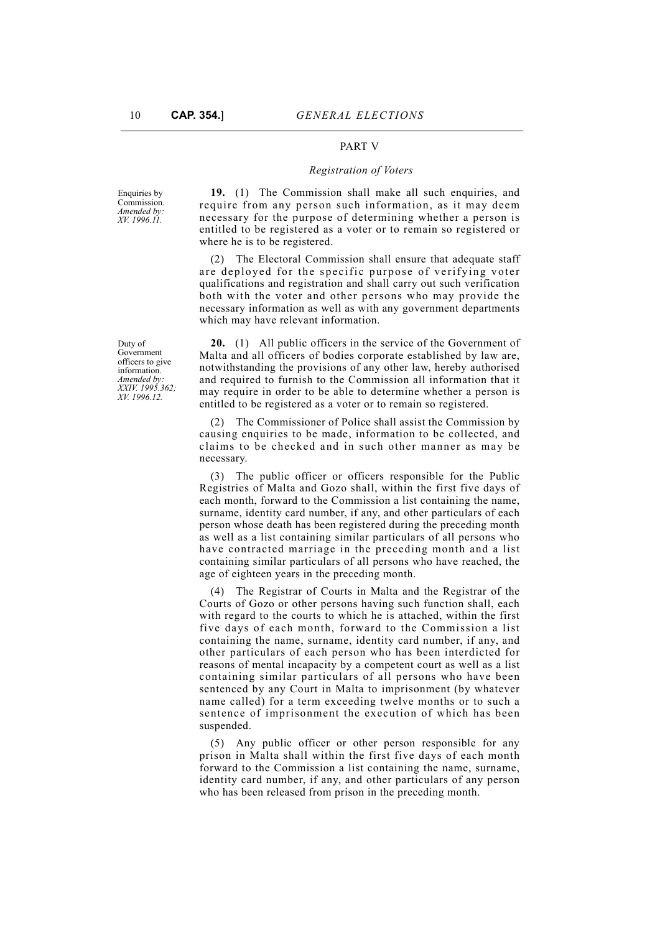## PART V

## *Registration of Voters*

Enquiries by Commission. *Amended by: XV. 1996.11.*

**19.** (1) The Commission shall make all such enquiries, and require from any person such information, as it may deem necessary for the purpose of determining whether a person is entitled to be registered as a voter or to remain so registered or where he is to be registered.

(2) The Electoral Commission shall ensure that adequate staff are deployed for the specific purpose of verifying voter qualifications and registration and shall carry out such verification both with the voter and other persons who may provide the necessary information as well as with any government departments which may have relevant information.

**20.** (1) All public officers in the service of the Government of Malta and all officers of bodies corporate established by law are, notwithstanding the provisions of any other law, hereby authorised and required to furnish to the Commission all information that it may require in order to be able to determine whether a person is entitled to be registered as a voter or to remain so registered.

(2) The Commissioner of Police shall assist the Commission by causing enquiries to be made, information to be collected, and claims to be checked and in such other manner as may be necessary.

(3) The public officer or officers responsible for the Public Registries of Malta and Gozo shall, within the first five days of each month, forward to the Commission a list containing the name, surname, identity card number, if any, and other particulars of each person whose death has been registered during the preceding month as well as a list containing similar particulars of all persons who have contracted marriage in the preceding month and a list containing similar particulars of all persons who have reached, the age of eighteen years in the preceding month.

(4) The Registrar of Courts in Malta and the Registrar of the Courts of Gozo or other persons having such function shall, each with regard to the courts to which he is attached, within the first five days of each month, forward to the Commission a list containing the name, surname, identity card number, if any, and other particulars of each person who has been interdicted for reasons of mental incapacity by a competent court as well as a list containing similar particulars of all persons who have been sentenced by any Court in Malta to imprisonment (by whatever name called) for a term exceeding twelve months or to such a sentence of imprisonment the execution of which has been suspended.

(5) Any public officer or other person responsible for any prison in Malta shall within the first five days of each month forward to the Commission a list containing the name, surname, identity card number, if any, and other particulars of any person who has been released from prison in the preceding month.

Duty of Government officers to give information. *Amended by: XXIV. 1995.362; XV. 1996.12.*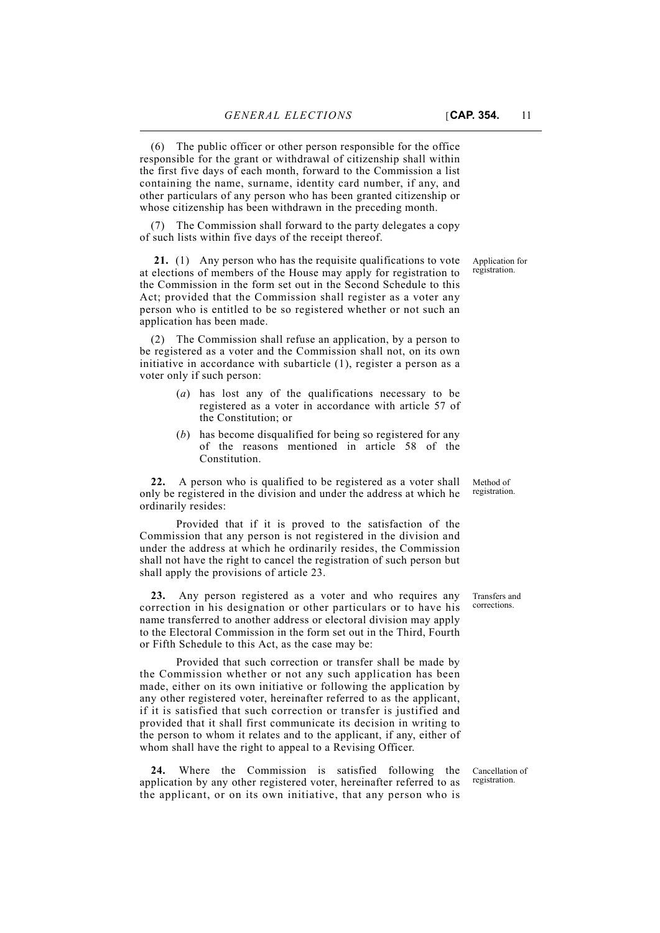(6) The public officer or other person responsible for the office responsible for the grant or withdrawal of citizenship shall within the first five days of each month, forward to the Commission a list containing the name, surname, identity card number, if any, and other particulars of any person who has been granted citizenship or whose citizenship has been withdrawn in the preceding month.

(7) The Commission shall forward to the party delegates a copy of such lists within five days of the receipt thereof.

 **21.** (1) Any person who has the requisite qualifications to vote at elections of members of the House may apply for registration to the Commission in the form set out in the Second Schedule to this Act; provided that the Commission shall register as a voter any person who is entitled to be so registered whether or not such an application has been made.

(2) The Commission shall refuse an application, by a person to be registered as a voter and the Commission shall not, on its own initiative in accordance with subarticle (1), register a person as a voter only if such person:

- (*a*) has lost any of the qualifications necessary to be registered as a voter in accordance with article 57 of the Constitution; or
- (*b*) has become disqualified for being so registered for any of the reasons mentioned in article 58 of the Constitution.

**22.** A person who is qualified to be registered as a voter shall only be registered in the division and under the address at which he ordinarily resides:

Provided that if it is proved to the satisfaction of the Commission that any person is not registered in the division and under the address at which he ordinarily resides, the Commission shall not have the right to cancel the registration of such person but shall apply the provisions of article 23.

**23.** Any person registered as a voter and who requires any correction in his designation or other particulars or to have his name transferred to another address or electoral division may apply to the Electoral Commission in the form set out in the Third, Fourth or Fifth Schedule to this Act, as the case may be:

Provided that such correction or transfer shall be made by the Commission whether or not any such application has been made, either on its own initiative or following the application by any other registered voter, hereinafter referred to as the applicant, if it is satisfied that such correction or transfer is justified and provided that it shall first communicate its decision in writing to the person to whom it relates and to the applicant, if any, either of whom shall have the right to appeal to a Revising Officer.

**24.** Where the Commission is satisfied following the application by any other registered voter, hereinafter referred to as the applicant, or on its own initiative, that any person who is

Transfers and corrections.

Application for registration.

Method of registration.

Cancellation of registration.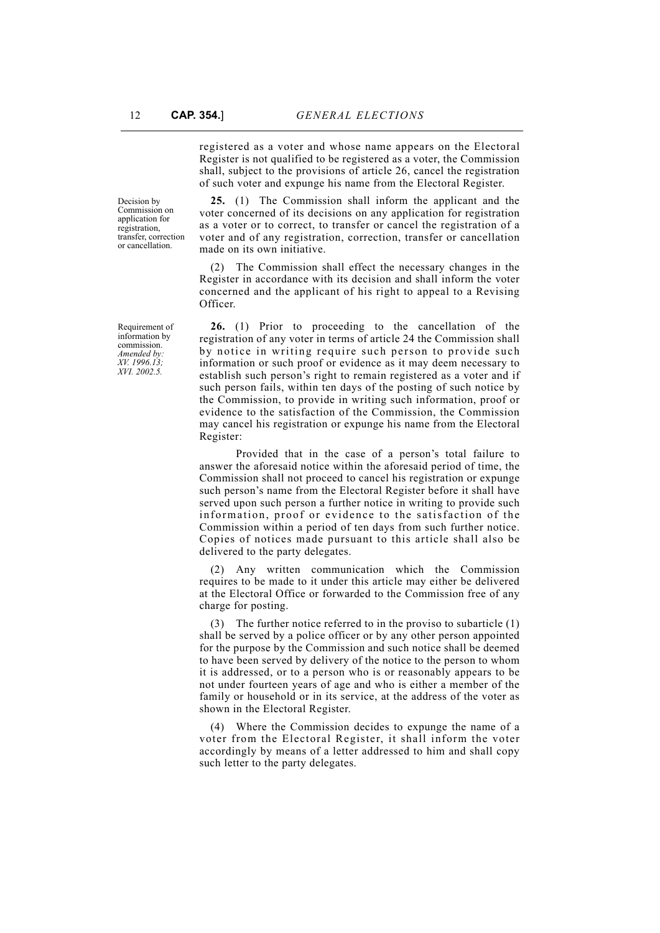registered as a voter and whose name appears on the Electoral Register is not qualified to be registered as a voter, the Commission shall, subject to the provisions of article 26, cancel the registration of such voter and expunge his name from the Electoral Register.

**25.** (1) The Commission shall inform the applicant and the voter concerned of its decisions on any application for registration as a voter or to correct, to transfer or cancel the registration of a voter and of any registration, correction, transfer or cancellation made on its own initiative.

(2) The Commission shall effect the necessary changes in the Register in accordance with its decision and shall inform the voter concerned and the applicant of his right to appeal to a Revising Officer.

**26.** (1) Prior to proceeding to the cancellation of the registration of any voter in terms of article 24 the Commission shall by notice in writing require such person to provide such information or such proof or evidence as it may deem necessary to establish such person's right to remain registered as a voter and if such person fails, within ten days of the posting of such notice by the Commission, to provide in writing such information, proof or evidence to the satisfaction of the Commission, the Commission may cancel his registration or expunge his name from the Electoral Register:

Provided that in the case of a person's total failure to answer the aforesaid notice within the aforesaid period of time, the Commission shall not proceed to cancel his registration or expunge such person's name from the Electoral Register before it shall have served upon such person a further notice in writing to provide such information, proof or evidence to the satisfaction of the Commission within a period of ten days from such further notice. Copies of notices made pursuant to this article shall also be delivered to the party delegates.

(2) Any written communication which the Commission requires to be made to it under this article may either be delivered at the Electoral Office or forwarded to the Commission free of any charge for posting.

(3) The further notice referred to in the proviso to subarticle (1) shall be served by a police officer or by any other person appointed for the purpose by the Commission and such notice shall be deemed to have been served by delivery of the notice to the person to whom it is addressed, or to a person who is or reasonably appears to be not under fourteen years of age and who is either a member of the family or household or in its service, at the address of the voter as shown in the Electoral Register.

(4) Where the Commission decides to expunge the name of a voter from the Electoral Register, it shall inform the voter accordingly by means of a letter addressed to him and shall copy such letter to the party delegates.

Decision by Commission on application for registration, transfer, correction or cancellation.

Requirement of information by commission. *Amended by: XV. 1996.13; XVI. 2002.5.*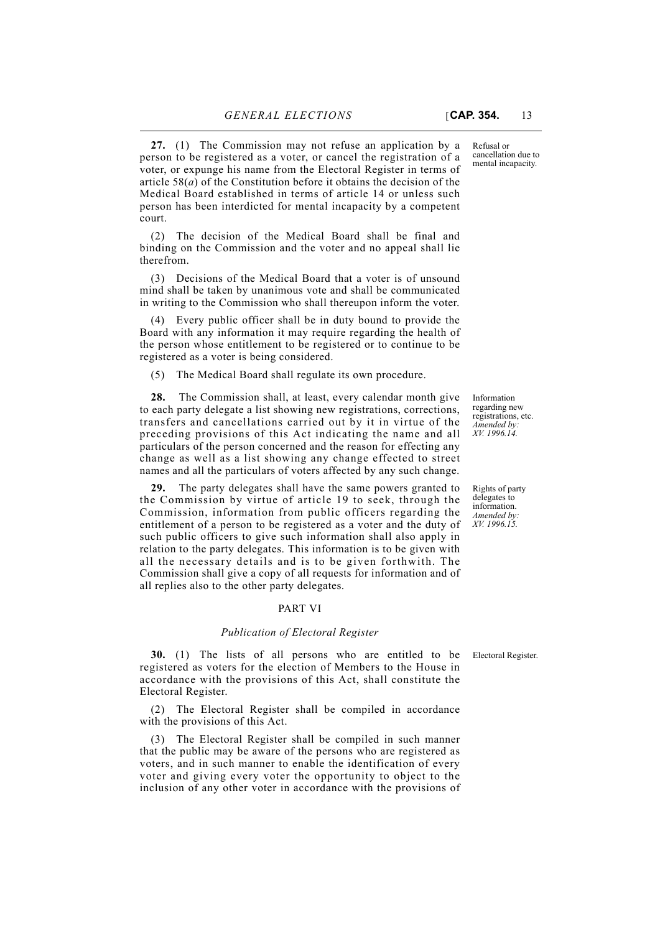Refusal or cancellation due to mental incapacity.

**27.** (1) The Commission may not refuse an application by a person to be registered as a voter, or cancel the registration of a voter, or expunge his name from the Electoral Register in terms of article 58(*a*) of the Constitution before it obtains the decision of the Medical Board established in terms of article 14 or unless such person has been interdicted for mental incapacity by a competent court.

(2) The decision of the Medical Board shall be final and binding on the Commission and the voter and no appeal shall lie therefrom.

(3) Decisions of the Medical Board that a voter is of unsound mind shall be taken by unanimous vote and shall be communicated in writing to the Commission who shall thereupon inform the voter.

(4) Every public officer shall be in duty bound to provide the Board with any information it may require regarding the health of the person whose entitlement to be registered or to continue to be registered as a voter is being considered.

(5) The Medical Board shall regulate its own procedure.

**28.** The Commission shall, at least, every calendar month give to each party delegate a list showing new registrations, corrections, transfers and cancellations carried out by it in virtue of the preceding provisions of this Act indicating the name and all particulars of the person concerned and the reason for effecting any change as well as a list showing any change effected to street names and all the particulars of voters affected by any such change.

**29.** The party delegates shall have the same powers granted to the Commission by virtue of article 19 to seek, through the Commission, information from public officers regarding the entitlement of a person to be registered as a voter and the duty of such public officers to give such information shall also apply in relation to the party delegates. This information is to be given with all the necessary details and is to be given forthwith. The Commission shall give a copy of all requests for information and of all replies also to the other party delegates.

#### PART VI

#### *Publication of Electoral Register*

**30.** (1) The lists of all persons who are entitled to be Electoral Register. registered as voters for the election of Members to the House in accordance with the provisions of this Act, shall constitute the Electoral Register.

(2) The Electoral Register shall be compiled in accordance with the provisions of this Act.

(3) The Electoral Register shall be compiled in such manner that the public may be aware of the persons who are registered as voters, and in such manner to enable the identification of every voter and giving every voter the opportunity to object to the inclusion of any other voter in accordance with the provisions of

Information regarding new registrations, etc. *Amended by:*

*XV. 1996.14.*

Rights of party delegates to information. *Amended by: XV. 1996.15.*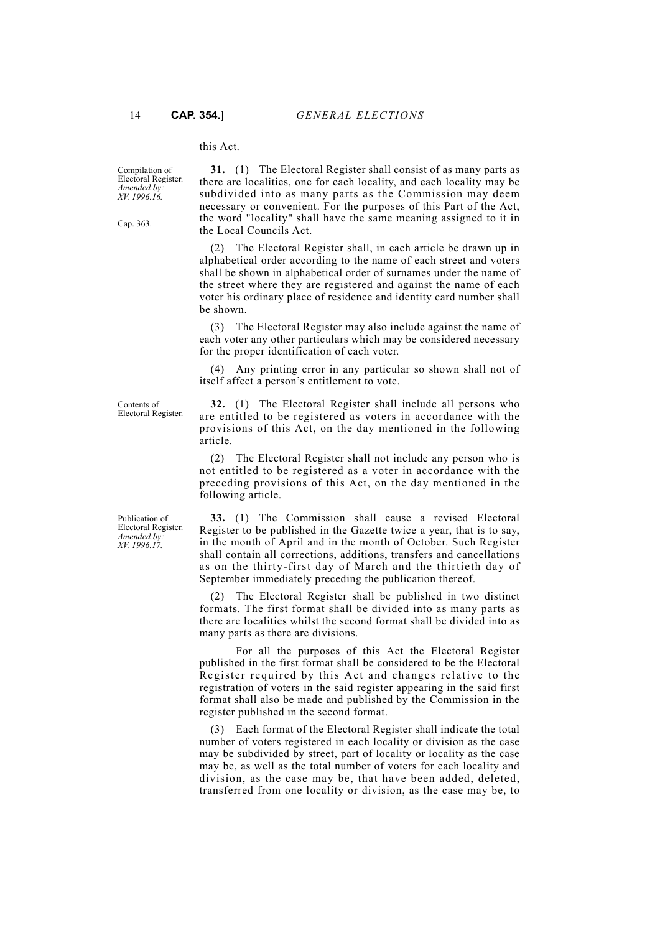#### this Act.

Compilation of Electoral Register. *Amended by: XV. 1996.16.*

Cap. 363.

**31.** (1) The Electoral Register shall consist of as many parts as there are localities, one for each locality, and each locality may be subdivided into as many parts as the Commission may deem necessary or convenient. For the purposes of this Part of the Act, the word "locality" shall have the same meaning assigned to it in the Local Councils Act.

(2) The Electoral Register shall, in each article be drawn up in alphabetical order according to the name of each street and voters shall be shown in alphabetical order of surnames under the name of the street where they are registered and against the name of each voter his ordinary place of residence and identity card number shall be shown.

(3) The Electoral Register may also include against the name of each voter any other particulars which may be considered necessary for the proper identification of each voter.

Any printing error in any particular so shown shall not of itself affect a person's entitlement to vote.

Contents of Electoral Register.

**32.** (1) The Electoral Register shall include all persons who are entitled to be registered as voters in accordance with the provisions of this Act, on the day mentioned in the following article.

(2) The Electoral Register shall not include any person who is not entitled to be registered as a voter in accordance with the preceding provisions of this Act, on the day mentioned in the following article.

**33.** (1) The Commission shall cause a revised Electoral Register to be published in the Gazette twice a year, that is to say, in the month of April and in the month of October. Such Register shall contain all corrections, additions, transfers and cancellations as on the thirty-first day of March and the thirtieth day of September immediately preceding the publication thereof.

(2) The Electoral Register shall be published in two distinct formats. The first format shall be divided into as many parts as there are localities whilst the second format shall be divided into as many parts as there are divisions.

For all the purposes of this Act the Electoral Register published in the first format shall be considered to be the Electoral Register required by this Act and changes relative to the registration of voters in the said register appearing in the said first format shall also be made and published by the Commission in the register published in the second format.

(3) Each format of the Electoral Register shall indicate the total number of voters registered in each locality or division as the case may be subdivided by street, part of locality or locality as the case may be, as well as the total number of voters for each locality and division, as the case may be, that have been added, deleted, transferred from one locality or division, as the case may be, to

Publication of Electoral Register. *Amended by: XV. 1996.17.*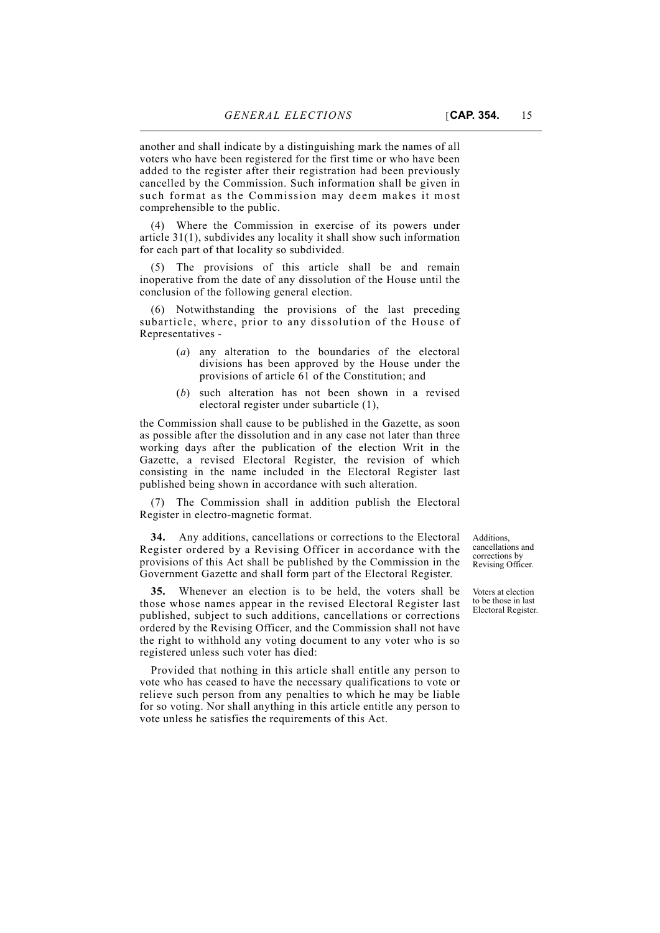added to the register after their registration had been previously cancelled by the Commission. Such information shall be given in such format as the Commission may deem makes it most comprehensible to the public.

(4) Where the Commission in exercise of its powers under article 31(1), subdivides any locality it shall show such information for each part of that locality so subdivided.

(5) The provisions of this article shall be and remain inoperative from the date of any dissolution of the House until the conclusion of the following general election.

(6) Notwithstanding the provisions of the last preceding subarticle, where, prior to any dissolution of the House of Representatives -

- (*a*) any alteration to the boundaries of the electoral divisions has been approved by the House under the provisions of article 61 of the Constitution; and
- (*b*) such alteration has not been shown in a revised electoral register under subarticle (1),

the Commission shall cause to be published in the Gazette, as soon as possible after the dissolution and in any case not later than three working days after the publication of the election Writ in the Gazette, a revised Electoral Register, the revision of which consisting in the name included in the Electoral Register last published being shown in accordance with such alteration.

(7) The Commission shall in addition publish the Electoral Register in electro-magnetic format.

**34.** Any additions, cancellations or corrections to the Electoral Register ordered by a Revising Officer in accordance with the provisions of this Act shall be published by the Commission in the Government Gazette and shall form part of the Electoral Register.

**35.** Whenever an election is to be held, the voters shall be those whose names appear in the revised Electoral Register last published, subject to such additions, cancellations or corrections ordered by the Revising Officer, and the Commission shall not have the right to withhold any voting document to any voter who is so registered unless such voter has died:

Provided that nothing in this article shall entitle any person to vote who has ceased to have the necessary qualifications to vote or relieve such person from any penalties to which he may be liable for so voting. Nor shall anything in this article entitle any person to vote unless he satisfies the requirements of this Act.

Additions, cancellations and corrections by Revising Officer.

Voters at election to be those in last Electoral Register.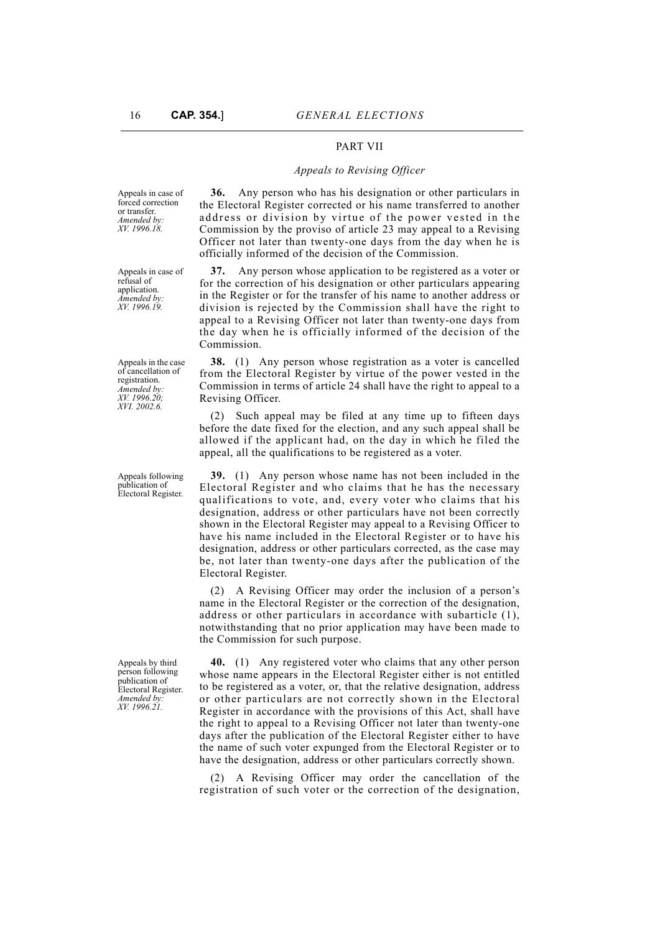## PART VII

#### *Appeals to Revising Officer*

Appeals in case of forced correction or transfer. *Amended by: XV. 1996.18.*

Appeals in case of refusal of application. *Amended by: XV. 1996.19.*

Appeals in the case of cancellation of registration. *Amended by: XV. 1996.20; XVI. 2002.6.*

Appeals following publication of Electoral Register.

Appeals by third person following publication of Electoral Register. *Amended by: XV. 1996.21.*

**36.** Any person who has his designation or other particulars in the Electoral Register corrected or his name transferred to another address or division by virtue of the power vested in the Commission by the proviso of article 23 may appeal to a Revising Officer not later than twenty-one days from the day when he is officially informed of the decision of the Commission.

**37.** Any person whose application to be registered as a voter or for the correction of his designation or other particulars appearing in the Register or for the transfer of his name to another address or division is rejected by the Commission shall have the right to appeal to a Revising Officer not later than twenty-one days from the day when he is officially informed of the decision of the Commission.

**38.** (1) Any person whose registration as a voter is cancelled from the Electoral Register by virtue of the power vested in the Commission in terms of article 24 shall have the right to appeal to a Revising Officer.

(2) Such appeal may be filed at any time up to fifteen days before the date fixed for the election, and any such appeal shall be allowed if the applicant had, on the day in which he filed the appeal, all the qualifications to be registered as a voter.

**39.** (1) Any person whose name has not been included in the Electoral Register and who claims that he has the necessary qualifications to vote, and, every voter who claims that his designation, address or other particulars have not been correctly shown in the Electoral Register may appeal to a Revising Officer to have his name included in the Electoral Register or to have his designation, address or other particulars corrected, as the case may be, not later than twenty-one days after the publication of the Electoral Register.

(2) A Revising Officer may order the inclusion of a person's name in the Electoral Register or the correction of the designation, address or other particulars in accordance with subarticle (1), notwithstanding that no prior application may have been made to the Commission for such purpose.

**40.** (1) Any registered voter who claims that any other person whose name appears in the Electoral Register either is not entitled to be registered as a voter, or, that the relative designation, address or other particulars are not correctly shown in the Electoral Register in accordance with the provisions of this Act, shall have the right to appeal to a Revising Officer not later than twenty-one days after the publication of the Electoral Register either to have the name of such voter expunged from the Electoral Register or to have the designation, address or other particulars correctly shown.

(2) A Revising Officer may order the cancellation of the registration of such voter or the correction of the designation,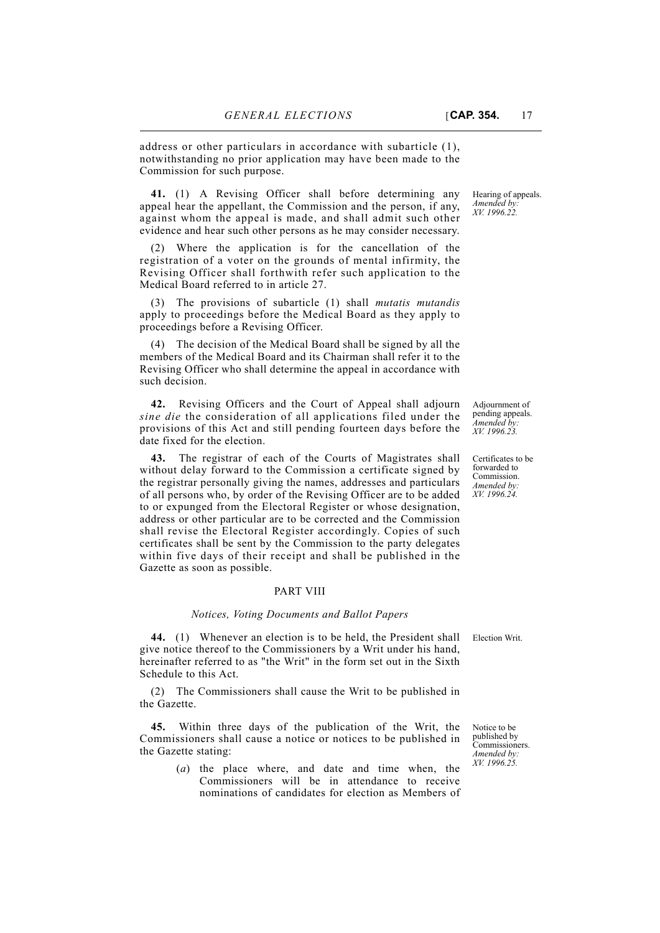address or other particulars in accordance with subarticle (1), notwithstanding no prior application may have been made to the Commission for such purpose.

**41.** (1) A Revising Officer shall before determining any appeal hear the appellant, the Commission and the person, if any, against whom the appeal is made, and shall admit such other evidence and hear such other persons as he may consider necessary.

(2) Where the application is for the cancellation of the registration of a voter on the grounds of mental infirmity, the Revising Officer shall forthwith refer such application to the Medical Board referred to in article 27.

(3) The provisions of subarticle (1) shall *mutatis mutandis* apply to proceedings before the Medical Board as they apply to proceedings before a Revising Officer.

The decision of the Medical Board shall be signed by all the members of the Medical Board and its Chairman shall refer it to the Revising Officer who shall determine the appeal in accordance with such decision.

**42.** Revising Officers and the Court of Appeal shall adjourn *sine die* the consideration of all applications filed under the provisions of this Act and still pending fourteen days before the date fixed for the election.

**43.** The registrar of each of the Courts of Magistrates shall without delay forward to the Commission a certificate signed by the registrar personally giving the names, addresses and particulars of all persons who, by order of the Revising Officer are to be added to or expunged from the Electoral Register or whose designation, address or other particular are to be corrected and the Commission shall revise the Electoral Register accordingly. Copies of such certificates shall be sent by the Commission to the party delegates within five days of their receipt and shall be published in the Gazette as soon as possible.

## PART VIII

#### *Notices, Voting Documents and Ballot Papers*

**44.** (1) Whenever an election is to be held, the President shall Election Writ. give notice thereof to the Commissioners by a Writ under his hand, hereinafter referred to as "the Writ" in the form set out in the Sixth Schedule to this Act.

(2) The Commissioners shall cause the Writ to be published in the Gazette.

**45.** Within three days of the publication of the Writ, the Commissioners shall cause a notice or notices to be published in the Gazette stating:

> (*a*) the place where, and date and time when, the Commissioners will be in attendance to receive nominations of candidates for election as Members of

Hearing of appeals. *Amended by: XV. 1996.22.*

Adjournment of pending appeals. *Amended by: XV. 1996.23.*

Certificates to be forwarded to Commission. *Amended by: XV. 1996.24.*

Notice to be published by Commissioners. *Amended by: XV. 1996.25.*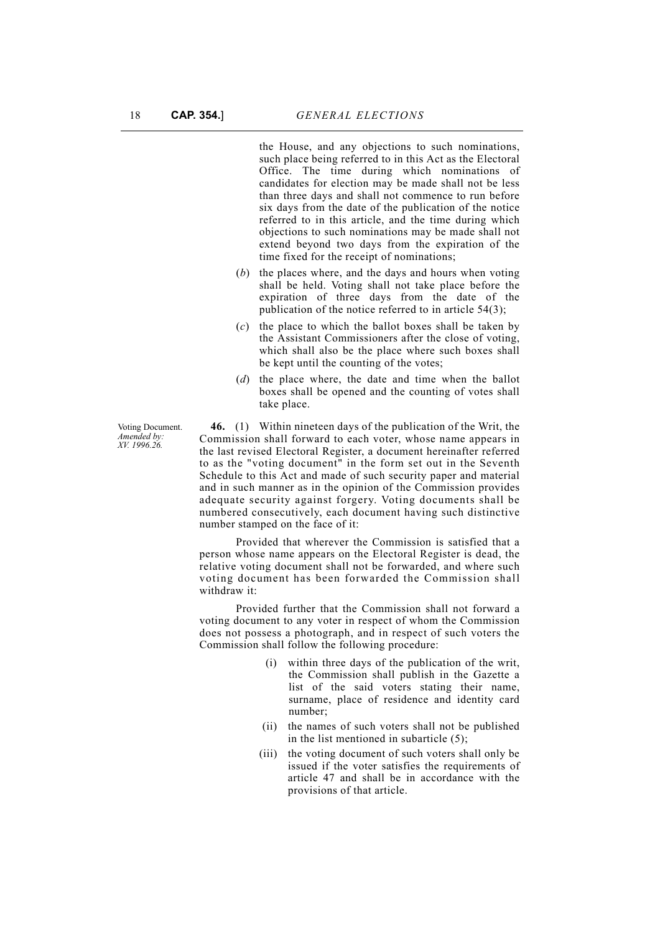the House, and any objections to such nominations, such place being referred to in this Act as the Electoral Office. The time during which nominations of candidates for election may be made shall not be less than three days and shall not commence to run before six days from the date of the publication of the notice referred to in this article, and the time during which objections to such nominations may be made shall not extend beyond two days from the expiration of the time fixed for the receipt of nominations;

- (*b*) the places where, and the days and hours when voting shall be held. Voting shall not take place before the expiration of three days from the date of the publication of the notice referred to in article 54(3);
- (*c*) the place to which the ballot boxes shall be taken by the Assistant Commissioners after the close of voting, which shall also be the place where such boxes shall be kept until the counting of the votes;
- (*d*) the place where, the date and time when the ballot boxes shall be opened and the counting of votes shall take place.

**46.** (1) Within nineteen days of the publication of the Writ, the Commission shall forward to each voter, whose name appears in the last revised Electoral Register, a document hereinafter referred to as the "voting document" in the form set out in the Seventh Schedule to this Act and made of such security paper and material and in such manner as in the opinion of the Commission provides adequate security against forgery. Voting documents shall be numbered consecutively, each document having such distinctive number stamped on the face of it:

Provided that wherever the Commission is satisfied that a person whose name appears on the Electoral Register is dead, the relative voting document shall not be forwarded, and where such voting document has been forwarded the Commission shall withdraw it:

Provided further that the Commission shall not forward a voting document to any voter in respect of whom the Commission does not possess a photograph, and in respect of such voters the Commission shall follow the following procedure:

- (i) within three days of the publication of the writ, the Commission shall publish in the Gazette a list of the said voters stating their name, surname, place of residence and identity card number;
- (ii) the names of such voters shall not be published in the list mentioned in subarticle (5);
- (iii) the voting document of such voters shall only be issued if the voter satisfies the requirements of article 47 and shall be in accordance with the provisions of that article.

Voting Document. *Amended by: XV. 1996.26.*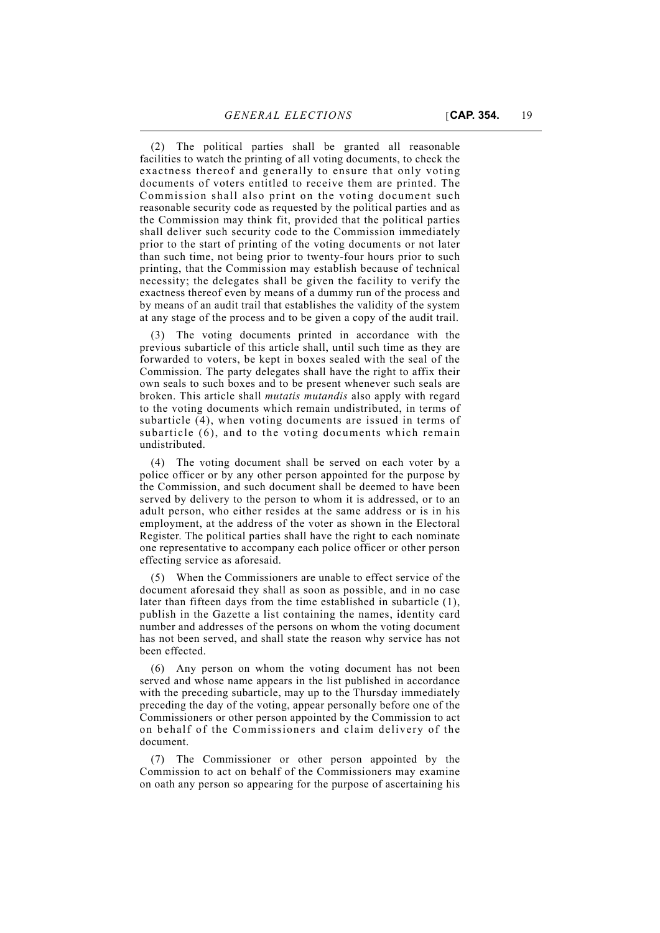facilities to watch the printing of all voting documents, to check the exactness thereof and generally to ensure that only voting documents of voters entitled to receive them are printed. The Commission shall also print on the voting document such reasonable security code as requested by the political parties and as the Commission may think fit, provided that the political parties shall deliver such security code to the Commission immediately prior to the start of printing of the voting documents or not later than such time, not being prior to twenty-four hours prior to such printing, that the Commission may establish because of technical necessity; the delegates shall be given the facility to verify the exactness thereof even by means of a dummy run of the process and by means of an audit trail that establishes the validity of the system at any stage of the process and to be given a copy of the audit trail.

(3) The voting documents printed in accordance with the previous subarticle of this article shall, until such time as they are forwarded to voters, be kept in boxes sealed with the seal of the Commission. The party delegates shall have the right to affix their own seals to such boxes and to be present whenever such seals are broken. This article shall *mutatis mutandis* also apply with regard to the voting documents which remain undistributed, in terms of subarticle (4), when voting documents are issued in terms of subarticle (6), and to the voting documents which remain undistributed.

(4) The voting document shall be served on each voter by a police officer or by any other person appointed for the purpose by the Commission, and such document shall be deemed to have been served by delivery to the person to whom it is addressed, or to an adult person, who either resides at the same address or is in his employment, at the address of the voter as shown in the Electoral Register. The political parties shall have the right to each nominate one representative to accompany each police officer or other person effecting service as aforesaid.

(5) When the Commissioners are unable to effect service of the document aforesaid they shall as soon as possible, and in no case later than fifteen days from the time established in subarticle (1), publish in the Gazette a list containing the names, identity card number and addresses of the persons on whom the voting document has not been served, and shall state the reason why service has not been effected.

(6) Any person on whom the voting document has not been served and whose name appears in the list published in accordance with the preceding subarticle, may up to the Thursday immediately preceding the day of the voting, appear personally before one of the Commissioners or other person appointed by the Commission to act on behalf of the Commissioners and claim delivery of the document.

(7) The Commissioner or other person appointed by the Commission to act on behalf of the Commissioners may examine on oath any person so appearing for the purpose of ascertaining his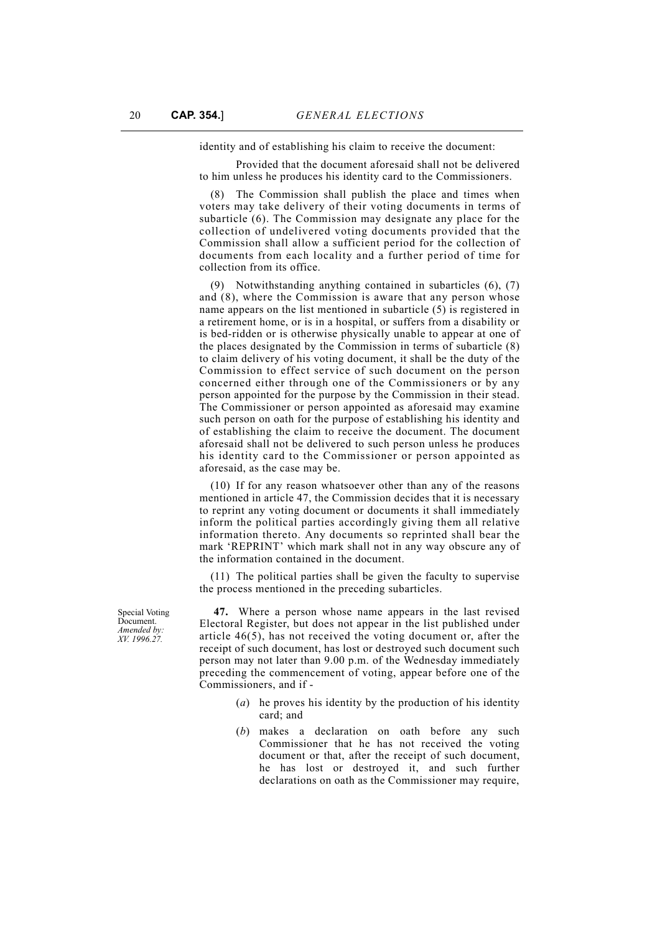identity and of establishing his claim to receive the document:

Provided that the document aforesaid shall not be delivered to him unless he produces his identity card to the Commissioners.

(8) The Commission shall publish the place and times when voters may take delivery of their voting documents in terms of subarticle (6). The Commission may designate any place for the collection of undelivered voting documents provided that the Commission shall allow a sufficient period for the collection of documents from each locality and a further period of time for collection from its office.

(9) Notwithstanding anything contained in subarticles (6), (7) and (8), where the Commission is aware that any person whose name appears on the list mentioned in subarticle (5) is registered in a retirement home, or is in a hospital, or suffers from a disability or is bed-ridden or is otherwise physically unable to appear at one of the places designated by the Commission in terms of subarticle (8) to claim delivery of his voting document, it shall be the duty of the Commission to effect service of such document on the person concerned either through one of the Commissioners or by any person appointed for the purpose by the Commission in their stead. The Commissioner or person appointed as aforesaid may examine such person on oath for the purpose of establishing his identity and of establishing the claim to receive the document. The document aforesaid shall not be delivered to such person unless he produces his identity card to the Commissioner or person appointed as aforesaid, as the case may be.

(10) If for any reason whatsoever other than any of the reasons mentioned in article 47, the Commission decides that it is necessary to reprint any voting document or documents it shall immediately inform the political parties accordingly giving them all relative information thereto. Any documents so reprinted shall bear the mark 'REPRINT' which mark shall not in any way obscure any of the information contained in the document.

(11) The political parties shall be given the faculty to supervise the process mentioned in the preceding subarticles.

 **47.** Where a person whose name appears in the last revised Electoral Register, but does not appear in the list published under article 46(5), has not received the voting document or, after the receipt of such document, has lost or destroyed such document such person may not later than 9.00 p.m. of the Wednesday immediately preceding the commencement of voting, appear before one of the Commissioners, and if -

- (*a*) he proves his identity by the production of his identity card; and
- (*b*) makes a declaration on oath before any such Commissioner that he has not received the voting document or that, after the receipt of such document, he has lost or destroyed it, and such further declarations on oath as the Commissioner may require,

Special Voting Document. *Amended by: XV. 1996.27.*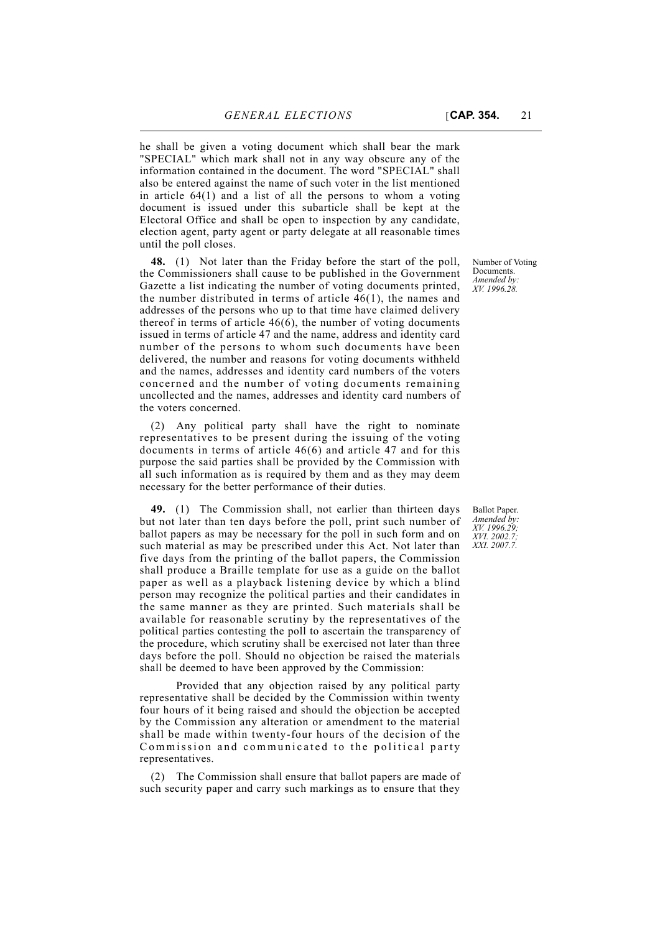he shall be given a voting document which shall bear the mark "SPECIAL" which mark shall not in any way obscure any of the information contained in the document. The word "SPECIAL" shall also be entered against the name of such voter in the list mentioned in article 64(1) and a list of all the persons to whom a voting document is issued under this subarticle shall be kept at the Electoral Office and shall be open to inspection by any candidate,

**48.** (1) Not later than the Friday before the start of the poll, the Commissioners shall cause to be published in the Government Gazette a list indicating the number of voting documents printed, the number distributed in terms of article 46(1), the names and addresses of the persons who up to that time have claimed delivery thereof in terms of article 46(6), the number of voting documents issued in terms of article 47 and the name, address and identity card number of the persons to whom such documents have been delivered, the number and reasons for voting documents withheld and the names, addresses and identity card numbers of the voters concerned and the number of voting documents remaining uncollected and the names, addresses and identity card numbers of the voters concerned.

election agent, party agent or party delegate at all reasonable times

until the poll closes.

(2) Any political party shall have the right to nominate representatives to be present during the issuing of the voting documents in terms of article 46(6) and article 47 and for this purpose the said parties shall be provided by the Commission with all such information as is required by them and as they may deem necessary for the better performance of their duties.

**49.** (1) The Commission shall, not earlier than thirteen days but not later than ten days before the poll, print such number of ballot papers as may be necessary for the poll in such form and on such material as may be prescribed under this Act. Not later than five days from the printing of the ballot papers, the Commission shall produce a Braille template for use as a guide on the ballot paper as well as a playback listening device by which a blind person may recognize the political parties and their candidates in the same manner as they are printed. Such materials shall be available for reasonable scrutiny by the representatives of the political parties contesting the poll to ascertain the transparency of the procedure, which scrutiny shall be exercised not later than three days before the poll. Should no objection be raised the materials shall be deemed to have been approved by the Commission:

Provided that any objection raised by any political party representative shall be decided by the Commission within twenty four hours of it being raised and should the objection be accepted by the Commission any alteration or amendment to the material shall be made within twenty-four hours of the decision of the Commission and communicated to the political party representatives.

(2) The Commission shall ensure that ballot papers are made of such security paper and carry such markings as to ensure that they

Number of Voting Documents. *Amended by: XV. 1996.28.*

Ballot Paper. *Amended by: XV. 1996.29; XVI. 2002.7; XXI. 2007.7.*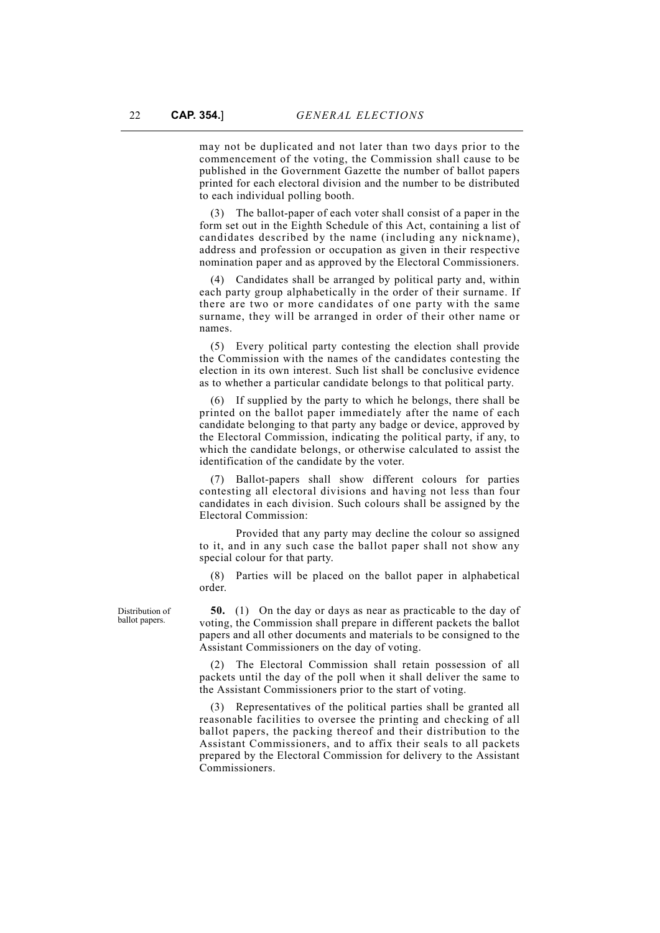may not be duplicated and not later than two days prior to the commencement of the voting, the Commission shall cause to be published in the Government Gazette the number of ballot papers printed for each electoral division and the number to be distributed to each individual polling booth.

(3) The ballot-paper of each voter shall consist of a paper in the form set out in the Eighth Schedule of this Act, containing a list of candidates described by the name (including any nickname), address and profession or occupation as given in their respective nomination paper and as approved by the Electoral Commissioners.

(4) Candidates shall be arranged by political party and, within each party group alphabetically in the order of their surname. If there are two or more candidates of one party with the same surname, they will be arranged in order of their other name or names.

(5) Every political party contesting the election shall provide the Commission with the names of the candidates contesting the election in its own interest. Such list shall be conclusive evidence as to whether a particular candidate belongs to that political party.

(6) If supplied by the party to which he belongs, there shall be printed on the ballot paper immediately after the name of each candidate belonging to that party any badge or device, approved by the Electoral Commission, indicating the political party, if any, to which the candidate belongs, or otherwise calculated to assist the identification of the candidate by the voter.

(7) Ballot-papers shall show different colours for parties contesting all electoral divisions and having not less than four candidates in each division. Such colours shall be assigned by the Electoral Commission:

Provided that any party may decline the colour so assigned to it, and in any such case the ballot paper shall not show any special colour for that party.

(8) Parties will be placed on the ballot paper in alphabetical order.

**50.** (1) On the day or days as near as practicable to the day of voting, the Commission shall prepare in different packets the ballot papers and all other documents and materials to be consigned to the Assistant Commissioners on the day of voting.

(2) The Electoral Commission shall retain possession of all packets until the day of the poll when it shall deliver the same to the Assistant Commissioners prior to the start of voting.

(3) Representatives of the political parties shall be granted all reasonable facilities to oversee the printing and checking of all ballot papers, the packing thereof and their distribution to the Assistant Commissioners, and to affix their seals to all packets prepared by the Electoral Commission for delivery to the Assistant Commissioners.

Distribution of ballot papers.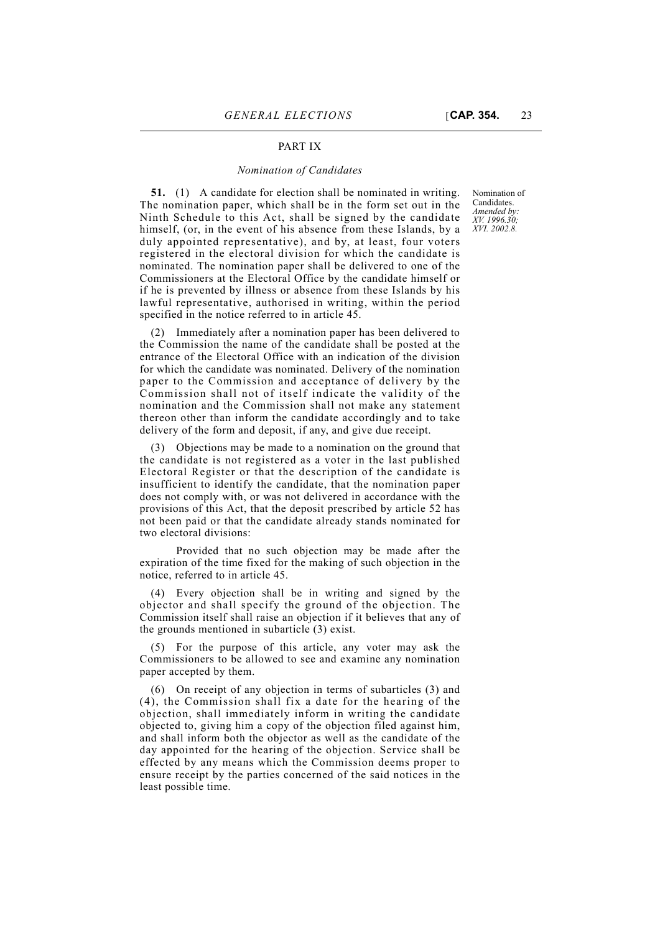### PART IX

#### *Nomination of Candidates*

**51.** (1) A candidate for election shall be nominated in writing. The nomination paper, which shall be in the form set out in the Ninth Schedule to this Act, shall be signed by the candidate himself, (or, in the event of his absence from these Islands, by a duly appointed representative), and by, at least, four voters registered in the electoral division for which the candidate is nominated. The nomination paper shall be delivered to one of the Commissioners at the Electoral Office by the candidate himself or if he is prevented by illness or absence from these Islands by his lawful representative, authorised in writing, within the period specified in the notice referred to in article 45.

(2) Immediately after a nomination paper has been delivered to the Commission the name of the candidate shall be posted at the entrance of the Electoral Office with an indication of the division for which the candidate was nominated. Delivery of the nomination paper to the Commission and acceptance of delivery by the Commission shall not of itself indicate the validity of the nomination and the Commission shall not make any statement thereon other than inform the candidate accordingly and to take delivery of the form and deposit, if any, and give due receipt.

(3) Objections may be made to a nomination on the ground that the candidate is not registered as a voter in the last published Electoral Register or that the description of the candidate is insufficient to identify the candidate, that the nomination paper does not comply with, or was not delivered in accordance with the provisions of this Act, that the deposit prescribed by article 52 has not been paid or that the candidate already stands nominated for two electoral divisions:

Provided that no such objection may be made after the expiration of the time fixed for the making of such objection in the notice, referred to in article 45.

(4) Every objection shall be in writing and signed by the objector and shall specify the ground of the objection. The Commission itself shall raise an objection if it believes that any of the grounds mentioned in subarticle (3) exist.

(5) For the purpose of this article, any voter may ask the Commissioners to be allowed to see and examine any nomination paper accepted by them.

(6) On receipt of any objection in terms of subarticles (3) and (4), the Commission shall fix a date for the hearing of the objection, shall immediately inform in writing the candidate objected to, giving him a copy of the objection filed against him, and shall inform both the objector as well as the candidate of the day appointed for the hearing of the objection. Service shall be effected by any means which the Commission deems proper to ensure receipt by the parties concerned of the said notices in the least possible time.

Nomination of Candidates. *Amended by: XV. 1996.30; XVI. 2002.8.*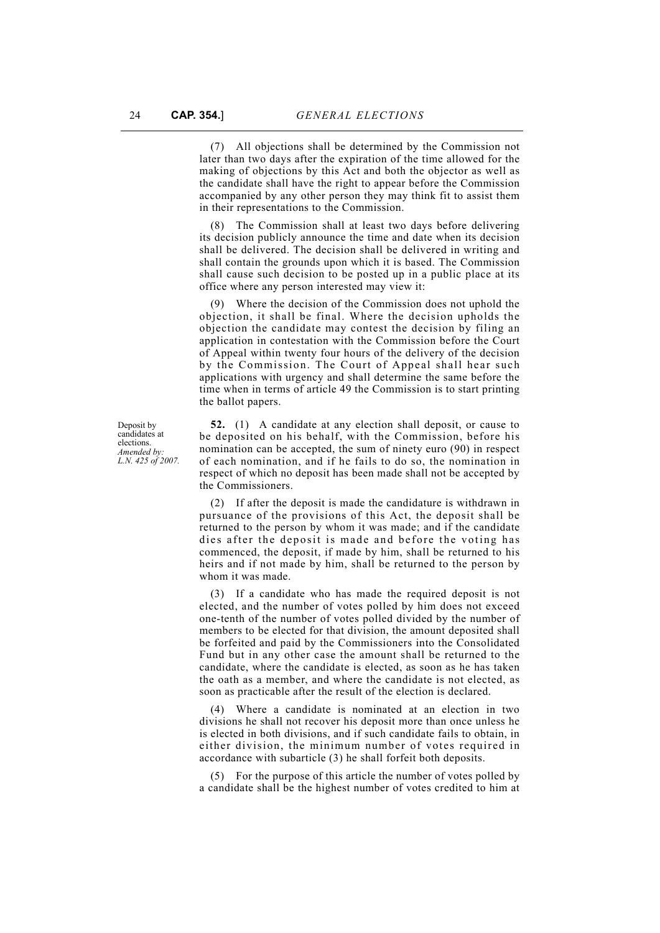(7) All objections shall be determined by the Commission not later than two days after the expiration of the time allowed for the making of objections by this Act and both the objector as well as the candidate shall have the right to appear before the Commission accompanied by any other person they may think fit to assist them in their representations to the Commission.

(8) The Commission shall at least two days before delivering its decision publicly announce the time and date when its decision shall be delivered. The decision shall be delivered in writing and shall contain the grounds upon which it is based. The Commission shall cause such decision to be posted up in a public place at its office where any person interested may view it:

(9) Where the decision of the Commission does not uphold the objection, it shall be final. Where the decision upholds the objection the candidate may contest the decision by filing an application in contestation with the Commission before the Court of Appeal within twenty four hours of the delivery of the decision by the Commission. The Court of Appeal shall hear such applications with urgency and shall determine the same before the time when in terms of article 49 the Commission is to start printing the ballot papers.

**52.** (1) A candidate at any election shall deposit, or cause to be deposited on his behalf, with the Commission, before his nomination can be accepted, the sum of ninety euro (90) in respect of each nomination, and if he fails to do so, the nomination in respect of which no deposit has been made shall not be accepted by the Commissioners.

(2) If after the deposit is made the candidature is withdrawn in pursuance of the provisions of this Act, the deposit shall be returned to the person by whom it was made; and if the candidate dies after the deposit is made and before the voting has commenced, the deposit, if made by him, shall be returned to his heirs and if not made by him, shall be returned to the person by whom it was made.

(3) If a candidate who has made the required deposit is not elected, and the number of votes polled by him does not exceed one-tenth of the number of votes polled divided by the number of members to be elected for that division, the amount deposited shall be forfeited and paid by the Commissioners into the Consolidated Fund but in any other case the amount shall be returned to the candidate, where the candidate is elected, as soon as he has taken the oath as a member, and where the candidate is not elected, as soon as practicable after the result of the election is declared.

(4) Where a candidate is nominated at an election in two divisions he shall not recover his deposit more than once unless he is elected in both divisions, and if such candidate fails to obtain, in either division, the minimum number of votes required in accordance with subarticle (3) he shall forfeit both deposits.

(5) For the purpose of this article the number of votes polled by a candidate shall be the highest number of votes credited to him at

Deposit by candidates at elections. *Amended by: L.N. 425 of 2007.*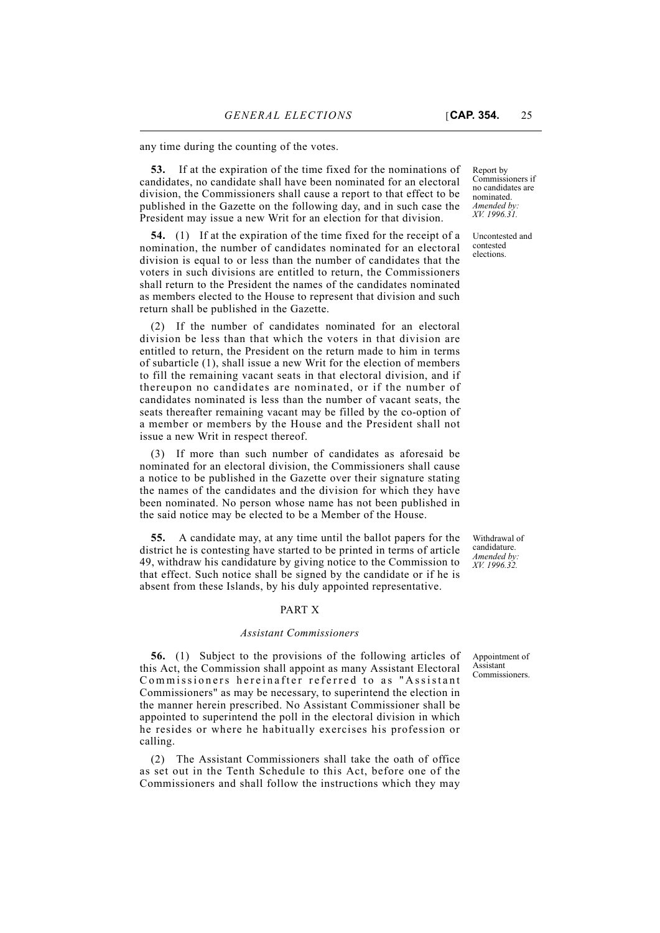any time during the counting of the votes.

**53.** If at the expiration of the time fixed for the nominations of candidates, no candidate shall have been nominated for an electoral division, the Commissioners shall cause a report to that effect to be published in the Gazette on the following day, and in such case the President may issue a new Writ for an election for that division.

**54.** (1) If at the expiration of the time fixed for the receipt of a nomination, the number of candidates nominated for an electoral division is equal to or less than the number of candidates that the voters in such divisions are entitled to return, the Commissioners shall return to the President the names of the candidates nominated as members elected to the House to represent that division and such return shall be published in the Gazette.

(2) If the number of candidates nominated for an electoral division be less than that which the voters in that division are entitled to return, the President on the return made to him in terms of subarticle (1), shall issue a new Writ for the election of members to fill the remaining vacant seats in that electoral division, and if thereupon no candidates are nominated, or if the number of candidates nominated is less than the number of vacant seats, the seats thereafter remaining vacant may be filled by the co-option of a member or members by the House and the President shall not issue a new Writ in respect thereof.

(3) If more than such number of candidates as aforesaid be nominated for an electoral division, the Commissioners shall cause a notice to be published in the Gazette over their signature stating the names of the candidates and the division for which they have been nominated. No person whose name has not been published in the said notice may be elected to be a Member of the House.

**55.** A candidate may, at any time until the ballot papers for the district he is contesting have started to be printed in terms of article 49, withdraw his candidature by giving notice to the Commission to that effect. Such notice shall be signed by the candidate or if he is absent from these Islands, by his duly appointed representative.

### PART X

#### *Assistant Commissioners*

**56.** (1) Subject to the provisions of the following articles of this Act, the Commission shall appoint as many Assistant Electoral Commissioners hereinafter referred to as "Assistant Commissioners" as may be necessary, to superintend the election in the manner herein prescribed. No Assistant Commissioner shall be appointed to superintend the poll in the electoral division in which he resides or where he habitually exercises his profession or calling.

(2) The Assistant Commissioners shall take the oath of office as set out in the Tenth Schedule to this Act, before one of the Commissioners and shall follow the instructions which they may

Report by Commissioners if no candidates are nominated. *Amended by: XV. 1996.31.*

Uncontested and contested elections.

Withdrawal of candidature. *Amended by: XV. 1996.32.*

Appointment of Assistant Commissioners.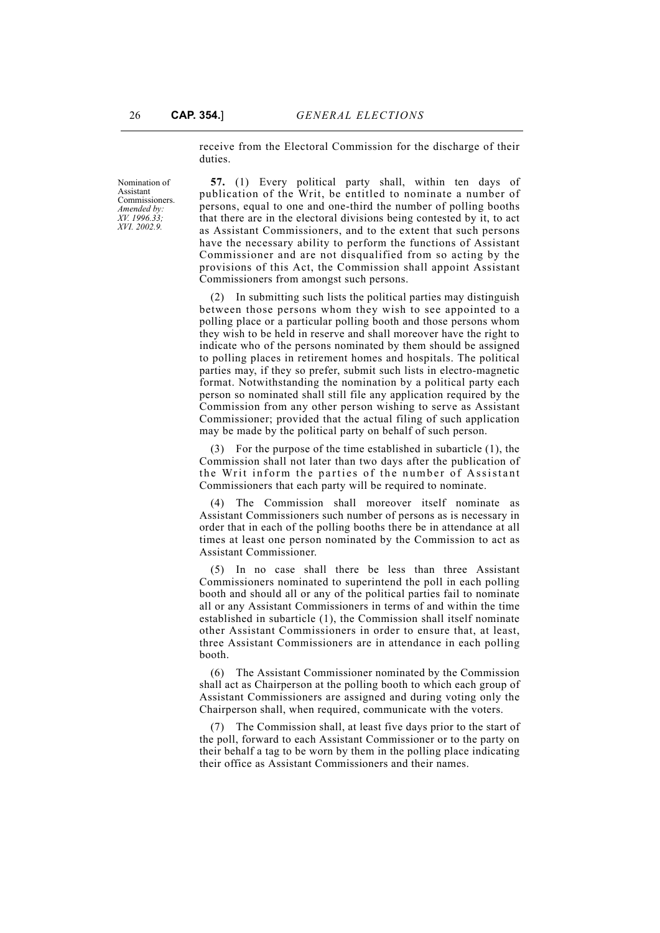receive from the Electoral Commission for the discharge of their duties.

Nomination of Assistant Commissioners. *Amended by: XV. 1996.33; XVI. 2002.9.*

**57.** (1) Every political party shall, within ten days of publication of the Writ, be entitled to nominate a number of persons, equal to one and one-third the number of polling booths that there are in the electoral divisions being contested by it, to act as Assistant Commissioners, and to the extent that such persons have the necessary ability to perform the functions of Assistant Commissioner and are not disqualified from so acting by the provisions of this Act, the Commission shall appoint Assistant Commissioners from amongst such persons.

(2) In submitting such lists the political parties may distinguish between those persons whom they wish to see appointed to a polling place or a particular polling booth and those persons whom they wish to be held in reserve and shall moreover have the right to indicate who of the persons nominated by them should be assigned to polling places in retirement homes and hospitals. The political parties may, if they so prefer, submit such lists in electro-magnetic format. Notwithstanding the nomination by a political party each person so nominated shall still file any application required by the Commission from any other person wishing to serve as Assistant Commissioner; provided that the actual filing of such application may be made by the political party on behalf of such person.

(3) For the purpose of the time established in subarticle (1), the Commission shall not later than two days after the publication of the Writ inform the parties of the number of Assistant Commissioners that each party will be required to nominate.

(4) The Commission shall moreover itself nominate as Assistant Commissioners such number of persons as is necessary in order that in each of the polling booths there be in attendance at all times at least one person nominated by the Commission to act as Assistant Commissioner.

(5) In no case shall there be less than three Assistant Commissioners nominated to superintend the poll in each polling booth and should all or any of the political parties fail to nominate all or any Assistant Commissioners in terms of and within the time established in subarticle (1), the Commission shall itself nominate other Assistant Commissioners in order to ensure that, at least, three Assistant Commissioners are in attendance in each polling booth.

(6) The Assistant Commissioner nominated by the Commission shall act as Chairperson at the polling booth to which each group of Assistant Commissioners are assigned and during voting only the Chairperson shall, when required, communicate with the voters.

(7) The Commission shall, at least five days prior to the start of the poll, forward to each Assistant Commissioner or to the party on their behalf a tag to be worn by them in the polling place indicating their office as Assistant Commissioners and their names.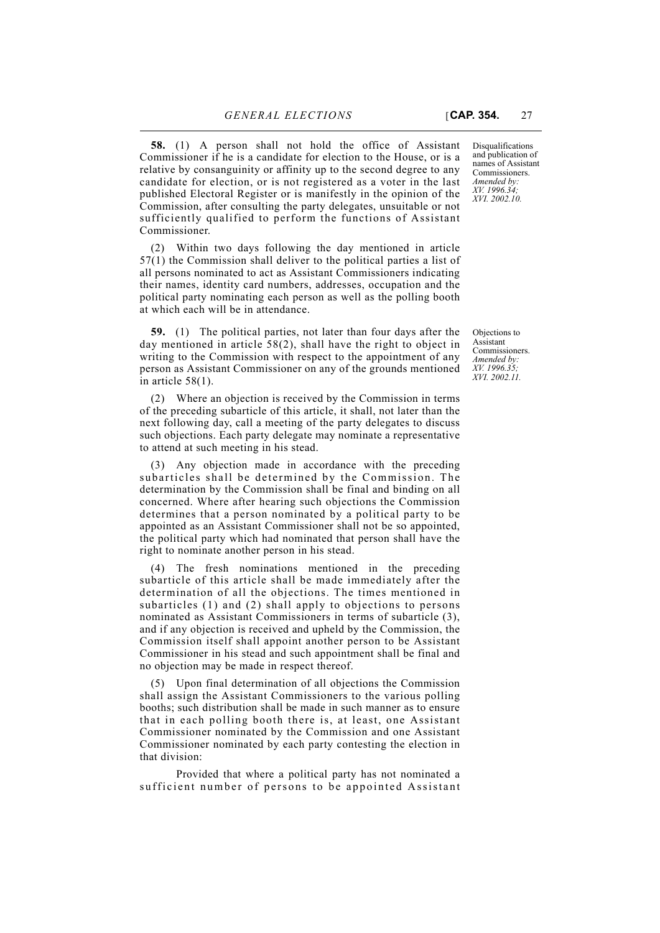Commissioner if he is a candidate for election to the House, or is a relative by consanguinity or affinity up to the second degree to any candidate for election, or is not registered as a voter in the last published Electoral Register or is manifestly in the opinion of the Commission, after consulting the party delegates, unsuitable or not sufficiently qualified to perform the functions of Assistant Commissioner.

(2) Within two days following the day mentioned in article 57(1) the Commission shall deliver to the political parties a list of all persons nominated to act as Assistant Commissioners indicating their names, identity card numbers, addresses, occupation and the political party nominating each person as well as the polling booth at which each will be in attendance.

**59.** (1) The political parties, not later than four days after the day mentioned in article 58(2), shall have the right to object in writing to the Commission with respect to the appointment of any person as Assistant Commissioner on any of the grounds mentioned in article 58(1).

(2) Where an objection is received by the Commission in terms of the preceding subarticle of this article, it shall, not later than the next following day, call a meeting of the party delegates to discuss such objections. Each party delegate may nominate a representative to attend at such meeting in his stead.

(3) Any objection made in accordance with the preceding subarticles shall be determined by the Commission. The determination by the Commission shall be final and binding on all concerned. Where after hearing such objections the Commission determines that a person nominated by a political party to be appointed as an Assistant Commissioner shall not be so appointed, the political party which had nominated that person shall have the right to nominate another person in his stead.

(4) The fresh nominations mentioned in the preceding subarticle of this article shall be made immediately after the determination of all the objections. The times mentioned in subarticles (1) and (2) shall apply to objections to persons nominated as Assistant Commissioners in terms of subarticle (3), and if any objection is received and upheld by the Commission, the Commission itself shall appoint another person to be Assistant Commissioner in his stead and such appointment shall be final and no objection may be made in respect thereof.

(5) Upon final determination of all objections the Commission shall assign the Assistant Commissioners to the various polling booths; such distribution shall be made in such manner as to ensure that in each polling booth there is, at least, one Assistant Commissioner nominated by the Commission and one Assistant Commissioner nominated by each party contesting the election in that division:

Provided that where a political party has not nominated a sufficient number of persons to be appointed Assistant

Disqualifications and publication of names of Assistant Commissioners. *Amended by: XV. 1996.34;*

*XVI. 2002.10.*

Objections to Assistant **Commissioners** *Amended by: XV. 1996.35; XVI. 2002.11.*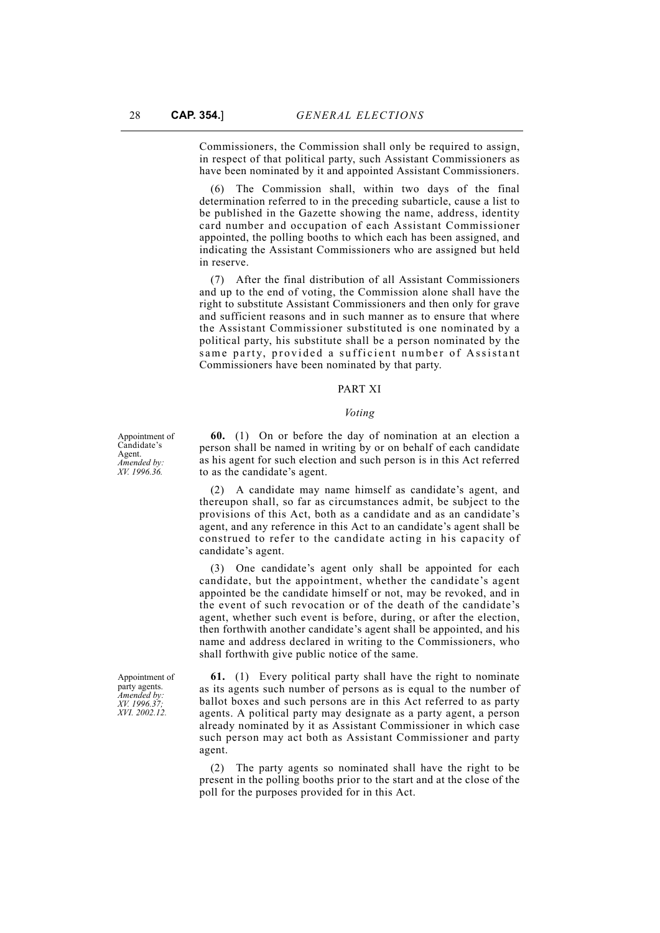Commissioners, the Commission shall only be required to assign, in respect of that political party, such Assistant Commissioners as have been nominated by it and appointed Assistant Commissioners.

(6) The Commission shall, within two days of the final determination referred to in the preceding subarticle, cause a list to be published in the Gazette showing the name, address, identity card number and occupation of each Assistant Commissioner appointed, the polling booths to which each has been assigned, and indicating the Assistant Commissioners who are assigned but held in reserve.

(7) After the final distribution of all Assistant Commissioners and up to the end of voting, the Commission alone shall have the right to substitute Assistant Commissioners and then only for grave and sufficient reasons and in such manner as to ensure that where the Assistant Commissioner substituted is one nominated by a political party, his substitute shall be a person nominated by the same party, provided a sufficient number of Assistant Commissioners have been nominated by that party.

## PART XI

#### *Voting*

**60.** (1) On or before the day of nomination at an election a person shall be named in writing by or on behalf of each candidate as his agent for such election and such person is in this Act referred to as the candidate's agent.

(2) A candidate may name himself as candidate's agent, and thereupon shall, so far as circumstances admit, be subject to the provisions of this Act, both as a candidate and as an candidate's agent, and any reference in this Act to an candidate's agent shall be construed to refer to the candidate acting in his capacity of candidate's agent.

One candidate's agent only shall be appointed for each candidate, but the appointment, whether the candidate's agent appointed be the candidate himself or not, may be revoked, and in the event of such revocation or of the death of the candidate's agent, whether such event is before, during, or after the election, then forthwith another candidate's agent shall be appointed, and his name and address declared in writing to the Commissioners, who shall forthwith give public notice of the same.

**61.** (1) Every political party shall have the right to nominate as its agents such number of persons as is equal to the number of ballot boxes and such persons are in this Act referred to as party agents. A political party may designate as a party agent, a person already nominated by it as Assistant Commissioner in which case such person may act both as Assistant Commissioner and party agent.

(2) The party agents so nominated shall have the right to be present in the polling booths prior to the start and at the close of the poll for the purposes provided for in this Act.

Appointment of Candidate's Agent. *Amended by: XV. 1996.36.*

Appointment of party agents. *Amended by: XV. 1996.37; XVI. 2002.12.*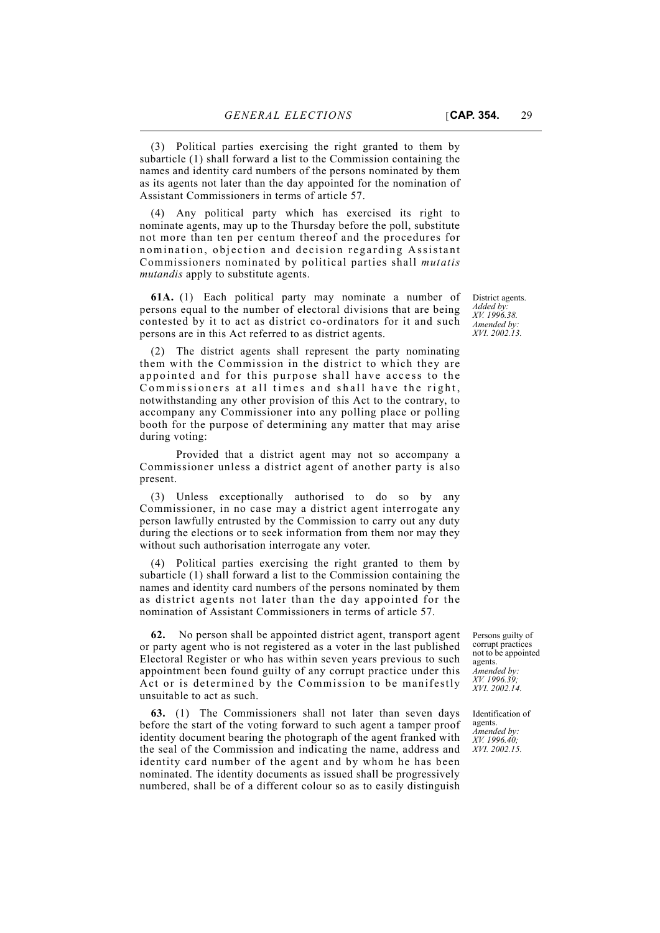(3) Political parties exercising the right granted to them by subarticle (1) shall forward a list to the Commission containing the names and identity card numbers of the persons nominated by them as its agents not later than the day appointed for the nomination of Assistant Commissioners in terms of article 57.

(4) Any political party which has exercised its right to nominate agents, may up to the Thursday before the poll, substitute not more than ten per centum thereof and the procedures for nomination, objection and decision regarding Assistant Commissioners nominated by political parties shall *mutatis mutandis* apply to substitute agents.

**61A.** (1) Each political party may nominate a number of persons equal to the number of electoral divisions that are being contested by it to act as district co-ordinators for it and such persons are in this Act referred to as district agents.

(2) The district agents shall represent the party nominating them with the Commission in the district to which they are appointed and for this purpose shall have access to the Commissioners at all times and shall have the right, notwithstanding any other provision of this Act to the contrary, to accompany any Commissioner into any polling place or polling booth for the purpose of determining any matter that may arise during voting:

Provided that a district agent may not so accompany a Commissioner unless a district agent of another party is also present.

(3) Unless exceptionally authorised to do so by any Commissioner, in no case may a district agent interrogate any person lawfully entrusted by the Commission to carry out any duty during the elections or to seek information from them nor may they without such authorisation interrogate any voter.

(4) Political parties exercising the right granted to them by subarticle (1) shall forward a list to the Commission containing the names and identity card numbers of the persons nominated by them as district agents not later than the day appointed for the nomination of Assistant Commissioners in terms of article 57.

**62.** No person shall be appointed district agent, transport agent or party agent who is not registered as a voter in the last published Electoral Register or who has within seven years previous to such appointment been found guilty of any corrupt practice under this Act or is determined by the Commission to be manifestly unsuitable to act as such.

**63.** (1) The Commissioners shall not later than seven days before the start of the voting forward to such agent a tamper proof identity document bearing the photograph of the agent franked with the seal of the Commission and indicating the name, address and identity card number of the agent and by whom he has been nominated. The identity documents as issued shall be progressively numbered, shall be of a different colour so as to easily distinguish

District agents. *Added by: XV. 1996.38. Amended by: XVI. 2002.13.*

Persons guilty of corrupt practices not to be appointed agents. *Amended by: XV. 1996.39; XVI. 2002.14.*

Identification of agents. *Amended by: XV. 1996.40; XVI. 2002.15.*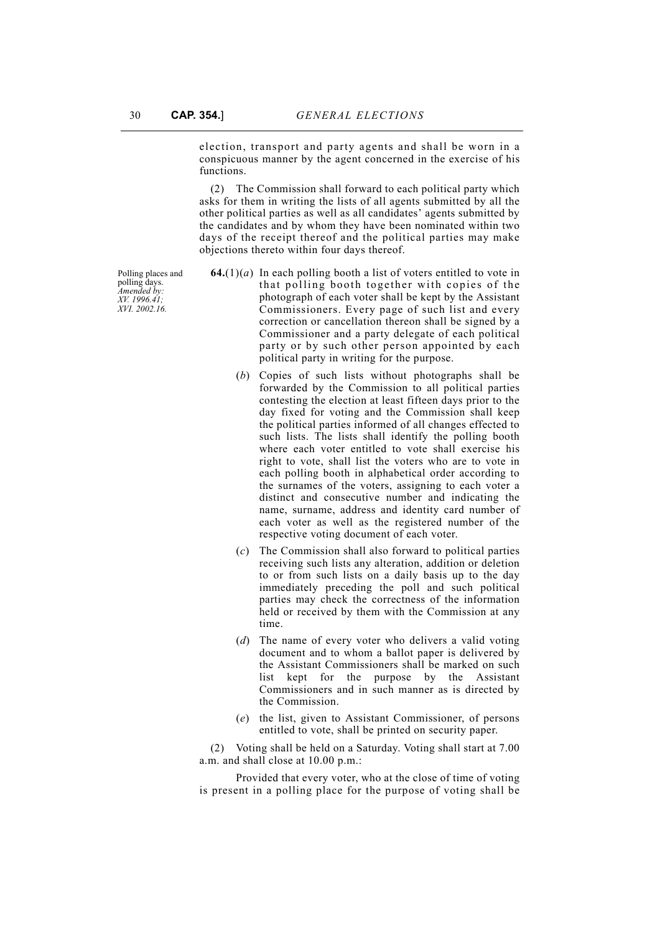election, transport and party agents and shall be worn in a conspicuous manner by the agent concerned in the exercise of his functions.

(2) The Commission shall forward to each political party which asks for them in writing the lists of all agents submitted by all the other political parties as well as all candidates' agents submitted by the candidates and by whom they have been nominated within two days of the receipt thereof and the political parties may make objections thereto within four days thereof.

Polling places and polling days. *Amended by: XV. 1996.41; XVI. 2002.16.*

- **64.**( $1$ )( $a$ ) In each polling booth a list of voters entitled to vote in that polling booth together with copies of the photograph of each voter shall be kept by the Assistant Commissioners. Every page of such list and every correction or cancellation thereon shall be signed by a Commissioner and a party delegate of each political party or by such other person appointed by each political party in writing for the purpose.
	- (*b*) Copies of such lists without photographs shall be forwarded by the Commission to all political parties contesting the election at least fifteen days prior to the day fixed for voting and the Commission shall keep the political parties informed of all changes effected to such lists. The lists shall identify the polling booth where each voter entitled to vote shall exercise his right to vote, shall list the voters who are to vote in each polling booth in alphabetical order according to the surnames of the voters, assigning to each voter a distinct and consecutive number and indicating the name, surname, address and identity card number of each voter as well as the registered number of the respective voting document of each voter.
	- (*c*) The Commission shall also forward to political parties receiving such lists any alteration, addition or deletion to or from such lists on a daily basis up to the day immediately preceding the poll and such political parties may check the correctness of the information held or received by them with the Commission at any time.
	- (*d*) The name of every voter who delivers a valid voting document and to whom a ballot paper is delivered by the Assistant Commissioners shall be marked on such list kept for the purpose by the Assistant Commissioners and in such manner as is directed by the Commission.
	- (*e*) the list, given to Assistant Commissioner, of persons entitled to vote, shall be printed on security paper.

(2) Voting shall be held on a Saturday. Voting shall start at 7.00 a.m. and shall close at 10.00 p.m.:

Provided that every voter, who at the close of time of voting is present in a polling place for the purpose of voting shall be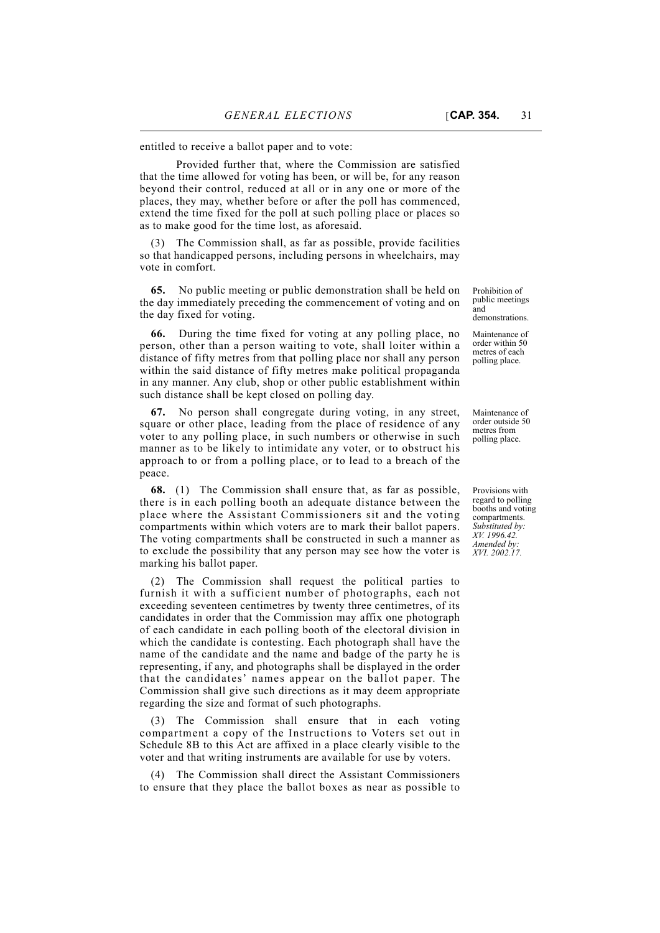entitled to receive a ballot paper and to vote:

Provided further that, where the Commission are satisfied that the time allowed for voting has been, or will be, for any reason beyond their control, reduced at all or in any one or more of the places, they may, whether before or after the poll has commenced, extend the time fixed for the poll at such polling place or places so as to make good for the time lost, as aforesaid.

The Commission shall, as far as possible, provide facilities so that handicapped persons, including persons in wheelchairs, may vote in comfort.

**65.** No public meeting or public demonstration shall be held on the day immediately preceding the commencement of voting and on the day fixed for voting.

**66.** During the time fixed for voting at any polling place, no person, other than a person waiting to vote, shall loiter within a distance of fifty metres from that polling place nor shall any person within the said distance of fifty metres make political propaganda in any manner. Any club, shop or other public establishment within such distance shall be kept closed on polling day.

**67.** No person shall congregate during voting, in any street, square or other place, leading from the place of residence of any voter to any polling place, in such numbers or otherwise in such manner as to be likely to intimidate any voter, or to obstruct his approach to or from a polling place, or to lead to a breach of the peace.

**68.** (1) The Commission shall ensure that, as far as possible, there is in each polling booth an adequate distance between the place where the Assistant Commissioners sit and the voting compartments within which voters are to mark their ballot papers. The voting compartments shall be constructed in such a manner as to exclude the possibility that any person may see how the voter is marking his ballot paper.

(2) The Commission shall request the political parties to furnish it with a sufficient number of photographs, each not exceeding seventeen centimetres by twenty three centimetres, of its candidates in order that the Commission may affix one photograph of each candidate in each polling booth of the electoral division in which the candidate is contesting. Each photograph shall have the name of the candidate and the name and badge of the party he is representing, if any, and photographs shall be displayed in the order that the candidates' names appear on the ballot paper. The Commission shall give such directions as it may deem appropriate regarding the size and format of such photographs.

(3) The Commission shall ensure that in each voting compartment a copy of the Instructions to Voters set out in Schedule 8B to this Act are affixed in a place clearly visible to the voter and that writing instruments are available for use by voters.

(4) The Commission shall direct the Assistant Commissioners to ensure that they place the ballot boxes as near as possible to

Prohibition of public meetings and demonstrations.

Maintenance of order within 50 metres of each polling place.

Maintenance of order outside 50 metres from polling place.

Provisions with regard to polling booths and voting compartments. *Substituted by: XV. 1996.42. Amended by: XVI. 2002.17.*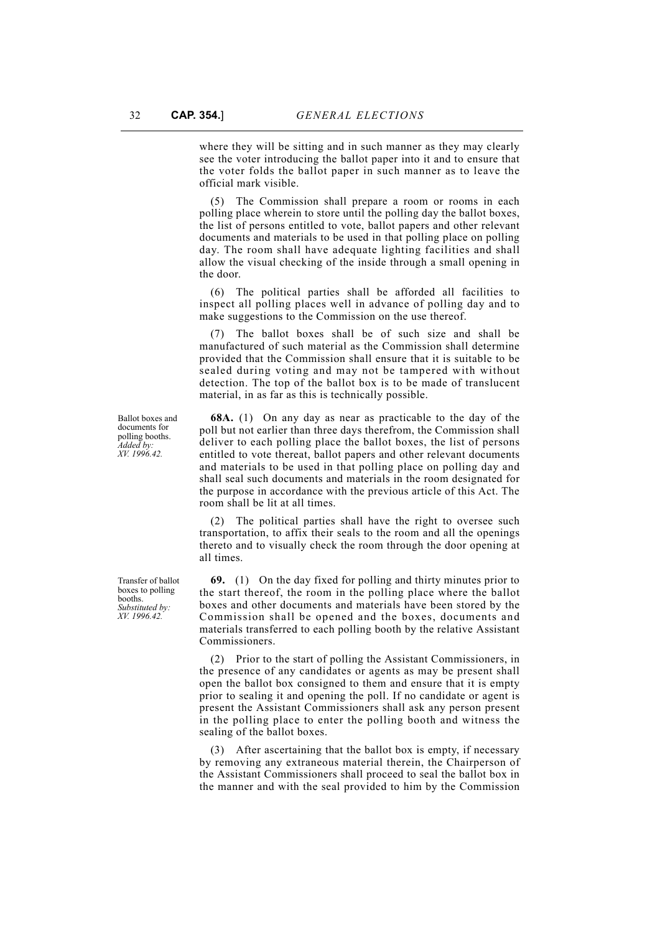where they will be sitting and in such manner as they may clearly see the voter introducing the ballot paper into it and to ensure that the voter folds the ballot paper in such manner as to leave the official mark visible.

(5) The Commission shall prepare a room or rooms in each polling place wherein to store until the polling day the ballot boxes, the list of persons entitled to vote, ballot papers and other relevant documents and materials to be used in that polling place on polling day. The room shall have adequate lighting facilities and shall allow the visual checking of the inside through a small opening in the door.

(6) The political parties shall be afforded all facilities to inspect all polling places well in advance of polling day and to make suggestions to the Commission on the use thereof.

The ballot boxes shall be of such size and shall be manufactured of such material as the Commission shall determine provided that the Commission shall ensure that it is suitable to be sealed during voting and may not be tampered with without detection. The top of the ballot box is to be made of translucent material, in as far as this is technically possible.

**68A.** (1) On any day as near as practicable to the day of the poll but not earlier than three days therefrom, the Commission shall deliver to each polling place the ballot boxes, the list of persons entitled to vote thereat, ballot papers and other relevant documents and materials to be used in that polling place on polling day and shall seal such documents and materials in the room designated for the purpose in accordance with the previous article of this Act. The room shall be lit at all times.

(2) The political parties shall have the right to oversee such transportation, to affix their seals to the room and all the openings thereto and to visually check the room through the door opening at all times.

**69.** (1) On the day fixed for polling and thirty minutes prior to the start thereof, the room in the polling place where the ballot boxes and other documents and materials have been stored by the Commission shall be opened and the boxes, documents and materials transferred to each polling booth by the relative Assistant Commissioners.

(2) Prior to the start of polling the Assistant Commissioners, in the presence of any candidates or agents as may be present shall open the ballot box consigned to them and ensure that it is empty prior to sealing it and opening the poll. If no candidate or agent is present the Assistant Commissioners shall ask any person present in the polling place to enter the polling booth and witness the sealing of the ballot boxes.

(3) After ascertaining that the ballot box is empty, if necessary by removing any extraneous material therein, the Chairperson of the Assistant Commissioners shall proceed to seal the ballot box in the manner and with the seal provided to him by the Commission

Ballot boxes and documents for polling booths. *Added by: XV. 1996.42.*

Transfer of ballot boxes to polling booths. *Substituted by: XV. 1996.42.*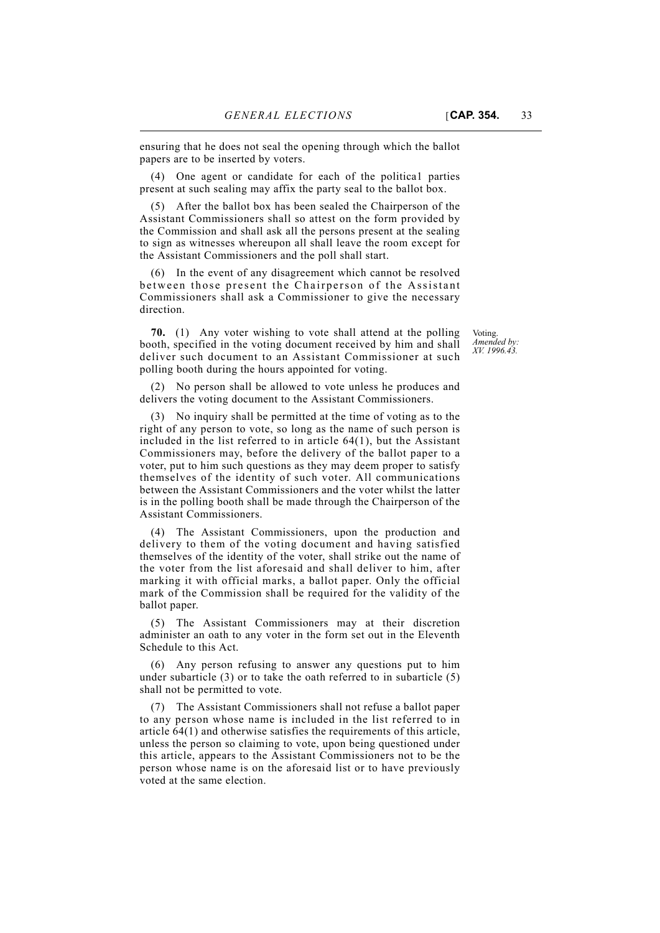ensuring that he does not seal the opening through which the ballot papers are to be inserted by voters.

(4) One agent or candidate for each of the politica1 parties present at such sealing may affix the party seal to the ballot box.

(5) After the ballot box has been sealed the Chairperson of the Assistant Commissioners shall so attest on the form provided by the Commission and shall ask all the persons present at the sealing to sign as witnesses whereupon all shall leave the room except for the Assistant Commissioners and the poll shall start.

(6) In the event of any disagreement which cannot be resolved between those present the Chairperson of the Assistant Commissioners shall ask a Commissioner to give the necessary direction.

**70.** (1) Any voter wishing to vote shall attend at the polling booth, specified in the voting document received by him and shall deliver such document to an Assistant Commissioner at such polling booth during the hours appointed for voting.

(2) No person shall be allowed to vote unless he produces and delivers the voting document to the Assistant Commissioners.

(3) No inquiry shall be permitted at the time of voting as to the right of any person to vote, so long as the name of such person is included in the list referred to in article 64(1), but the Assistant Commissioners may, before the delivery of the ballot paper to a voter, put to him such questions as they may deem proper to satisfy themselves of the identity of such voter. All communications between the Assistant Commissioners and the voter whilst the latter is in the polling booth shall be made through the Chairperson of the Assistant Commissioners.

(4) The Assistant Commissioners, upon the production and delivery to them of the voting document and having satisfied themselves of the identity of the voter, shall strike out the name of the voter from the list aforesaid and shall deliver to him, after marking it with official marks, a ballot paper. Only the official mark of the Commission shall be required for the validity of the ballot paper.

(5) The Assistant Commissioners may at their discretion administer an oath to any voter in the form set out in the Eleventh Schedule to this Act.

(6) Any person refusing to answer any questions put to him under subarticle (3) or to take the oath referred to in subarticle (5) shall not be permitted to vote.

(7) The Assistant Commissioners shall not refuse a ballot paper to any person whose name is included in the list referred to in article 64(1) and otherwise satisfies the requirements of this article, unless the person so claiming to vote, upon being questioned under this article, appears to the Assistant Commissioners not to be the person whose name is on the aforesaid list or to have previously voted at the same election.

Voting. *Amended by: XV. 1996.43.*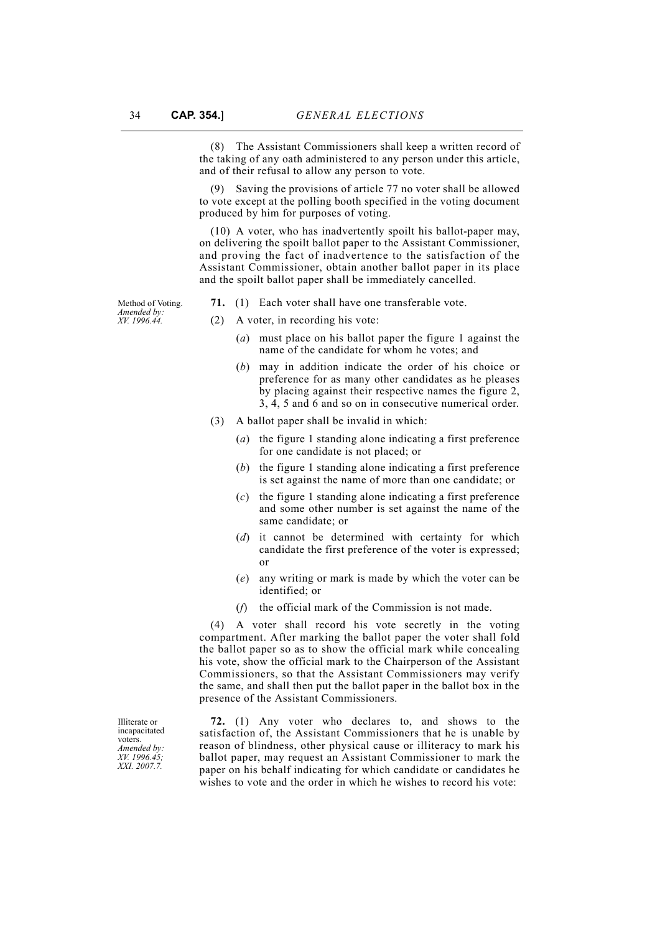(8) The Assistant Commissioners shall keep a written record of the taking of any oath administered to any person under this article, and of their refusal to allow any person to vote.

(9) Saving the provisions of article 77 no voter shall be allowed to vote except at the polling booth specified in the voting document produced by him for purposes of voting.

(10) A voter, who has inadvertently spoilt his ballot-paper may, on delivering the spoilt ballot paper to the Assistant Commissioner, and proving the fact of inadvertence to the satisfaction of the Assistant Commissioner, obtain another ballot paper in its place and the spoilt ballot paper shall be immediately cancelled.

Method of Voting. *Amended by: XV. 1996.44.*

- **71.** (1) Each voter shall have one transferable vote.
- (2) A voter, in recording his vote:
	- (*a*) must place on his ballot paper the figure 1 against the name of the candidate for whom he votes; and
	- (*b*) may in addition indicate the order of his choice or preference for as many other candidates as he pleases by placing against their respective names the figure 2, 3, 4, 5 and 6 and so on in consecutive numerical order.
- (3) A ballot paper shall be invalid in which:
	- (*a*) the figure 1 standing alone indicating a first preference for one candidate is not placed; or
	- (*b*) the figure 1 standing alone indicating a first preference is set against the name of more than one candidate; or
	- (*c*) the figure 1 standing alone indicating a first preference and some other number is set against the name of the same candidate; or
	- (*d*) it cannot be determined with certainty for which candidate the first preference of the voter is expressed; or
	- (*e*) any writing or mark is made by which the voter can be identified: or
	- (*f*) the official mark of the Commission is not made.

(4) A voter shall record his vote secretly in the voting compartment. After marking the ballot paper the voter shall fold the ballot paper so as to show the official mark while concealing his vote, show the official mark to the Chairperson of the Assistant Commissioners, so that the Assistant Commissioners may verify the same, and shall then put the ballot paper in the ballot box in the presence of the Assistant Commissioners.

**72.** (1) Any voter who declares to, and shows to the satisfaction of, the Assistant Commissioners that he is unable by reason of blindness, other physical cause or illiteracy to mark his ballot paper, may request an Assistant Commissioner to mark the paper on his behalf indicating for which candidate or candidates he wishes to vote and the order in which he wishes to record his vote:

Illiterate or incapacitated voters. *Amended by: XV. 1996.45; XXI. 2007.7.*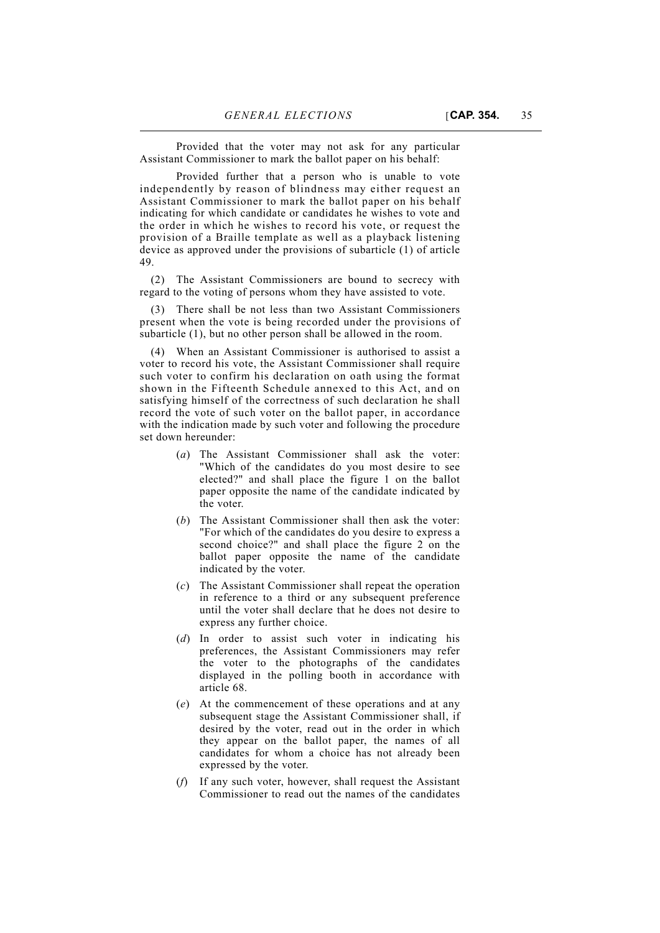Provided that the voter may not ask for any particular Assistant Commissioner to mark the ballot paper on his behalf:

Provided further that a person who is unable to vote independently by reason of blindness may either request an Assistant Commissioner to mark the ballot paper on his behalf indicating for which candidate or candidates he wishes to vote and the order in which he wishes to record his vote, or request the provision of a Braille template as well as a playback listening device as approved under the provisions of subarticle (1) of article 49.

(2) The Assistant Commissioners are bound to secrecy with regard to the voting of persons whom they have assisted to vote.

(3) There shall be not less than two Assistant Commissioners present when the vote is being recorded under the provisions of subarticle (1), but no other person shall be allowed in the room.

(4) When an Assistant Commissioner is authorised to assist a voter to record his vote, the Assistant Commissioner shall require such voter to confirm his declaration on oath using the format shown in the Fifteenth Schedule annexed to this Act, and on satisfying himself of the correctness of such declaration he shall record the vote of such voter on the ballot paper, in accordance with the indication made by such voter and following the procedure set down hereunder:

- (*a*) The Assistant Commissioner shall ask the voter: "Which of the candidates do you most desire to see elected?" and shall place the figure 1 on the ballot paper opposite the name of the candidate indicated by the voter.
- (*b*) The Assistant Commissioner shall then ask the voter: "For which of the candidates do you desire to express a second choice?" and shall place the figure 2 on the ballot paper opposite the name of the candidate indicated by the voter.
- (*c*) The Assistant Commissioner shall repeat the operation in reference to a third or any subsequent preference until the voter shall declare that he does not desire to express any further choice.
- (*d*) In order to assist such voter in indicating his preferences, the Assistant Commissioners may refer the voter to the photographs of the candidates displayed in the polling booth in accordance with article 68.
- (*e*) At the commencement of these operations and at any subsequent stage the Assistant Commissioner shall, if desired by the voter, read out in the order in which they appear on the ballot paper, the names of all candidates for whom a choice has not already been expressed by the voter.
- (*f*) If any such voter, however, shall request the Assistant Commissioner to read out the names of the candidates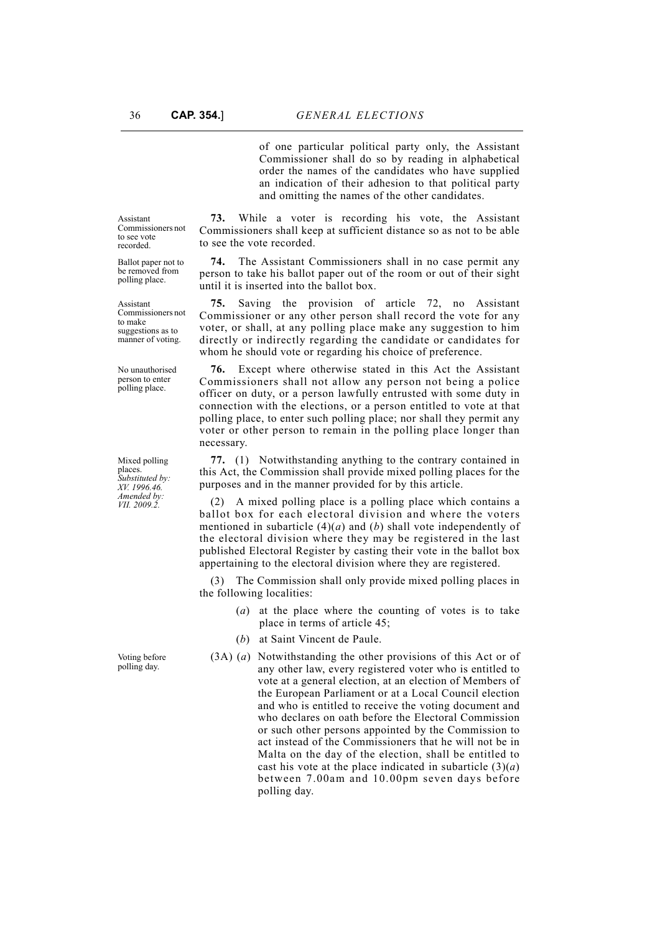of one particular political party only, the Assistant Commissioner shall do so by reading in alphabetical order the names of the candidates who have supplied an indication of their adhesion to that political party and omitting the names of the other candidates.

**73.** While a voter is recording his vote, the Assistant Commissioners shall keep at sufficient distance so as not to be able to see the vote recorded.

**74.** The Assistant Commissioners shall in no case permit any person to take his ballot paper out of the room or out of their sight until it is inserted into the ballot box.

**75.** Saving the provision of article 72, no Assistant Commissioner or any other person shall record the vote for any voter, or shall, at any polling place make any suggestion to him directly or indirectly regarding the candidate or candidates for whom he should vote or regarding his choice of preference.

**76.** Except where otherwise stated in this Act the Assistant Commissioners shall not allow any person not being a police officer on duty, or a person lawfully entrusted with some duty in connection with the elections, or a person entitled to vote at that polling place, to enter such polling place; nor shall they permit any voter or other person to remain in the polling place longer than necessary.

**77.** (1) Notwithstanding anything to the contrary contained in this Act, the Commission shall provide mixed polling places for the purposes and in the manner provided for by this article.

(2) A mixed polling place is a polling place which contains a ballot box for each electoral division and where the voters mentioned in subarticle (4)(*a*) and (*b*) shall vote independently of the electoral division where they may be registered in the last published Electoral Register by casting their vote in the ballot box appertaining to the electoral division where they are registered.

The Commission shall only provide mixed polling places in the following localities:

- (*a*) at the place where the counting of votes is to take place in terms of article 45;
- (*b*) at Saint Vincent de Paule.
- (3A) (*a*) Notwithstanding the other provisions of this Act or of any other law, every registered voter who is entitled to vote at a general election, at an election of Members of the European Parliament or at a Local Council election and who is entitled to receive the voting document and who declares on oath before the Electoral Commission or such other persons appointed by the Commission to act instead of the Commissioners that he will not be in Malta on the day of the election, shall be entitled to cast his vote at the place indicated in subarticle  $(3)(a)$ between 7.00am and 10.00pm seven days before polling day.

Assistant Commissioners not to see vote recorded.

Ballot paper not to be removed from polling place.

**A** ssistant Commissioners not to make suggestions as to manner of voting.

No unauthorised person to enter polling place.

Mixed polling places. *Substituted by: XV. 1996.46. Amended by: VII. 2009.2.*

Voting before polling day.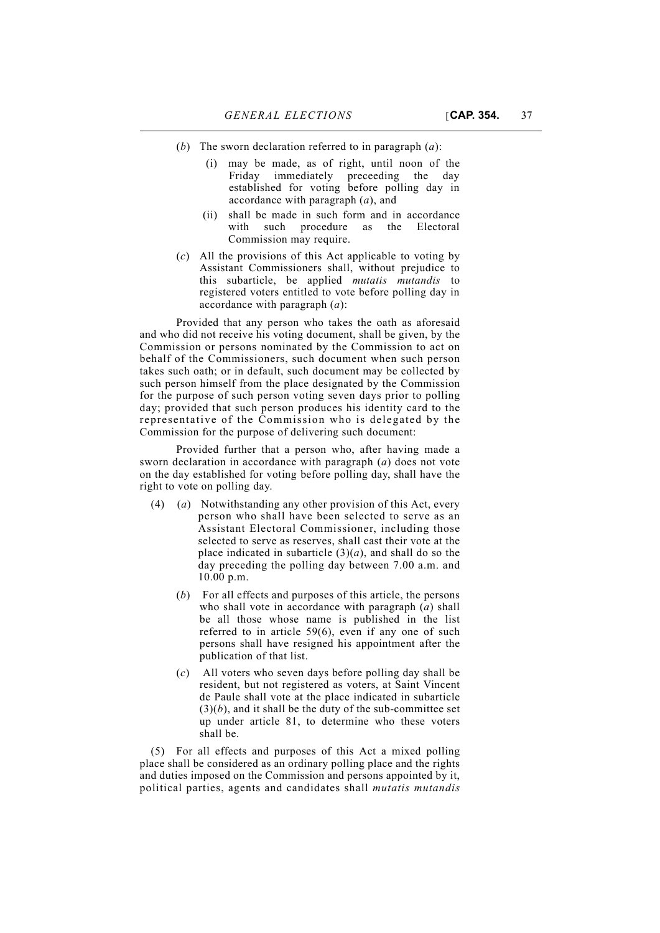- (*b*) The sworn declaration referred to in paragraph (*a*):
	- (i) may be made, as of right, until noon of the Friday immediately preceeding the day established for voting before polling day in accordance with paragraph (*a*), and
	- (ii) shall be made in such form and in accordance with such procedure as the Electoral Commission may require.
- (*c*) All the provisions of this Act applicable to voting by Assistant Commissioners shall, without prejudice to this subarticle, be applied *mutatis mutandis* to registered voters entitled to vote before polling day in accordance with paragraph (*a*):

Provided that any person who takes the oath as aforesaid and who did not receive his voting document, shall be given, by the Commission or persons nominated by the Commission to act on behalf of the Commissioners, such document when such person takes such oath; or in default, such document may be collected by such person himself from the place designated by the Commission for the purpose of such person voting seven days prior to polling day; provided that such person produces his identity card to the representative of the Commission who is delegated by the Commission for the purpose of delivering such document:

Provided further that a person who, after having made a sworn declaration in accordance with paragraph (*a*) does not vote on the day established for voting before polling day, shall have the right to vote on polling day.

- (4) (*a*) Notwithstanding any other provision of this Act, every person who shall have been selected to serve as an Assistant Electoral Commissioner, including those selected to serve as reserves, shall cast their vote at the place indicated in subarticle  $(3)(a)$ , and shall do so the day preceding the polling day between 7.00 a.m. and 10.00 p.m.
	- (*b*) For all effects and purposes of this article, the persons who shall vote in accordance with paragraph (*a*) shall be all those whose name is published in the list referred to in article 59(6), even if any one of such persons shall have resigned his appointment after the publication of that list.
	- (*c*) All voters who seven days before polling day shall be resident, but not registered as voters, at Saint Vincent de Paule shall vote at the place indicated in subarticle  $(3)(b)$ , and it shall be the duty of the sub-committee set up under article 81, to determine who these voters shall be.

(5) For all effects and purposes of this Act a mixed polling place shall be considered as an ordinary polling place and the rights and duties imposed on the Commission and persons appointed by it, political parties, agents and candidates shall *mutatis mutandis*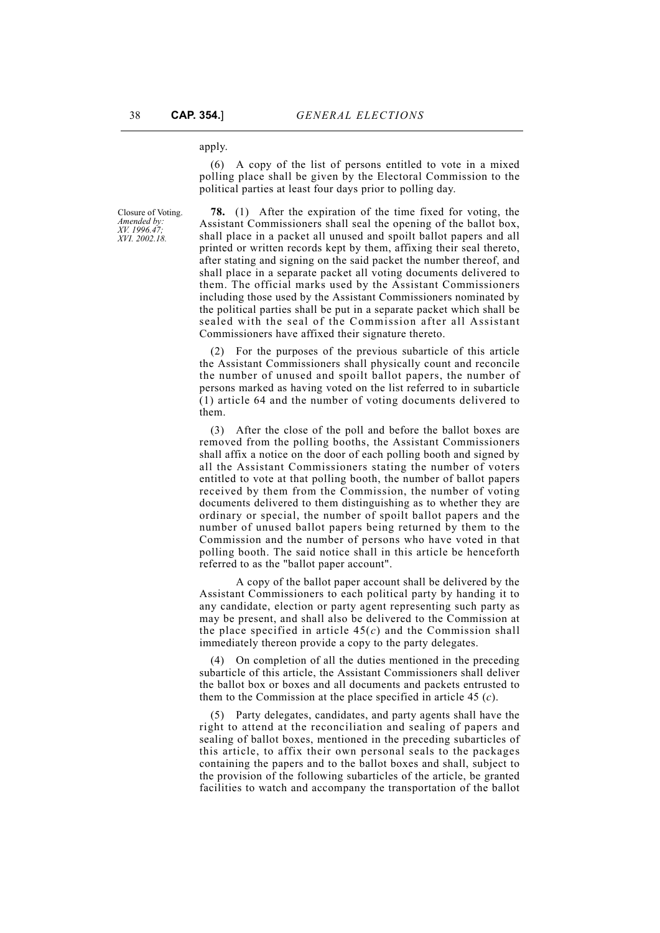#### apply.

(6) A copy of the list of persons entitled to vote in a mixed polling place shall be given by the Electoral Commission to the political parties at least four days prior to polling day.

Closure of Voting. *Amended by: XV. 1996.47; XVI. 2002.18.*

**78.** (1) After the expiration of the time fixed for voting, the Assistant Commissioners shall seal the opening of the ballot box, shall place in a packet all unused and spoilt ballot papers and all printed or written records kept by them, affixing their seal thereto, after stating and signing on the said packet the number thereof, and shall place in a separate packet all voting documents delivered to them. The official marks used by the Assistant Commissioners including those used by the Assistant Commissioners nominated by the political parties shall be put in a separate packet which shall be sealed with the seal of the Commission after all Assistant Commissioners have affixed their signature thereto.

(2) For the purposes of the previous subarticle of this article the Assistant Commissioners shall physically count and reconcile the number of unused and spoilt ballot papers, the number of persons marked as having voted on the list referred to in subarticle (1) article 64 and the number of voting documents delivered to them.

(3) After the close of the poll and before the ballot boxes are removed from the polling booths, the Assistant Commissioners shall affix a notice on the door of each polling booth and signed by all the Assistant Commissioners stating the number of voters entitled to vote at that polling booth, the number of ballot papers received by them from the Commission, the number of voting documents delivered to them distinguishing as to whether they are ordinary or special, the number of spoilt ballot papers and the number of unused ballot papers being returned by them to the Commission and the number of persons who have voted in that polling booth. The said notice shall in this article be henceforth referred to as the "ballot paper account".

A copy of the ballot paper account shall be delivered by the Assistant Commissioners to each political party by handing it to any candidate, election or party agent representing such party as may be present, and shall also be delivered to the Commission at the place specified in article  $45(c)$  and the Commission shall immediately thereon provide a copy to the party delegates.

(4) On completion of all the duties mentioned in the preceding subarticle of this article, the Assistant Commissioners shall deliver the ballot box or boxes and all documents and packets entrusted to them to the Commission at the place specified in article 45 (*c*).

(5) Party delegates, candidates, and party agents shall have the right to attend at the reconciliation and sealing of papers and sealing of ballot boxes, mentioned in the preceding subarticles of this article, to affix their own personal seals to the packages containing the papers and to the ballot boxes and shall, subject to the provision of the following subarticles of the article, be granted facilities to watch and accompany the transportation of the ballot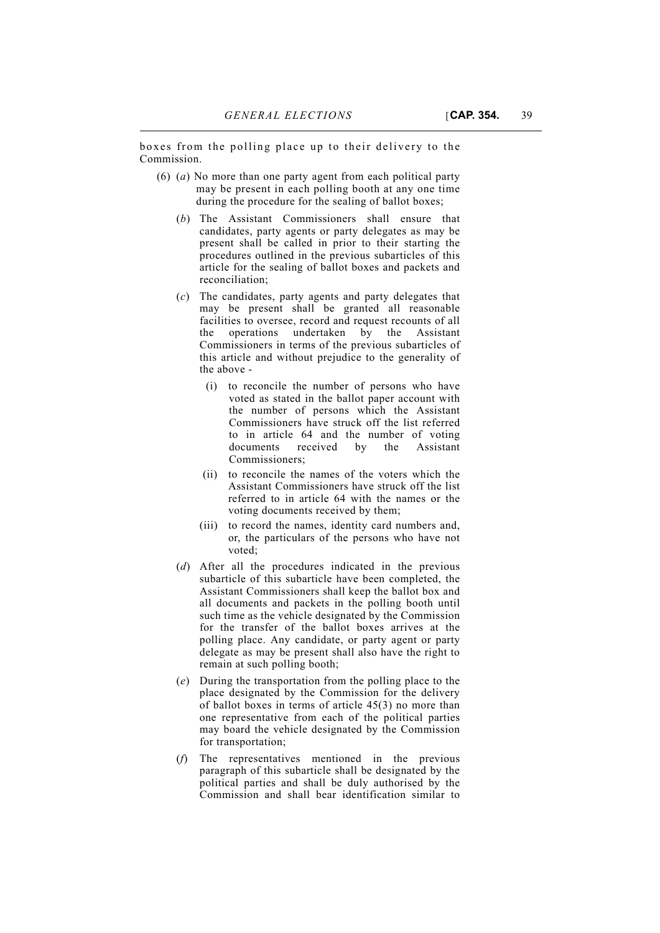boxes from the polling place up to their delivery to the Commission.

- (6) (*a*) No more than one party agent from each political party may be present in each polling booth at any one time during the procedure for the sealing of ballot boxes;
	- (*b*) The Assistant Commissioners shall ensure that candidates, party agents or party delegates as may be present shall be called in prior to their starting the procedures outlined in the previous subarticles of this article for the sealing of ballot boxes and packets and reconciliation;
	- (*c*) The candidates, party agents and party delegates that may be present shall be granted all reasonable facilities to oversee, record and request recounts of all operations undertaken by the Assistant Commissioners in terms of the previous subarticles of this article and without prejudice to the generality of the above -
		- (i) to reconcile the number of persons who have voted as stated in the ballot paper account with the number of persons which the Assistant Commissioners have struck off the list referred to in article 64 and the number of voting documents received by the Assistant Commissioners;
		- (ii) to reconcile the names of the voters which the Assistant Commissioners have struck off the list referred to in article 64 with the names or the voting documents received by them;
		- (iii) to record the names, identity card numbers and, or, the particulars of the persons who have not voted;
	- (*d*) After all the procedures indicated in the previous subarticle of this subarticle have been completed, the Assistant Commissioners shall keep the ballot box and all documents and packets in the polling booth until such time as the vehicle designated by the Commission for the transfer of the ballot boxes arrives at the polling place. Any candidate, or party agent or party delegate as may be present shall also have the right to remain at such polling booth;
	- (*e*) During the transportation from the polling place to the place designated by the Commission for the delivery of ballot boxes in terms of article 45(3) no more than one representative from each of the political parties may board the vehicle designated by the Commission for transportation;
	- (*f*) The representatives mentioned in the previous paragraph of this subarticle shall be designated by the political parties and shall be duly authorised by the Commission and shall bear identification similar to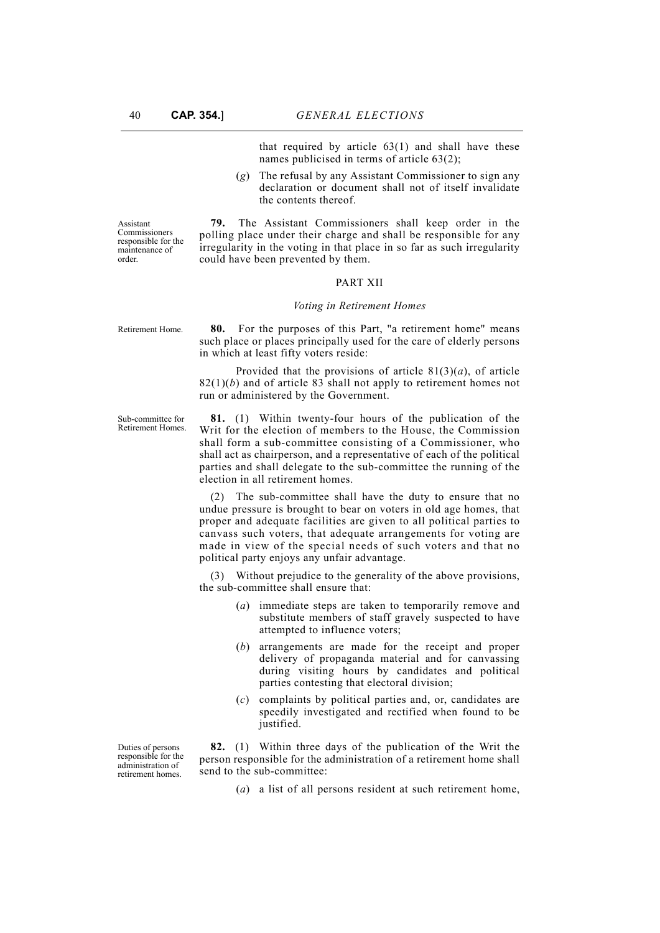that required by article  $63(1)$  and shall have these names publicised in terms of article 63(2);

(*g*) The refusal by any Assistant Commissioner to sign any declaration or document shall not of itself invalidate the contents thereof.

Assistant Commissioners responsible for the maintenance of order.

**79.** The Assistant Commissioners shall keep order in the polling place under their charge and shall be responsible for any irregularity in the voting in that place in so far as such irregularity could have been prevented by them.

#### PART XII

#### *Voting in Retirement Homes*

Retirement Home. **80.** For the purposes of this Part, "a retirement home" means such place or places principally used for the care of elderly persons in which at least fifty voters reside:

> Provided that the provisions of article  $81(3)(a)$ , of article  $82(1)(b)$  and of article 83 shall not apply to retirement homes not run or administered by the Government.

Sub-committee for Retirement Homes.

**81.** (1) Within twenty-four hours of the publication of the Writ for the election of members to the House, the Commission shall form a sub-committee consisting of a Commissioner, who shall act as chairperson, and a representative of each of the political parties and shall delegate to the sub-committee the running of the election in all retirement homes.

(2) The sub-committee shall have the duty to ensure that no undue pressure is brought to bear on voters in old age homes, that proper and adequate facilities are given to all political parties to canvass such voters, that adequate arrangements for voting are made in view of the special needs of such voters and that no political party enjoys any unfair advantage.

(3) Without prejudice to the generality of the above provisions, the sub-committee shall ensure that:

- (*a*) immediate steps are taken to temporarily remove and substitute members of staff gravely suspected to have attempted to influence voters;
- (*b*) arrangements are made for the receipt and proper delivery of propaganda material and for canvassing during visiting hours by candidates and political parties contesting that electoral division;
- (*c*) complaints by political parties and, or, candidates are speedily investigated and rectified when found to be justified.

**82.** (1) Within three days of the publication of the Writ the person responsible for the administration of a retirement home shall send to the sub-committee:

(*a*) a list of all persons resident at such retirement home,

Duties of persons responsible for the administration of retirement homes.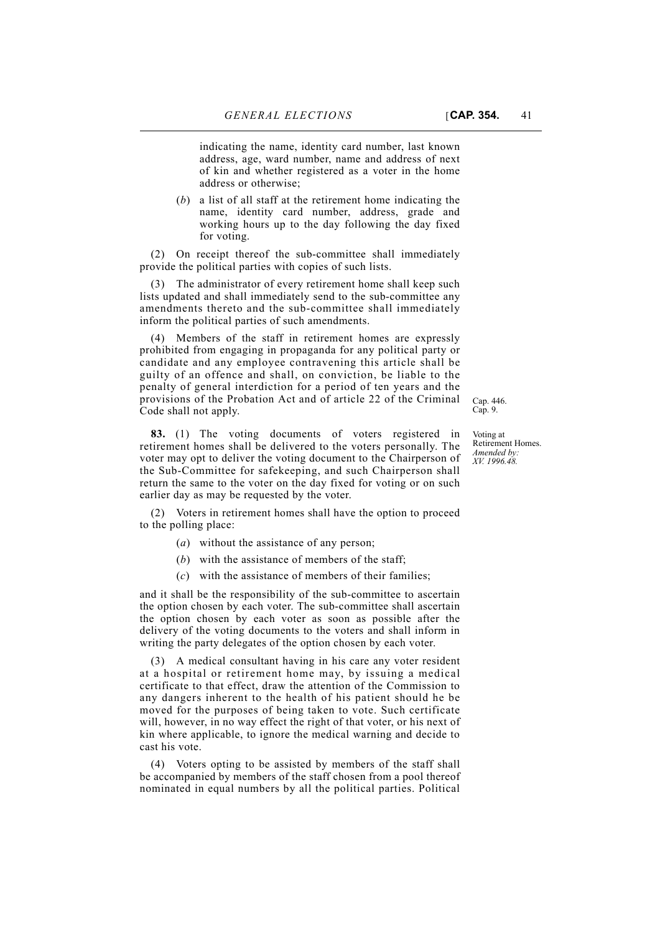indicating the name, identity card number, last known address, age, ward number, name and address of next of kin and whether registered as a voter in the home address or otherwise;

(*b*) a list of all staff at the retirement home indicating the name, identity card number, address, grade and working hours up to the day following the day fixed for voting.

(2) On receipt thereof the sub-committee shall immediately provide the political parties with copies of such lists.

(3) The administrator of every retirement home shall keep such lists updated and shall immediately send to the sub-committee any amendments thereto and the sub-committee shall immediately inform the political parties of such amendments.

(4) Members of the staff in retirement homes are expressly prohibited from engaging in propaganda for any political party or candidate and any employee contravening this article shall be guilty of an offence and shall, on conviction, be liable to the penalty of general interdiction for a period of ten years and the provisions of the Probation Act and of article 22 of the Criminal Code shall not apply.

**83.** (1) The voting documents of voters registered in retirement homes shall be delivered to the voters personally. The voter may opt to deliver the voting document to the Chairperson of the Sub-Committee for safekeeping, and such Chairperson shall return the same to the voter on the day fixed for voting or on such earlier day as may be requested by the voter.

(2) Voters in retirement homes shall have the option to proceed to the polling place:

- (*a*) without the assistance of any person;
- (*b*) with the assistance of members of the staff;
- (*c*) with the assistance of members of their families;

and it shall be the responsibility of the sub-committee to ascertain the option chosen by each voter. The sub-committee shall ascertain the option chosen by each voter as soon as possible after the delivery of the voting documents to the voters and shall inform in writing the party delegates of the option chosen by each voter.

(3) A medical consultant having in his care any voter resident at a hospital or retirement home may, by issuing a medical certificate to that effect, draw the attention of the Commission to any dangers inherent to the health of his patient should he be moved for the purposes of being taken to vote. Such certificate will, however, in no way effect the right of that voter, or his next of kin where applicable, to ignore the medical warning and decide to cast his vote.

(4) Voters opting to be assisted by members of the staff shall be accompanied by members of the staff chosen from a pool thereof nominated in equal numbers by all the political parties. Political

Voting at Retirement Homes. *Amended by: XV. 1996.48.*

Cap. 446. Cap. 9.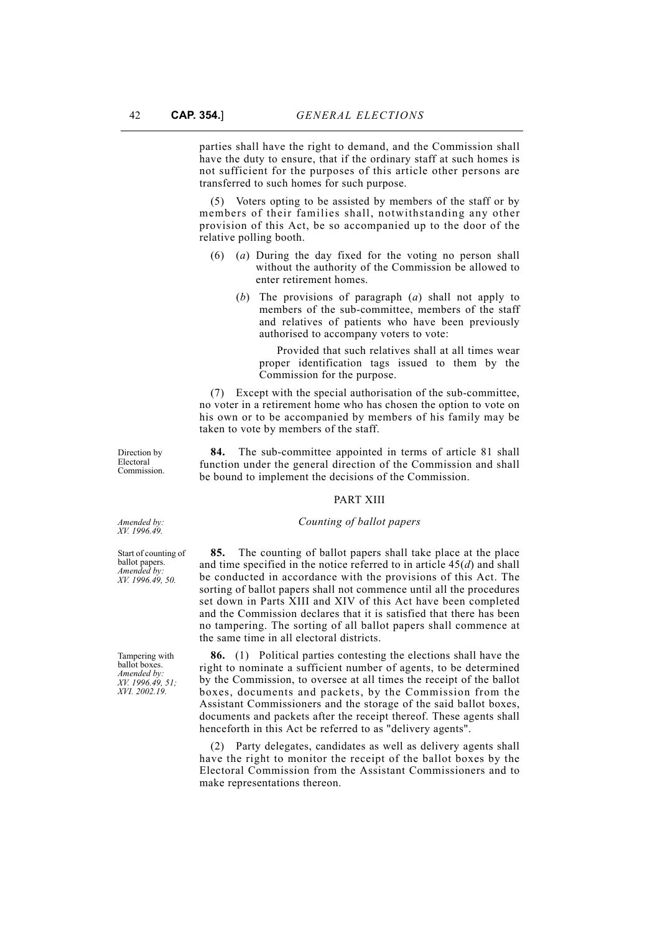parties shall have the right to demand, and the Commission shall have the duty to ensure, that if the ordinary staff at such homes is not sufficient for the purposes of this article other persons are transferred to such homes for such purpose.

(5) Voters opting to be assisted by members of the staff or by members of their families shall, notwithstanding any other provision of this Act, be so accompanied up to the door of the relative polling booth.

- (6) (*a*) During the day fixed for the voting no person shall without the authority of the Commission be allowed to enter retirement homes.
	- (*b*) The provisions of paragraph (*a*) shall not apply to members of the sub-committee, members of the staff and relatives of patients who have been previously authorised to accompany voters to vote:

Provided that such relatives shall at all times wear proper identification tags issued to them by the Commission for the purpose.

(7) Except with the special authorisation of the sub-committee, no voter in a retirement home who has chosen the option to vote on his own or to be accompanied by members of his family may be taken to vote by members of the staff.

**84.** The sub-committee appointed in terms of article 81 shall function under the general direction of the Commission and shall be bound to implement the decisions of the Commission.

#### PART XIII

#### *Counting of ballot papers*

**85.** The counting of ballot papers shall take place at the place and time specified in the notice referred to in article 45(*d*) and shall be conducted in accordance with the provisions of this Act. The sorting of ballot papers shall not commence until all the procedures set down in Parts XIII and XIV of this Act have been completed and the Commission declares that it is satisfied that there has been no tampering. The sorting of all ballot papers shall commence at the same time in all electoral districts.

**86.** (1) Political parties contesting the elections shall have the right to nominate a sufficient number of agents, to be determined by the Commission, to oversee at all times the receipt of the ballot boxes, documents and packets, by the Commission from the Assistant Commissioners and the storage of the said ballot boxes, documents and packets after the receipt thereof. These agents shall henceforth in this Act be referred to as "delivery agents".

(2) Party delegates, candidates as well as delivery agents shall have the right to monitor the receipt of the ballot boxes by the Electoral Commission from the Assistant Commissioners and to make representations thereon.

Direction by Electoral Commission.

*Amended by: XV. 1996.49.*

Start of counting of ballot papers. *Amended by: XV. 1996.49, 50.*

Tampering with ballot boxes. *Amended by: XV. 1996.49, 51; XVI. 2002.19.*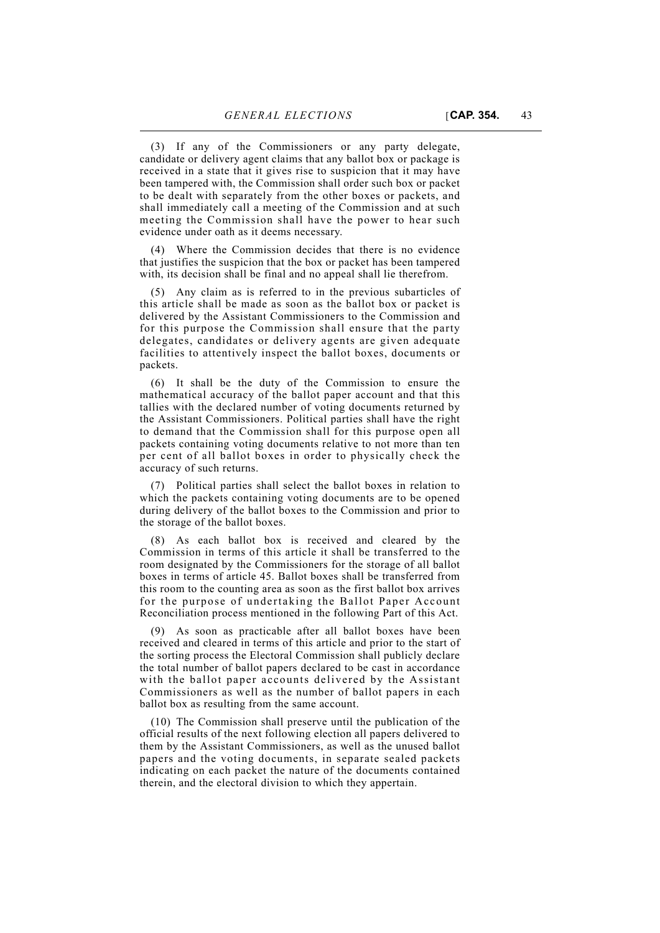(3) If any of the Commissioners or any party delegate, candidate or delivery agent claims that any ballot box or package is received in a state that it gives rise to suspicion that it may have been tampered with, the Commission shall order such box or packet to be dealt with separately from the other boxes or packets, and shall immediately call a meeting of the Commission and at such meeting the Commission shall have the power to hear such evidence under oath as it deems necessary.

(4) Where the Commission decides that there is no evidence that justifies the suspicion that the box or packet has been tampered with, its decision shall be final and no appeal shall lie therefrom.

(5) Any claim as is referred to in the previous subarticles of this article shall be made as soon as the ballot box or packet is delivered by the Assistant Commissioners to the Commission and for this purpose the Commission shall ensure that the party delegates, candidates or delivery agents are given adequate facilities to attentively inspect the ballot boxes, documents or packets.

(6) It shall be the duty of the Commission to ensure the mathematical accuracy of the ballot paper account and that this tallies with the declared number of voting documents returned by the Assistant Commissioners. Political parties shall have the right to demand that the Commission shall for this purpose open all packets containing voting documents relative to not more than ten per cent of all ballot boxes in order to physically check the accuracy of such returns.

(7) Political parties shall select the ballot boxes in relation to which the packets containing voting documents are to be opened during delivery of the ballot boxes to the Commission and prior to the storage of the ballot boxes.

(8) As each ballot box is received and cleared by the Commission in terms of this article it shall be transferred to the room designated by the Commissioners for the storage of all ballot boxes in terms of article 45. Ballot boxes shall be transferred from this room to the counting area as soon as the first ballot box arrives for the purpose of undertaking the Ballot Paper Account Reconciliation process mentioned in the following Part of this Act.

(9) As soon as practicable after all ballot boxes have been received and cleared in terms of this article and prior to the start of the sorting process the Electoral Commission shall publicly declare the total number of ballot papers declared to be cast in accordance with the ballot paper accounts delivered by the Assistant Commissioners as well as the number of ballot papers in each ballot box as resulting from the same account.

(10) The Commission shall preserve until the publication of the official results of the next following election all papers delivered to them by the Assistant Commissioners, as well as the unused ballot papers and the voting documents, in separate sealed packets indicating on each packet the nature of the documents contained therein, and the electoral division to which they appertain.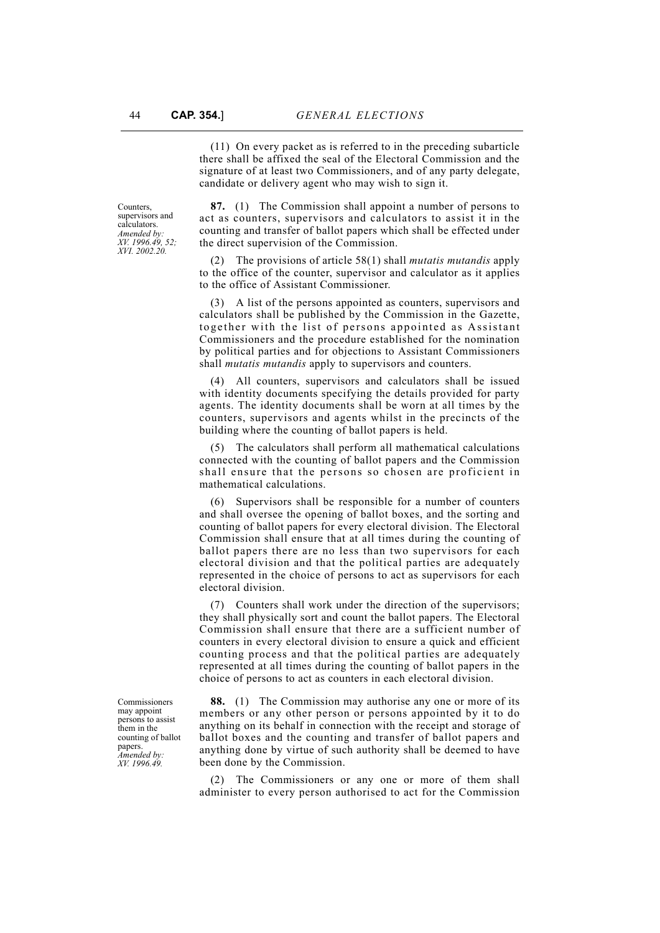(11) On every packet as is referred to in the preceding subarticle there shall be affixed the seal of the Electoral Commission and the signature of at least two Commissioners, and of any party delegate, candidate or delivery agent who may wish to sign it.

Counters, supervisors and calculators. *Amended by: XV. 1996.49, 52; XVI. 2002.20.*

**87.** (1) The Commission shall appoint a number of persons to act as counters, supervisors and calculators to assist it in the counting and transfer of ballot papers which shall be effected under the direct supervision of the Commission.

(2) The provisions of article 58(1) shall *mutatis mutandis* apply to the office of the counter, supervisor and calculator as it applies to the office of Assistant Commissioner.

(3) A list of the persons appointed as counters, supervisors and calculators shall be published by the Commission in the Gazette, together with the list of persons appointed as Assistant Commissioners and the procedure established for the nomination by political parties and for objections to Assistant Commissioners shall *mutatis mutandis* apply to supervisors and counters.

(4) All counters, supervisors and calculators shall be issued with identity documents specifying the details provided for party agents. The identity documents shall be worn at all times by the counters, supervisors and agents whilst in the precincts of the building where the counting of ballot papers is held.

(5) The calculators shall perform all mathematical calculations connected with the counting of ballot papers and the Commission shall ensure that the persons so chosen are proficient in mathematical calculations.

(6) Supervisors shall be responsible for a number of counters and shall oversee the opening of ballot boxes, and the sorting and counting of ballot papers for every electoral division. The Electoral Commission shall ensure that at all times during the counting of ballot papers there are no less than two supervisors for each electoral division and that the political parties are adequately represented in the choice of persons to act as supervisors for each electoral division.

(7) Counters shall work under the direction of the supervisors; they shall physically sort and count the ballot papers. The Electoral Commission shall ensure that there are a sufficient number of counters in every electoral division to ensure a quick and efficient counting process and that the political parties are adequately represented at all times during the counting of ballot papers in the choice of persons to act as counters in each electoral division.

**88.** (1) The Commission may authorise any one or more of its members or any other person or persons appointed by it to do anything on its behalf in connection with the receipt and storage of ballot boxes and the counting and transfer of ballot papers and anything done by virtue of such authority shall be deemed to have been done by the Commission.

(2) The Commissioners or any one or more of them shall administer to every person authorised to act for the Commission

Commissioners may appoint persons to assist them in the counting of ballot papers. *Amended by: XV. 1996.49.*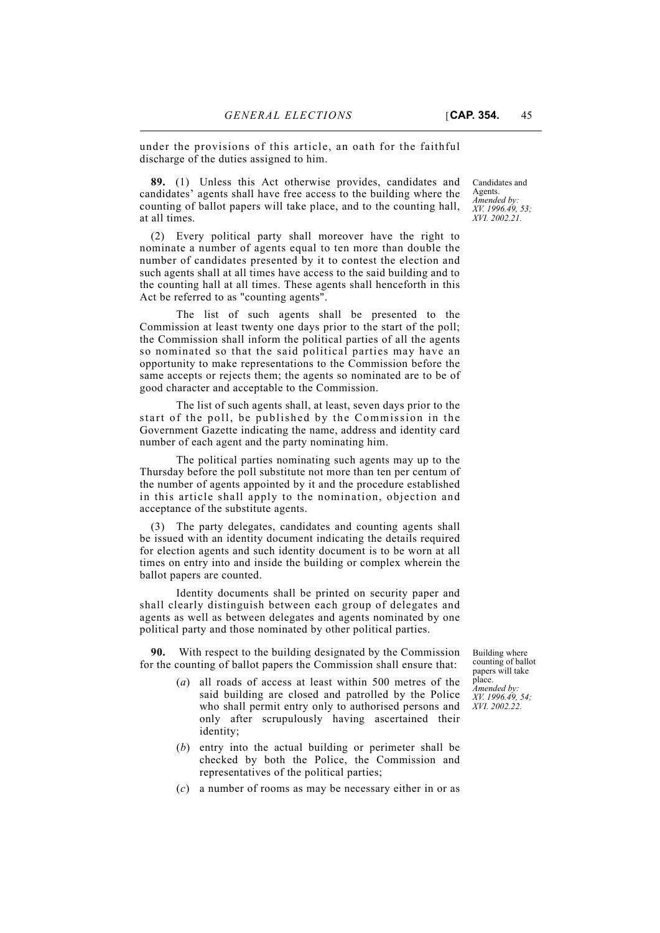under the provisions of this article, an oath for the faithful discharge of the duties assigned to him.

**89.** (1) Unless this Act otherwise provides, candidates and candidates' agents shall have free access to the building where the counting of ballot papers will take place, and to the counting hall, at all times.

(2) Every political party shall moreover have the right to nominate a number of agents equal to ten more than double the number of candidates presented by it to contest the election and such agents shall at all times have access to the said building and to the counting hall at all times. These agents shall henceforth in this Act be referred to as "counting agents".

The list of such agents shall be presented to the Commission at least twenty one days prior to the start of the poll; the Commission shall inform the political parties of all the agents so nominated so that the said political parties may have an opportunity to make representations to the Commission before the same accepts or rejects them; the agents so nominated are to be of good character and acceptable to the Commission.

The list of such agents shall, at least, seven days prior to the start of the poll, be published by the Commission in the Government Gazette indicating the name, address and identity card number of each agent and the party nominating him.

The political parties nominating such agents may up to the Thursday before the poll substitute not more than ten per centum of the number of agents appointed by it and the procedure established in this article shall apply to the nomination, objection and acceptance of the substitute agents.

(3) The party delegates, candidates and counting agents shall be issued with an identity document indicating the details required for election agents and such identity document is to be worn at all times on entry into and inside the building or complex wherein the ballot papers are counted.

Identity documents shall be printed on security paper and shall clearly distinguish between each group of delegates and agents as well as between delegates and agents nominated by one political party and those nominated by other political parties.

**90.** With respect to the building designated by the Commission for the counting of ballot papers the Commission shall ensure that:

- (*a*) all roads of access at least within 500 metres of the said building are closed and patrolled by the Police who shall permit entry only to authorised persons and only after scrupulously having ascertained their identity;
- (*b*) entry into the actual building or perimeter shall be checked by both the Police, the Commission and representatives of the political parties;
- (*c*) a number of rooms as may be necessary either in or as

Candidates and Agents. *Amended by: XV. 1996.49, 53; XVI. 2002.21.*

Building where counting of ballot papers will take place.

*Amended by: XV. 1996.49, 54; XVI. 2002.22.*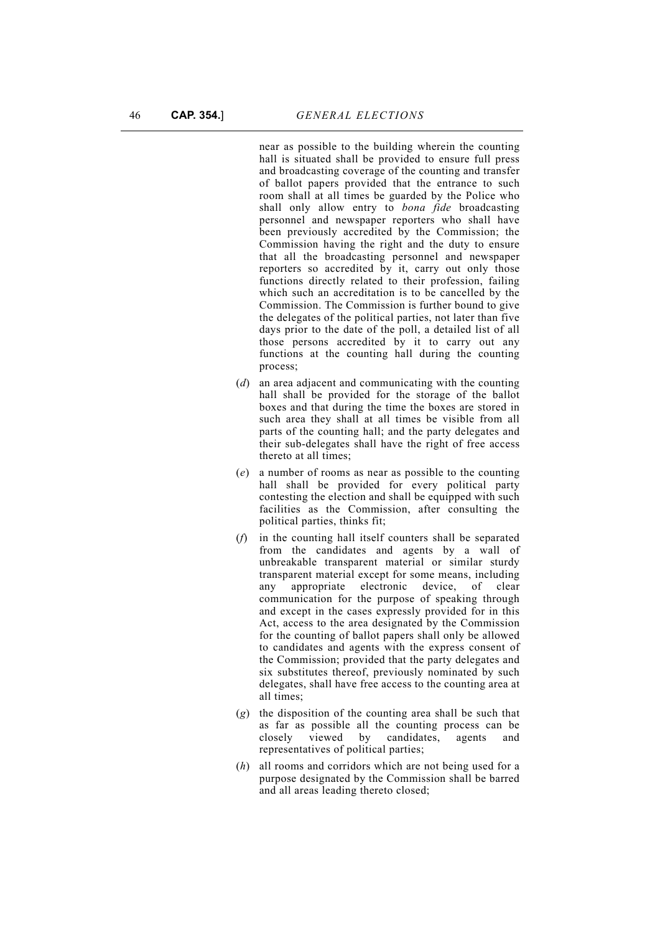near as possible to the building wherein the counting hall is situated shall be provided to ensure full press and broadcasting coverage of the counting and transfer of ballot papers provided that the entrance to such room shall at all times be guarded by the Police who shall only allow entry to *bona fide* broadcasting personnel and newspaper reporters who shall have been previously accredited by the Commission; the Commission having the right and the duty to ensure that all the broadcasting personnel and newspaper reporters so accredited by it, carry out only those functions directly related to their profession, failing which such an accreditation is to be cancelled by the Commission. The Commission is further bound to give the delegates of the political parties, not later than five days prior to the date of the poll, a detailed list of all those persons accredited by it to carry out any functions at the counting hall during the counting process;

- (*d*) an area adjacent and communicating with the counting hall shall be provided for the storage of the ballot boxes and that during the time the boxes are stored in such area they shall at all times be visible from all parts of the counting hall; and the party delegates and their sub-delegates shall have the right of free access thereto at all times;
- (*e*) a number of rooms as near as possible to the counting hall shall be provided for every political party contesting the election and shall be equipped with such facilities as the Commission, after consulting the political parties, thinks fit;
- (*f*) in the counting hall itself counters shall be separated from the candidates and agents by a wall of unbreakable transparent material or similar sturdy transparent material except for some means, including any appropriate electronic device, of clear communication for the purpose of speaking through and except in the cases expressly provided for in this Act, access to the area designated by the Commission for the counting of ballot papers shall only be allowed to candidates and agents with the express consent of the Commission; provided that the party delegates and six substitutes thereof, previously nominated by such delegates, shall have free access to the counting area at all times;
- (*g*) the disposition of the counting area shall be such that as far as possible all the counting process can be closely viewed by candidates, agents and representatives of political parties;
- (*h*) all rooms and corridors which are not being used for a purpose designated by the Commission shall be barred and all areas leading thereto closed;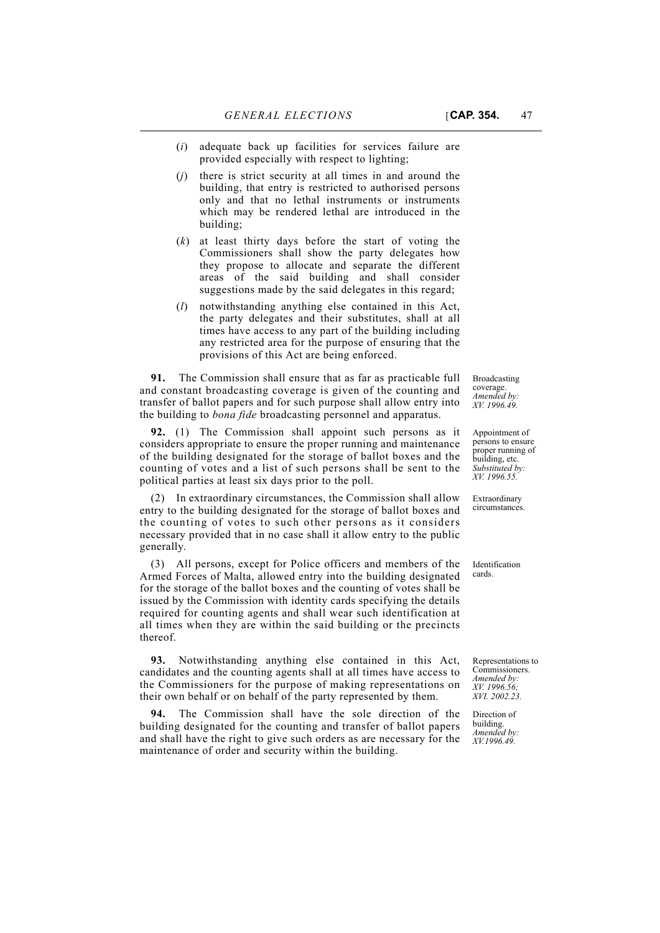- (*i*) adequate back up facilities for services failure are provided especially with respect to lighting;
- (*j*) there is strict security at all times in and around the building, that entry is restricted to authorised persons only and that no lethal instruments or instruments which may be rendered lethal are introduced in the building;
- (*k*) at least thirty days before the start of voting the Commissioners shall show the party delegates how they propose to allocate and separate the different areas of the said building and shall consider suggestions made by the said delegates in this regard;
- (*l*) notwithstanding anything else contained in this Act, the party delegates and their substitutes, shall at all times have access to any part of the building including any restricted area for the purpose of ensuring that the provisions of this Act are being enforced.

**91.** The Commission shall ensure that as far as practicable full and constant broadcasting coverage is given of the counting and transfer of ballot papers and for such purpose shall allow entry into the building to *bona fide* broadcasting personnel and apparatus.

**92.** (1) The Commission shall appoint such persons as it considers appropriate to ensure the proper running and maintenance of the building designated for the storage of ballot boxes and the counting of votes and a list of such persons shall be sent to the political parties at least six days prior to the poll.

(2) In extraordinary circumstances, the Commission shall allow entry to the building designated for the storage of ballot boxes and the counting of votes to such other persons as it considers necessary provided that in no case shall it allow entry to the public generally.

(3) All persons, except for Police officers and members of the Armed Forces of Malta, allowed entry into the building designated for the storage of the ballot boxes and the counting of votes shall be issued by the Commission with identity cards specifying the details required for counting agents and shall wear such identification at all times when they are within the said building or the precincts thereof.

**93.** Notwithstanding anything else contained in this Act, candidates and the counting agents shall at all times have access to the Commissioners for the purpose of making representations on their own behalf or on behalf of the party represented by them.

**94.** The Commission shall have the sole direction of the building designated for the counting and transfer of ballot papers and shall have the right to give such orders as are necessary for the maintenance of order and security within the building.

Broadcasting coverage. *Amended by: XV. 1996.49.*

Appointment of persons to ensure proper running of building, etc. *Substituted by: XV. 1996.55.*

Extraordinary circumstances.

Identification cards.

Representations to Commissioners. *Amended by: XV. 1996.56; XVI. 2002.23.*

Direction of building. *Amended by: XV.1996.49.*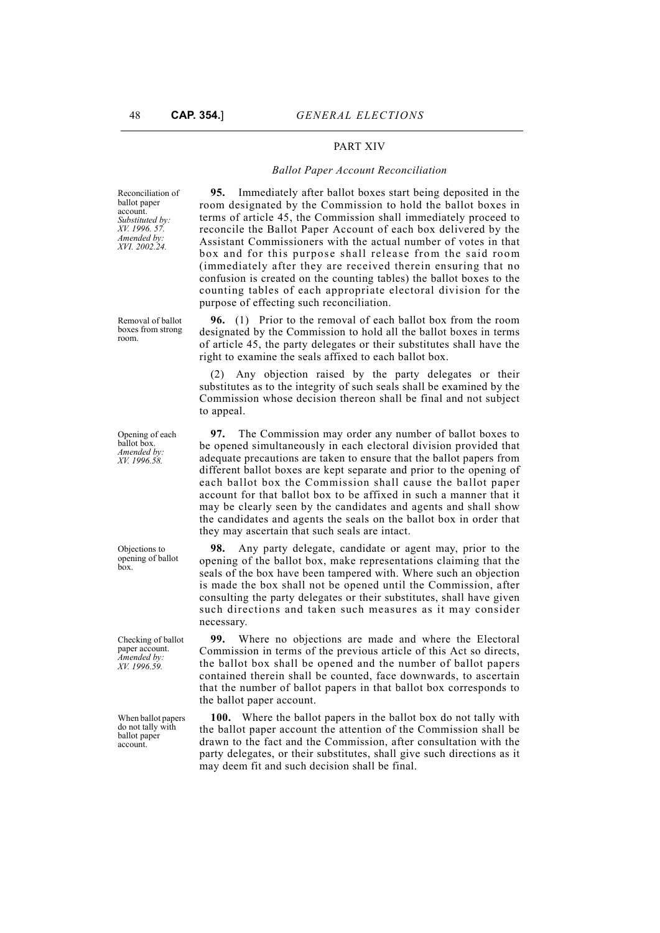### PART XIV

#### *Ballot Paper Account Reconciliation*

Reconciliation of ballot paper account. *Substituted by: XV. 1996. 57. Amended by: XVI. 2002.24.*

**95.** Immediately after ballot boxes start being deposited in the room designated by the Commission to hold the ballot boxes in terms of article 45, the Commission shall immediately proceed to reconcile the Ballot Paper Account of each box delivered by the Assistant Commissioners with the actual number of votes in that box and for this purpose shall release from the said room (immediately after they are received therein ensuring that no confusion is created on the counting tables) the ballot boxes to the counting tables of each appropriate electoral division for the purpose of effecting such reconciliation.

**96.** (1) Prior to the removal of each ballot box from the room designated by the Commission to hold all the ballot boxes in terms of article 45, the party delegates or their substitutes shall have the right to examine the seals affixed to each ballot box.

(2) Any objection raised by the party delegates or their substitutes as to the integrity of such seals shall be examined by the Commission whose decision thereon shall be final and not subject to appeal.

**97.** The Commission may order any number of ballot boxes to be opened simultaneously in each electoral division provided that adequate precautions are taken to ensure that the ballot papers from different ballot boxes are kept separate and prior to the opening of each ballot box the Commission shall cause the ballot paper account for that ballot box to be affixed in such a manner that it may be clearly seen by the candidates and agents and shall show the candidates and agents the seals on the ballot box in order that they may ascertain that such seals are intact.

**98.** Any party delegate, candidate or agent may, prior to the opening of the ballot box, make representations claiming that the seals of the box have been tampered with. Where such an objection is made the box shall not be opened until the Commission, after consulting the party delegates or their substitutes, shall have given such directions and taken such measures as it may consider necessary.

**99.** Where no objections are made and where the Electoral Commission in terms of the previous article of this Act so directs, the ballot box shall be opened and the number of ballot papers contained therein shall be counted, face downwards, to ascertain that the number of ballot papers in that ballot box corresponds to the ballot paper account.

**100.** Where the ballot papers in the ballot box do not tally with the ballot paper account the attention of the Commission shall be drawn to the fact and the Commission, after consultation with the party delegates, or their substitutes, shall give such directions as it may deem fit and such decision shall be final.

Removal of ballot boxes from strong room.

Opening of each ballot box. *Amended by: XV. 1996.58.*

Objections to opening of ballot box.

Checking of ballot paper account. *Amended by: XV. 1996.59.*

When ballot papers do not tally with ballot paper account.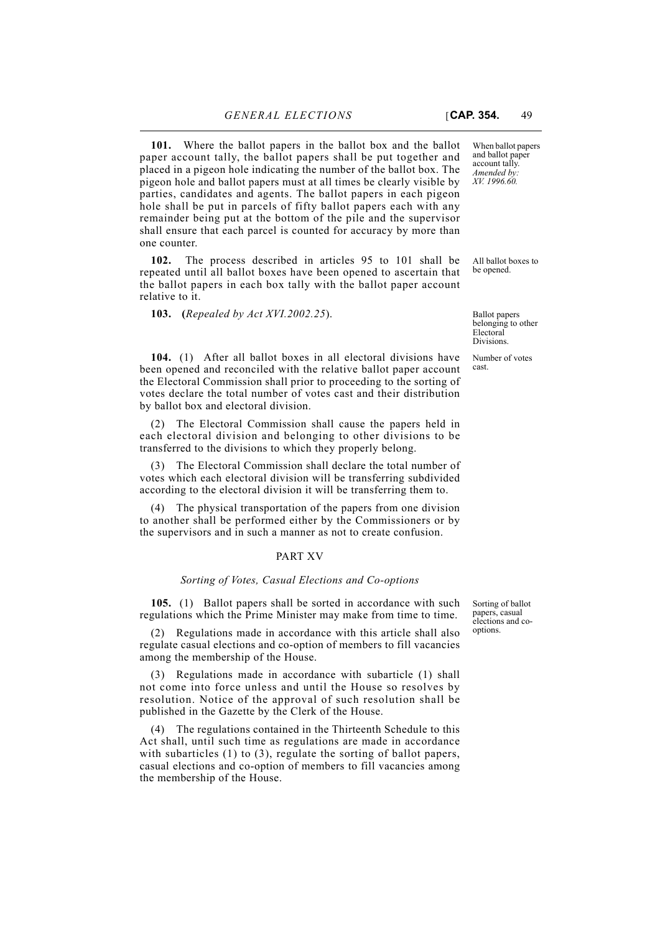**101.** Where the ballot papers in the ballot box and the ballot paper account tally, the ballot papers shall be put together and placed in a pigeon hole indicating the number of the ballot box. The pigeon hole and ballot papers must at all times be clearly visible by parties, candidates and agents. The ballot papers in each pigeon hole shall be put in parcels of fifty ballot papers each with any remainder being put at the bottom of the pile and the supervisor shall ensure that each parcel is counted for accuracy by more than one counter.

**102.** The process described in articles 95 to 101 shall be repeated until all ballot boxes have been opened to ascertain that the ballot papers in each box tally with the ballot paper account relative to it.

**103. (***Repealed by Act XVI.2002.25*).

**104.** (1) After all ballot boxes in all electoral divisions have been opened and reconciled with the relative ballot paper account the Electoral Commission shall prior to proceeding to the sorting of votes declare the total number of votes cast and their distribution by ballot box and electoral division.

(2) The Electoral Commission shall cause the papers held in each electoral division and belonging to other divisions to be transferred to the divisions to which they properly belong.

(3) The Electoral Commission shall declare the total number of votes which each electoral division will be transferring subdivided according to the electoral division it will be transferring them to.

(4) The physical transportation of the papers from one division to another shall be performed either by the Commissioners or by the supervisors and in such a manner as not to create confusion.

#### PART XV

#### *Sorting of Votes, Casual Elections and Co-options*

**105.** (1) Ballot papers shall be sorted in accordance with such regulations which the Prime Minister may make from time to time.

(2) Regulations made in accordance with this article shall also regulate casual elections and co-option of members to fill vacancies among the membership of the House.

(3) Regulations made in accordance with subarticle (1) shall not come into force unless and until the House so resolves by resolution. Notice of the approval of such resolution shall be published in the Gazette by the Clerk of the House.

(4) The regulations contained in the Thirteenth Schedule to this Act shall, until such time as regulations are made in accordance with subarticles (1) to (3), regulate the sorting of ballot papers, casual elections and co-option of members to fill vacancies among the membership of the House.

Sorting of ballot papers, casual elections and cooptions.

When ballot papers and ballot paper account tally. *Amended by: XV. 1996.60.*

All ballot boxes to be opened.

Ballot papers belonging to other Electoral Divisions.

Number of votes cast.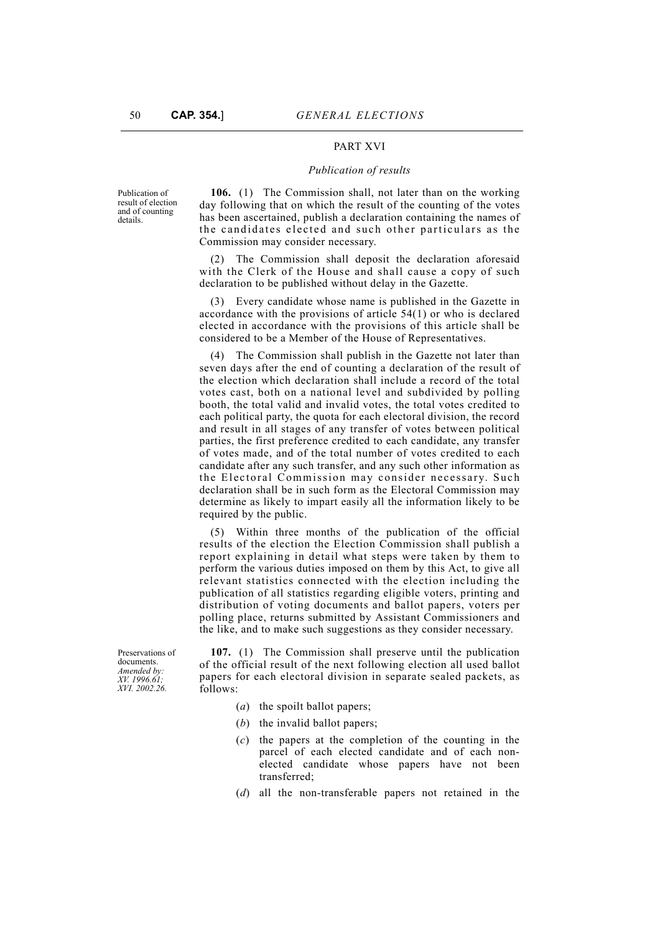#### PART XVI

#### *Publication of results*

Publication of result of election and of counting details.

**106.** (1) The Commission shall, not later than on the working day following that on which the result of the counting of the votes has been ascertained, publish a declaration containing the names of the candidates elected and such other particulars as the Commission may consider necessary.

(2) The Commission shall deposit the declaration aforesaid with the Clerk of the House and shall cause a copy of such declaration to be published without delay in the Gazette.

(3) Every candidate whose name is published in the Gazette in accordance with the provisions of article 54(1) or who is declared elected in accordance with the provisions of this article shall be considered to be a Member of the House of Representatives.

(4) The Commission shall publish in the Gazette not later than seven days after the end of counting a declaration of the result of the election which declaration shall include a record of the total votes cast, both on a national level and subdivided by polling booth, the total valid and invalid votes, the total votes credited to each political party, the quota for each electoral division, the record and result in all stages of any transfer of votes between political parties, the first preference credited to each candidate, any transfer of votes made, and of the total number of votes credited to each candidate after any such transfer, and any such other information as the Electoral Commission may consider necessary. Such declaration shall be in such form as the Electoral Commission may determine as likely to impart easily all the information likely to be required by the public.

(5) Within three months of the publication of the official results of the election the Election Commission shall publish a report explaining in detail what steps were taken by them to perform the various duties imposed on them by this Act, to give all relevant statistics connected with the election including the publication of all statistics regarding eligible voters, printing and distribution of voting documents and ballot papers, voters per polling place, returns submitted by Assistant Commissioners and the like, and to make such suggestions as they consider necessary.

Preservations of documents. *Amended by: XV. 1996.61; XVI. 2002.26.*

**107.** (1) The Commission shall preserve until the publication of the official result of the next following election all used ballot papers for each electoral division in separate sealed packets, as follows:

- (*a*) the spoilt ballot papers;
- (*b*) the invalid ballot papers;
- (*c*) the papers at the completion of the counting in the parcel of each elected candidate and of each nonelected candidate whose papers have not been transferred;
- (*d*) all the non-transferable papers not retained in the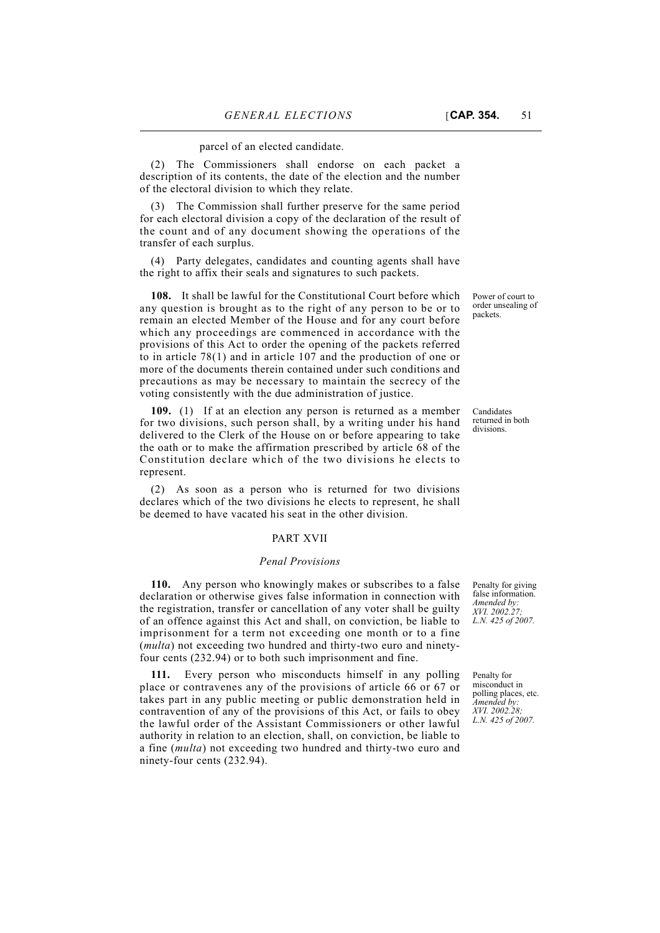parcel of an elected candidate.

(2) The Commissioners shall endorse on each packet a description of its contents, the date of the election and the number of the electoral division to which they relate.

(3) The Commission shall further preserve for the same period for each electoral division a copy of the declaration of the result of the count and of any document showing the operations of the transfer of each surplus.

(4) Party delegates, candidates and counting agents shall have the right to affix their seals and signatures to such packets.

**108.** It shall be lawful for the Constitutional Court before which any question is brought as to the right of any person to be or to remain an elected Member of the House and for any court before which any proceedings are commenced in accordance with the provisions of this Act to order the opening of the packets referred to in article 78(1) and in article 107 and the production of one or more of the documents therein contained under such conditions and precautions as may be necessary to maintain the secrecy of the voting consistently with the due administration of justice.

**109.** (1) If at an election any person is returned as a member for two divisions, such person shall, by a writing under his hand delivered to the Clerk of the House on or before appearing to take the oath or to make the affirmation prescribed by article 68 of the Constitution declare which of the two divisions he elects to represent.

(2) As soon as a person who is returned for two divisions declares which of the two divisions he elects to represent, he shall be deemed to have vacated his seat in the other division.

#### PART XVII

#### *Penal Provisions*

**110.** Any person who knowingly makes or subscribes to a false declaration or otherwise gives false information in connection with the registration, transfer or cancellation of any voter shall be guilty of an offence against this Act and shall, on conviction, be liable to imprisonment for a term not exceeding one month or to a fine (*multa*) not exceeding two hundred and thirty-two euro and ninetyfour cents (232.94) or to both such imprisonment and fine.

**111.** Every person who misconducts himself in any polling place or contravenes any of the provisions of article 66 or 67 or takes part in any public meeting or public demonstration held in contravention of any of the provisions of this Act, or fails to obey the lawful order of the Assistant Commissioners or other lawful authority in relation to an election, shall, on conviction, be liable to a fine (*multa*) not exceeding two hundred and thirty-two euro and ninety-four cents (232.94).

Power of court to order unsealing of packets.

Candidates returned in both divisions.

Penalty for giving false information. *Amended by: XVI. 2002.27; L.N. 425 of 2007.*

Penalty for misconduct in polling places, etc. *Amended by: XVI. 2002.28; L.N. 425 of 2007.*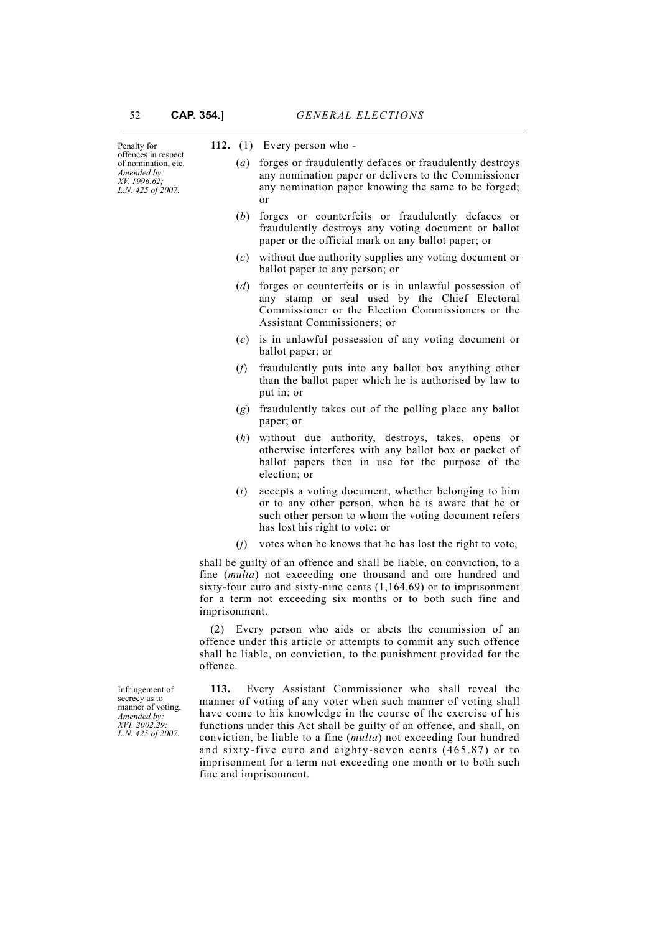| Penalty for<br>offences in respect<br>of nomination, etc.<br>Amended by:<br>XV. 1996.62;<br>L.N. 425 of 2007. |                                                                                                                                                                                                                | 112. $(1)$ Every person who -                                                                                                                                                                                                                                                 |  |  |
|---------------------------------------------------------------------------------------------------------------|----------------------------------------------------------------------------------------------------------------------------------------------------------------------------------------------------------------|-------------------------------------------------------------------------------------------------------------------------------------------------------------------------------------------------------------------------------------------------------------------------------|--|--|
|                                                                                                               | $\left( a\right)$                                                                                                                                                                                              | forges or fraudulently defaces or fraudulently destroys<br>any nomination paper or delivers to the Commissioner<br>any nomination paper knowing the same to be forged;<br>or                                                                                                  |  |  |
|                                                                                                               | (b)                                                                                                                                                                                                            | forges or counterfeits or fraudulently defaces or<br>fraudulently destroys any voting document or ballot<br>paper or the official mark on any ballot paper; or                                                                                                                |  |  |
|                                                                                                               | (c)                                                                                                                                                                                                            | without due authority supplies any voting document or<br>ballot paper to any person; or                                                                                                                                                                                       |  |  |
|                                                                                                               | (d)                                                                                                                                                                                                            | forges or counterfeits or is in unlawful possession of<br>any stamp or seal used by the Chief Electoral<br>Commissioner or the Election Commissioners or the<br>Assistant Commissioners; or                                                                                   |  |  |
|                                                                                                               |                                                                                                                                                                                                                | (e) is in unlawful possession of any voting document or<br>ballot paper; or                                                                                                                                                                                                   |  |  |
|                                                                                                               | (f)                                                                                                                                                                                                            | fraudulently puts into any ballot box anything other<br>than the ballot paper which he is authorised by law to<br>put in; or                                                                                                                                                  |  |  |
|                                                                                                               | (g)                                                                                                                                                                                                            | fraudulently takes out of the polling place any ballot<br>paper; or                                                                                                                                                                                                           |  |  |
|                                                                                                               | (h)                                                                                                                                                                                                            | without due authority, destroys, takes, opens or<br>otherwise interferes with any ballot box or packet of<br>ballot papers then in use for the purpose of the<br>election; or                                                                                                 |  |  |
|                                                                                                               | (i)                                                                                                                                                                                                            | accepts a voting document, whether belonging to him<br>or to any other person, when he is aware that he or<br>such other person to whom the voting document refers<br>has lost his right to vote; or                                                                          |  |  |
|                                                                                                               | (i)                                                                                                                                                                                                            | votes when he knows that he has lost the right to vote,                                                                                                                                                                                                                       |  |  |
|                                                                                                               | imprisonment.                                                                                                                                                                                                  | shall be guilty of an offence and shall be liable, on conviction, to a<br>fine (multa) not exceeding one thousand and one hundred and<br>sixty-four euro and sixty-nine cents $(1,164.69)$ or to imprisonment<br>for a term not exceeding six months or to both such fine and |  |  |
|                                                                                                               | (2) Every person who aids or abets the commission of an<br>offence under this article or attempts to commit any such offence<br>shall be liable, on conviction, to the punishment provided for the<br>offence. |                                                                                                                                                                                                                                                                               |  |  |
| Infringement of<br>secrecy as to<br>manner of voting.                                                         | 113.                                                                                                                                                                                                           | Every Assistant Commissioner who shall reveal the<br>manner of voting of any voter when such manner of voting shall<br>have come to his knowledge in the course of the exercise of his                                                                                        |  |  |

manner of voting. *Amended by: XVI. 2002.29; L.N. 425 of 2007.*

have come to his knowledge in the course of the exercise of his functions under this Act shall be guilty of an offence, and shall, on conviction, be liable to a fine (*multa*) not exceeding four hundred and sixty-five euro and eighty-seven cents (465.87) or to imprisonment for a term not exceeding one month or to both such fine and imprisonment.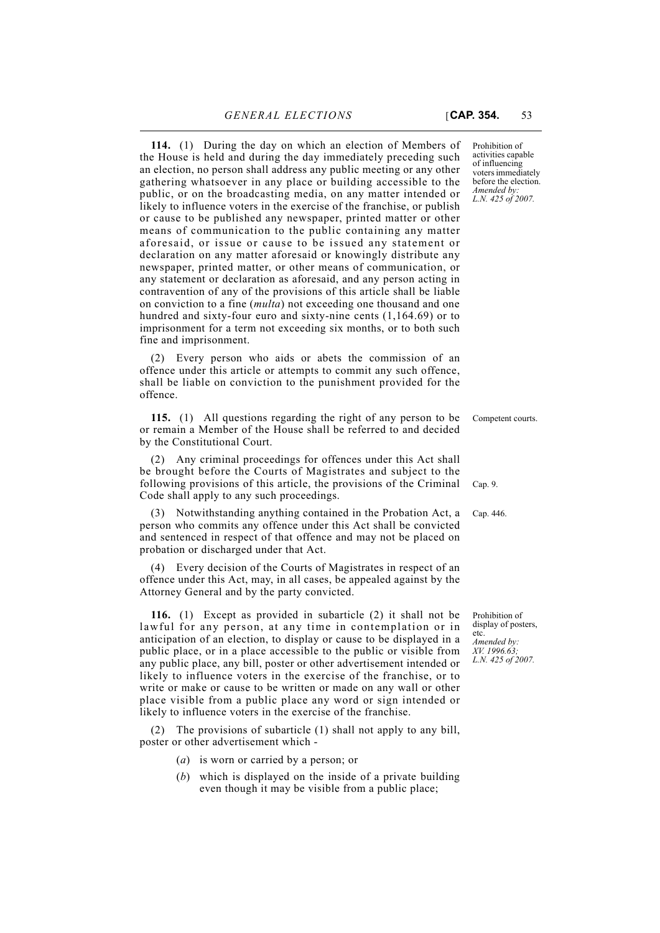**114.** (1) During the day on which an election of Members of the House is held and during the day immediately preceding such an election, no person shall address any public meeting or any other gathering whatsoever in any place or building accessible to the public, or on the broadcasting media, on any matter intended or likely to influence voters in the exercise of the franchise, or publish or cause to be published any newspaper, printed matter or other means of communication to the public containing any matter aforesaid, or issue or cause to be issued any statement or declaration on any matter aforesaid or knowingly distribute any newspaper, printed matter, or other means of communication, or any statement or declaration as aforesaid, and any person acting in contravention of any of the provisions of this article shall be liable on conviction to a fine (*multa*) not exceeding one thousand and one hundred and sixty-four euro and sixty-nine cents (1,164.69) or to imprisonment for a term not exceeding six months, or to both such fine and imprisonment.

(2) Every person who aids or abets the commission of an offence under this article or attempts to commit any such offence, shall be liable on conviction to the punishment provided for the offence.

**115.** (1) All questions regarding the right of any person to be Competent courts. or remain a Member of the House shall be referred to and decided by the Constitutional Court.

(2) Any criminal proceedings for offences under this Act shall be brought before the Courts of Magistrates and subject to the following provisions of this article, the provisions of the Criminal Code shall apply to any such proceedings.

(3) Notwithstanding anything contained in the Probation Act, a Cap. 446. person who commits any offence under this Act shall be convicted and sentenced in respect of that offence and may not be placed on probation or discharged under that Act.

(4) Every decision of the Courts of Magistrates in respect of an offence under this Act, may, in all cases, be appealed against by the Attorney General and by the party convicted.

**116.** (1) Except as provided in subarticle (2) it shall not be lawful for any person, at any time in contemplation or in anticipation of an election, to display or cause to be displayed in a public place, or in a place accessible to the public or visible from any public place, any bill, poster or other advertisement intended or likely to influence voters in the exercise of the franchise, or to write or make or cause to be written or made on any wall or other place visible from a public place any word or sign intended or likely to influence voters in the exercise of the franchise.

(2) The provisions of subarticle (1) shall not apply to any bill, poster or other advertisement which -

- (*a*) is worn or carried by a person; or
- (*b*) which is displayed on the inside of a private building even though it may be visible from a public place;

Prohibition of activities capable of influencing voters immediately before the election. *Amended by: L.N. 425 of 2007.*

Cap. 9.

Prohibition of display of posters, etc. *Amended by:*

*XV. 1996.63; L.N. 425 of 2007.*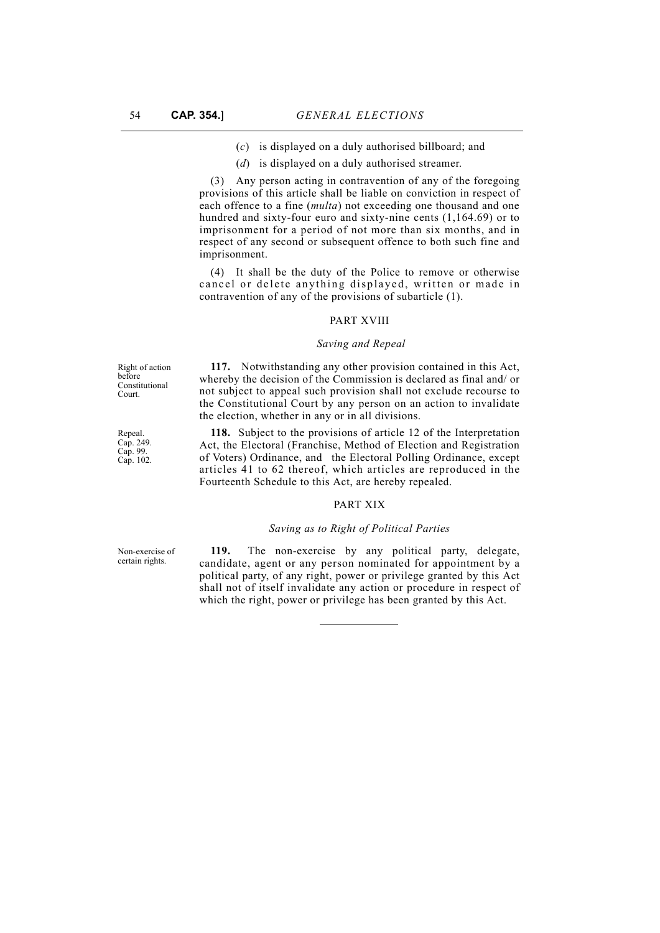- (*c*) is displayed on a duly authorised billboard; and
- (*d*) is displayed on a duly authorised streamer.

(3) Any person acting in contravention of any of the foregoing provisions of this article shall be liable on conviction in respect of each offence to a fine (*multa*) not exceeding one thousand and one hundred and sixty-four euro and sixty-nine cents (1,164.69) or to imprisonment for a period of not more than six months, and in respect of any second or subsequent offence to both such fine and imprisonment.

(4) It shall be the duty of the Police to remove or otherwise cancel or delete anything displayed, written or made in contravention of any of the provisions of subarticle (1).

## PART XVIII

#### *Saving and Repeal*

Right of action before Constitutional Court.

Repeal. Cap. 249. Cap. 99. Cap. 102.

Non-exercise of certain rights.

**117.** Notwithstanding any other provision contained in this Act, whereby the decision of the Commission is declared as final and/ or not subject to appeal such provision shall not exclude recourse to the Constitutional Court by any person on an action to invalidate the election, whether in any or in all divisions.

**118.** Subject to the provisions of article 12 of the Interpretation Act, the Electoral (Franchise, Method of Election and Registration of Voters) Ordinance, and the Electoral Polling Ordinance, except articles 41 to 62 thereof, which articles are reproduced in the Fourteenth Schedule to this Act, are hereby repealed.

### PART XIX

## *Saving as to Right of Political Parties*

**119.** The non-exercise by any political party, delegate, candidate, agent or any person nominated for appointment by a political party, of any right, power or privilege granted by this Act shall not of itself invalidate any action or procedure in respect of which the right, power or privilege has been granted by this Act.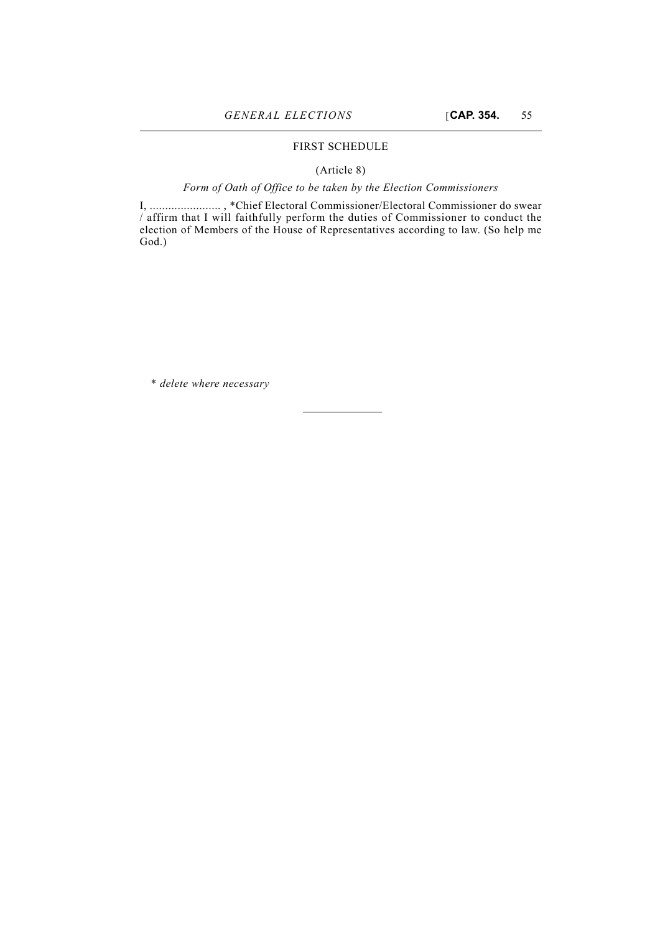## FIRST SCHEDULE

## (Article 8)

## *Form of Oath of Office to be taken by the Election Commissioners*

I, ....................... , \*Chief Electoral Commissioner/Electoral Commissioner do swear / affirm that I will faithfully perform the duties of Commissioner to conduct the election of Members of the House of Representatives according to law. (So help me God.)

\* *delete where necessary*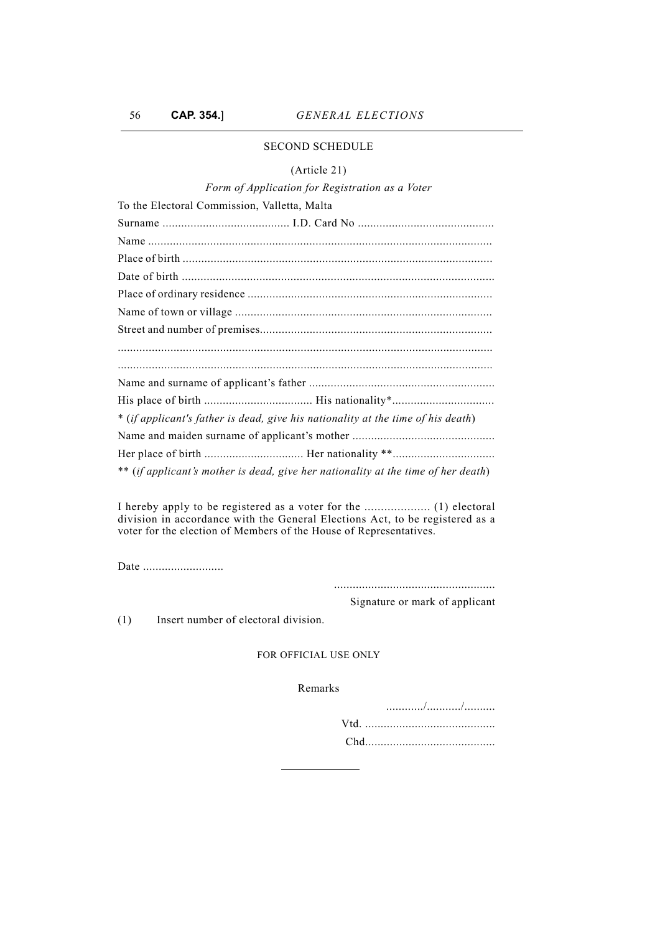## SECOND SCHEDULE

## (Article 21)

## *Form of Application for Registration as a Voter*

| To the Electoral Commission, Valletta, Malta                                      |  |  |  |  |
|-----------------------------------------------------------------------------------|--|--|--|--|
|                                                                                   |  |  |  |  |
|                                                                                   |  |  |  |  |
|                                                                                   |  |  |  |  |
|                                                                                   |  |  |  |  |
|                                                                                   |  |  |  |  |
|                                                                                   |  |  |  |  |
|                                                                                   |  |  |  |  |
|                                                                                   |  |  |  |  |
|                                                                                   |  |  |  |  |
|                                                                                   |  |  |  |  |
| * (if applicant's father is dead, give his nationality at the time of his death)  |  |  |  |  |
|                                                                                   |  |  |  |  |
|                                                                                   |  |  |  |  |
| ** (if applicant's mother is dead, give her nationality at the time of her death) |  |  |  |  |

I hereby apply to be registered as a voter for the .................... (1) electoral division in accordance with the General Elections Act, to be registered as a voter for the election of Members of the House of Representatives.

Date ............................

....................................................

Signature or mark of applicant

(1) Insert number of electoral division.

## FOR OFFICIAL USE ONLY

Remarks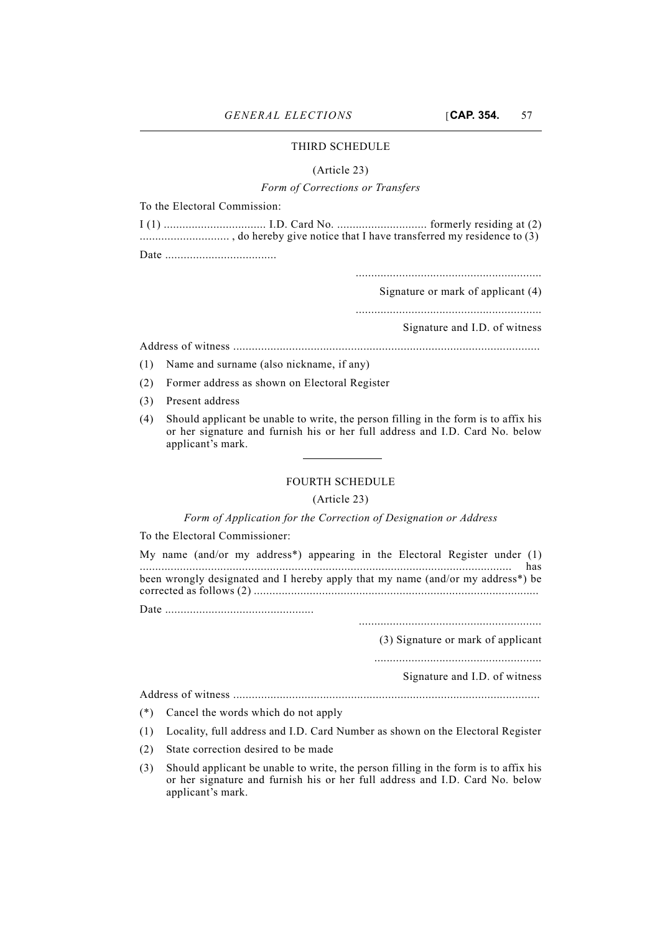## THIRD SCHEDULE

#### (Article 23)

## *Form of Corrections or Transfers*

To the Electoral Commission:

............................................................

Signature or mark of applicant (4)

............................................................

Signature and I.D. of witness

Address of witness ...................................................................................................

(1) Name and surname (also nickname, if any)

(2) Former address as shown on Electoral Register

- (3) Present address
- (4) Should applicant be unable to write, the person filling in the form is to affix his or her signature and furnish his or her full address and I.D. Card No. below applicant's mark.

### FOURTH SCHEDULE

#### (Article 23)

### *Form of Application for the Correction of Designation or Address*

To the Electoral Commissioner:

|  |  | My name (and/or my address*) appearing in the Electoral Register under (1)                   |  |  |  |
|--|--|----------------------------------------------------------------------------------------------|--|--|--|
|  |  |                                                                                              |  |  |  |
|  |  | been wrongly designated and I hereby apply that my name (and/or my address <sup>*</sup> ) be |  |  |  |
|  |  |                                                                                              |  |  |  |
|  |  |                                                                                              |  |  |  |

(3) Signature or mark of applicant

......................................................

Signature and I.D. of witness

Address of witness ...................................................................................................

- (\*) Cancel the words which do not apply
- (1) Locality, full address and I.D. Card Number as shown on the Electoral Register
- (2) State correction desired to be made
- (3) Should applicant be unable to write, the person filling in the form is to affix his or her signature and furnish his or her full address and I.D. Card No. below applicant's mark.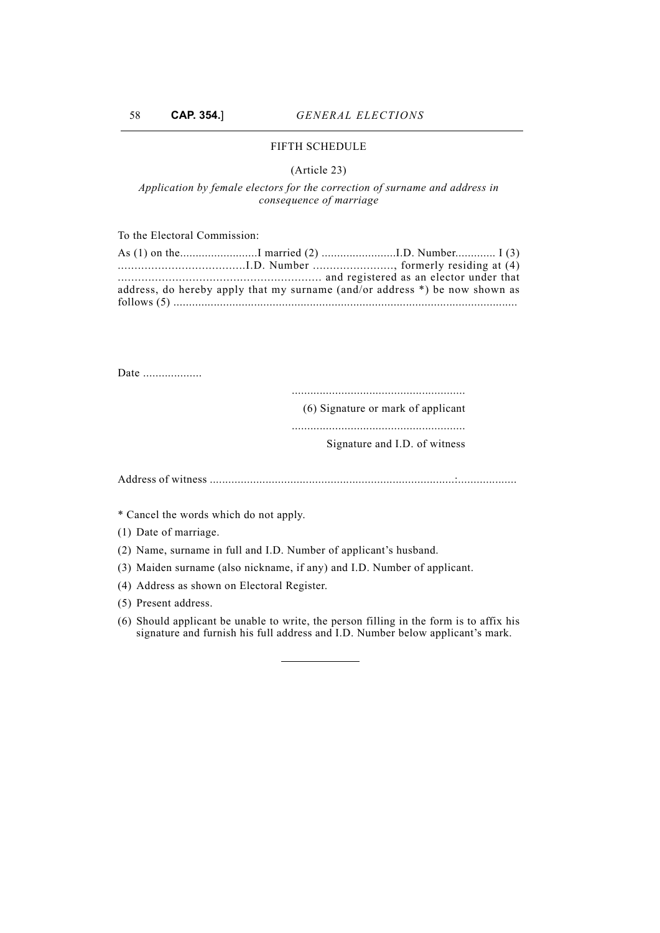## FIFTH SCHEDULE

## (Article 23)

## *Application by female electors for the correction of surname and address in consequence of marriage*

To the Electoral Commission:

|  | address, do hereby apply that my surname (and/or address *) be now shown as |  |
|--|-----------------------------------------------------------------------------|--|
|  |                                                                             |  |

Date ....................

........................................................

(6) Signature or mark of applicant

........................................................

## Signature and I.D. of witness

Address of witness ...............................................................................:...................

\* Cancel the words which do not apply.

(1) Date of marriage.

(2) Name, surname in full and I.D. Number of applicant's husband.

(3) Maiden surname (also nickname, if any) and I.D. Number of applicant.

(4) Address as shown on Electoral Register.

(5) Present address.

(6) Should applicant be unable to write, the person filling in the form is to affix his signature and furnish his full address and I.D. Number below applicant's mark.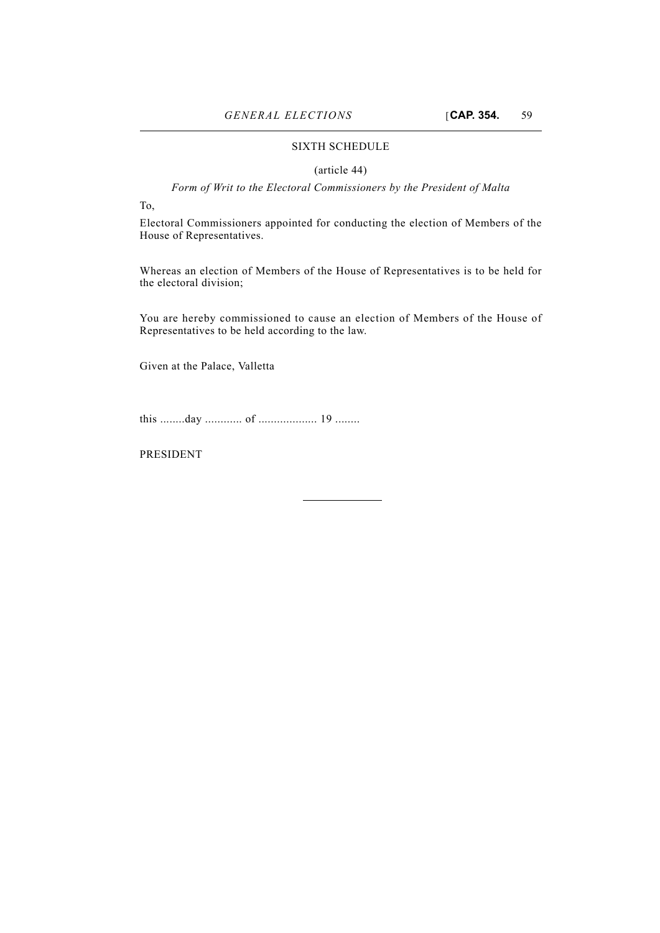## SIXTH SCHEDULE

#### (article 44)

*Form of Writ to the Electoral Commissioners by the President of Malta*

To,

Electoral Commissioners appointed for conducting the election of Members of the House of Representatives.

Whereas an election of Members of the House of Representatives is to be held for the electoral division;

You are hereby commissioned to cause an election of Members of the House of Representatives to be held according to the law.

Given at the Palace, Valletta

this ........day ............ of ................... 19 ........

PRESIDENT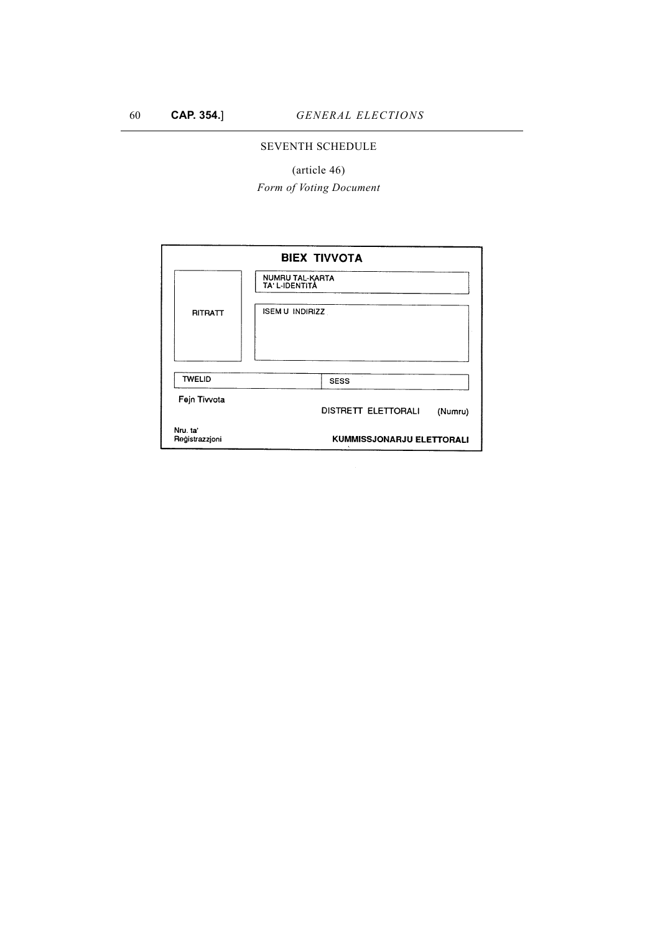## SEVENTH SCHEDULE

(article 46)

*Form of Voting Document*

| <b>BIEX TIVVOTA</b>        |                                   |                                  |         |  |  |  |
|----------------------------|-----------------------------------|----------------------------------|---------|--|--|--|
|                            | NUMRU TAL-KARTA<br>TA' L-IDENTITÀ |                                  |         |  |  |  |
| RITRATT                    |                                   | ISEM U INDIRIZZ                  |         |  |  |  |
| <b>TWELID</b>              |                                   | <b>SESS</b>                      |         |  |  |  |
| Fejn Tivvota               |                                   | DISTRETT ELETTORALI              | (Numru) |  |  |  |
| Nru. ta'<br>Registrazzjoni |                                   | <b>KUMMISSJONARJU ELETTORALI</b> |         |  |  |  |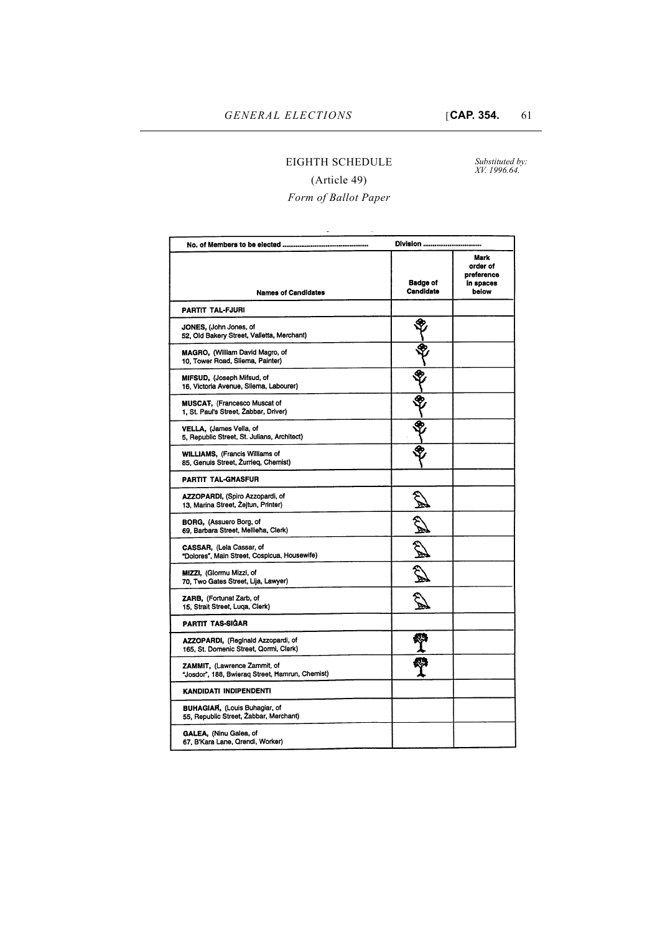# EIGHTH SCHEDULE

*Substituted by: XV. 1996.64.*

# (Article 49)

# *Form of Ballot Paper*

|                                                                                 | Division                     |                                                      |
|---------------------------------------------------------------------------------|------------------------------|------------------------------------------------------|
| <b>Names of Candidates</b>                                                      | <b>Badge of</b><br>Candidate | Mark<br>order of<br>preference<br>in spaces<br>below |
| <b>PARTIT TAL-FJURI</b>                                                         |                              |                                                      |
| JONES, (John Jones, of<br>52, Old Bakery Street, Valletta, Merchant)            |                              |                                                      |
| MAGRO, (William David Magro, of<br>10, Tower Road, Sliema, Painter)             |                              |                                                      |
| MIFSUD, (Joseph Mifsud, of<br>16, Victoria Avenue, Sliema, Labourer)            |                              |                                                      |
| <b>MUSCAT, (Francesco Muscat of</b><br>1, St. Paul's Street, Zabbar, Driver)    |                              |                                                      |
| VELLA, (James Vella, of<br>5, Republic Street, St. Julians, Architect)          |                              |                                                      |
| <b>WILLIAMS, (Francis Williams of</b><br>85, Genuis Street, Zurrieq, Chemist)   |                              |                                                      |
| <b>PARTIT TAL-GHASFUR</b>                                                       |                              |                                                      |
| <b>AZZOPARDI, (Spiro Azzopardi, of</b><br>13, Marina Street, Zejtun, Printer)   |                              |                                                      |
| BORG, (Assuero Borg, of<br>69, Barbara Street, Mellieha, Clerk)                 | <b>SER</b>                   |                                                      |
| CASSAR, (Lela Cassar, of<br>"Dolores", Main Street, Cospicua, Housewife)        | $\frac{1}{\sqrt{2}}$         |                                                      |
| MIZZI, (Glormu Mizzi, of<br>70, Two Gates Street, Lija, Lawyer)                 |                              |                                                      |
| ZARB, (Fortunat Zarb, of<br>15, Strait Street, Luqa, Clerk)                     |                              |                                                      |
| <b>PARTIT TAS-SIGAR</b>                                                         |                              |                                                      |
| AZZOPARDI, (Reginald Azzopardi, of<br>165, St. Domenic Street, Qormi, Clerk)    |                              |                                                      |
| ZAMMIT, (Lawrence Zammit, of<br>"Josdor", 188, Bwieraq Street, Hamrun, Chemist) |                              |                                                      |
| KANDIDATI INDIPENDENTI                                                          |                              |                                                      |
| <b>BUHAGIAR, (Louis Buhagiar, of</b><br>55, Republic Street, Zabbar, Merchant)  |                              |                                                      |
| GALEA, (Ninu Galea, of<br>67, B'Kara Lane, Qrendi, Worker)                      |                              |                                                      |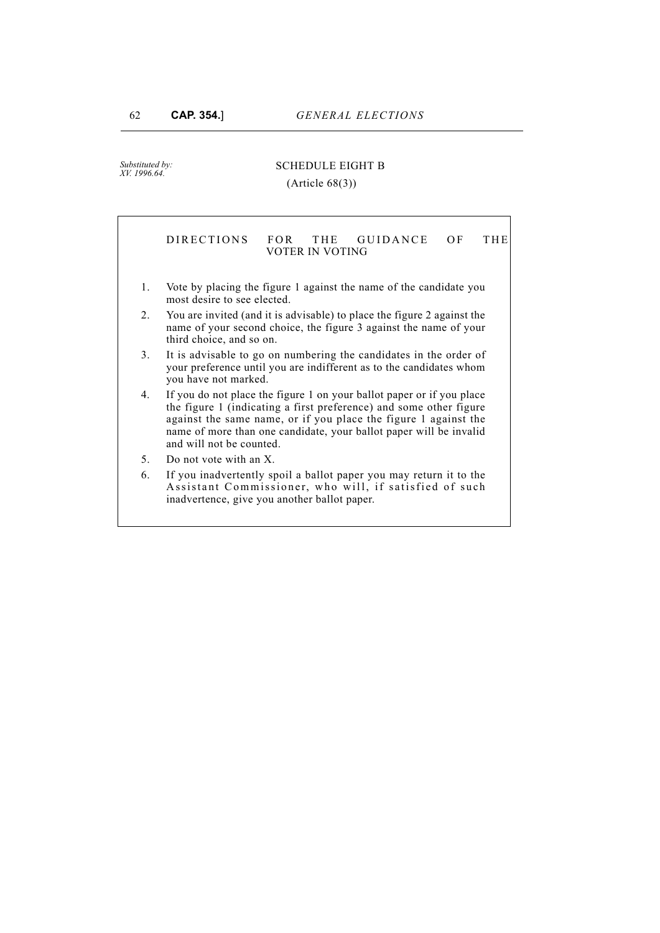*Substituted by: XV. 1996.64.*

## SCHEDULE EIGHT B

#### (Article 68(3))

## DIRECTIONS FOR THE GUIDANCE OF THE VOTER IN VOTING

- 1. Vote by placing the figure 1 against the name of the candidate you most desire to see elected.
- 2. You are invited (and it is advisable) to place the figure 2 against the name of your second choice, the figure 3 against the name of your third choice, and so on.
- 3. It is advisable to go on numbering the candidates in the order of your preference until you are indifferent as to the candidates whom you have not marked.
- 4. If you do not place the figure 1 on your ballot paper or if you place the figure 1 (indicating a first preference) and some other figure against the same name, or if you place the figure 1 against the name of more than one candidate, your ballot paper will be invalid and will not be counted.
- 5. Do not vote with an X.
- 6. If you inadvertently spoil a ballot paper you may return it to the Assistant Commissioner, who will, if satisfied of such inadvertence, give you another ballot paper.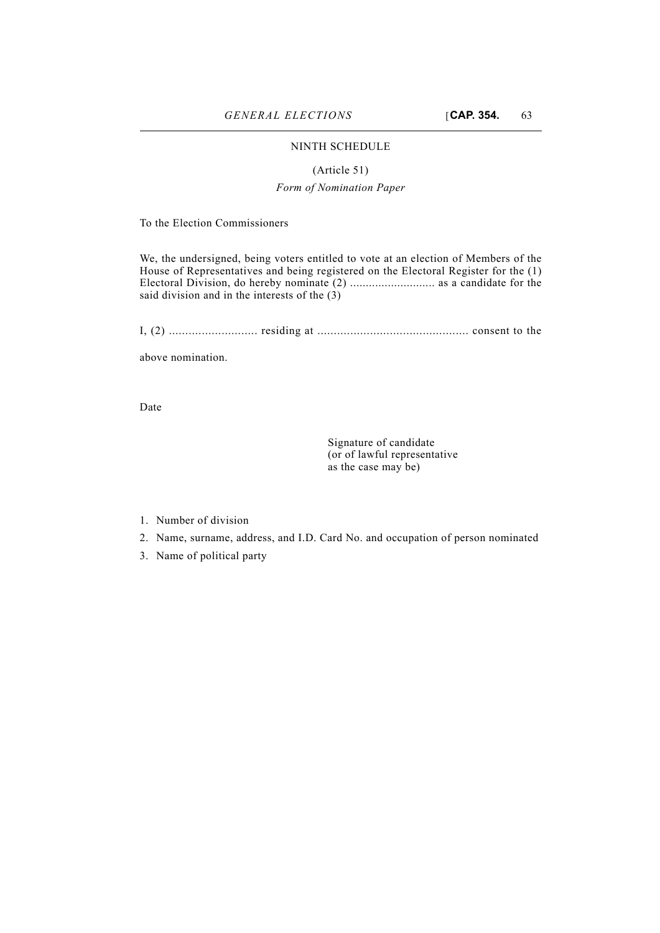## NINTH SCHEDULE

## (Article 51)

## *Form of Nomination Paper*

To the Election Commissioners

We, the undersigned, being voters entitled to vote at an election of Members of the House of Representatives and being registered on the Electoral Register for the (1) Electoral Division, do hereby nominate (2) ........................... as a candidate for the said division and in the interests of the (3)

I, (2) ........................... residing at .............................................. consent to the

above nomination.

Date

Signature of candidate (or of lawful representative as the case may be)

- 1. Number of division
- 2. Name, surname, address, and I.D. Card No. and occupation of person nominated
- 3. Name of political party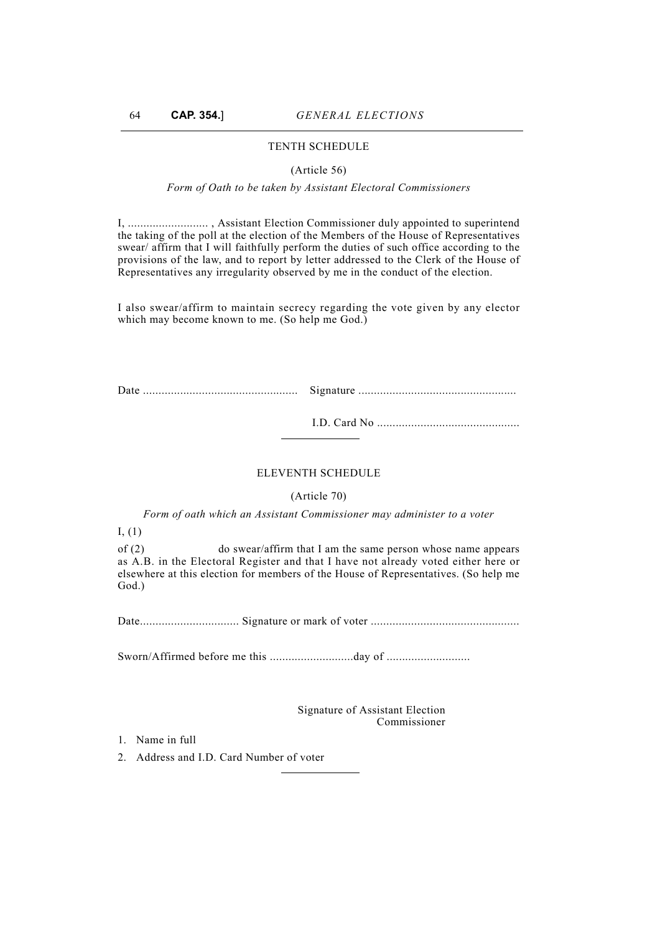## TENTH SCHEDULE

#### (Article 56)

## *Form of Oath to be taken by Assistant Electoral Commissioners*

I, .......................... , Assistant Election Commissioner duly appointed to superintend the taking of the poll at the election of the Members of the House of Representatives swear/ affirm that I will faithfully perform the duties of such office according to the provisions of the law, and to report by letter addressed to the Clerk of the House of Representatives any irregularity observed by me in the conduct of the election.

I also swear/affirm to maintain secrecy regarding the vote given by any elector which may become known to me. (So help me God.)

Date .................................................. Signature ...................................................

I.D. Card No ..............................................

#### ELEVENTH SCHEDULE

#### (Article 70)

*Form of oath which an Assistant Commissioner may administer to a voter*

I, (1)

of (2) do swear/affirm that I am the same person whose name appears as A.B. in the Electoral Register and that I have not already voted either here or elsewhere at this election for members of the House of Representatives. (So help me God.)

Date................................ Signature or mark of voter ................................................

Sworn/Affirmed before me this ...........................day of ...........................

Signature of Assistant Election Commissioner

- 1. Name in full
- 2. Address and I.D. Card Number of voter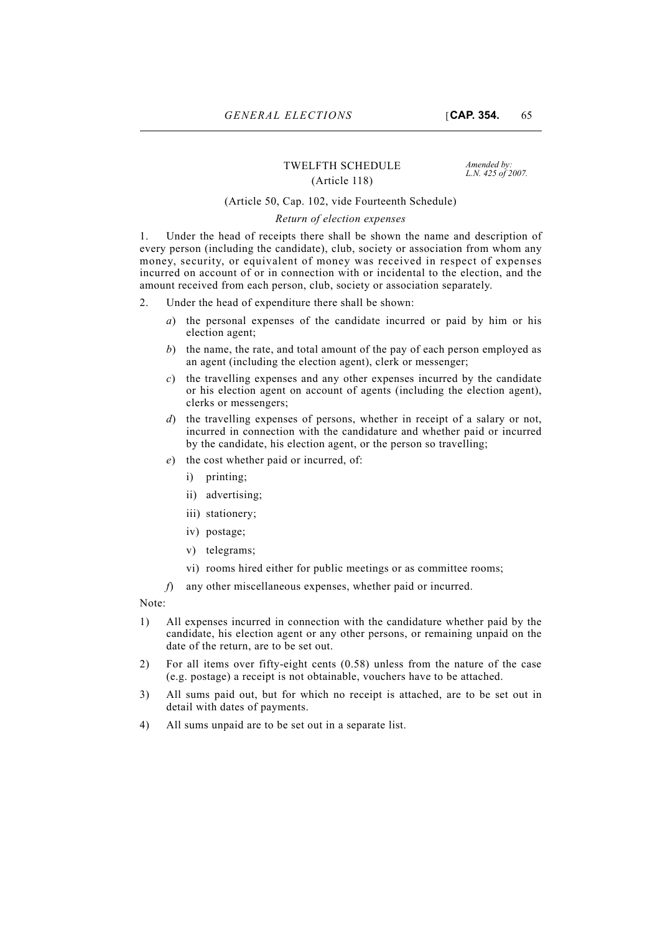## TWELFTH SCHEDULE *Amended by:*<br>*L.N. 425 of 2007. (Article 118)*

### (Article 50, Cap. 102, vide Fourteenth Schedule)

#### *Return of election expenses*

1. Under the head of receipts there shall be shown the name and description of every person (including the candidate), club, society or association from whom any money, security, or equivalent of money was received in respect of expenses incurred on account of or in connection with or incidental to the election, and the amount received from each person, club, society or association separately.

- 2. Under the head of expenditure there shall be shown:
	- *a*) the personal expenses of the candidate incurred or paid by him or his election agent;
	- *b*) the name, the rate, and total amount of the pay of each person employed as an agent (including the election agent), clerk or messenger;
	- *c*) the travelling expenses and any other expenses incurred by the candidate or his election agent on account of agents (including the election agent), clerks or messengers;
	- *d*) the travelling expenses of persons, whether in receipt of a salary or not, incurred in connection with the candidature and whether paid or incurred by the candidate, his election agent, or the person so travelling;
	- *e*) the cost whether paid or incurred, of:
		- i) printing;
		- ii) advertising;
		- iii) stationery;
		- iv) postage;
		- v) telegrams;
		- vi) rooms hired either for public meetings or as committee rooms;
	- *f*) any other miscellaneous expenses, whether paid or incurred.

Note:

- 1) All expenses incurred in connection with the candidature whether paid by the candidate, his election agent or any other persons, or remaining unpaid on the date of the return, are to be set out.
- 2) For all items over fifty-eight cents (0.58) unless from the nature of the case (e.g. postage) a receipt is not obtainable, vouchers have to be attached.
- 3) All sums paid out, but for which no receipt is attached, are to be set out in detail with dates of payments.
- 4) All sums unpaid are to be set out in a separate list.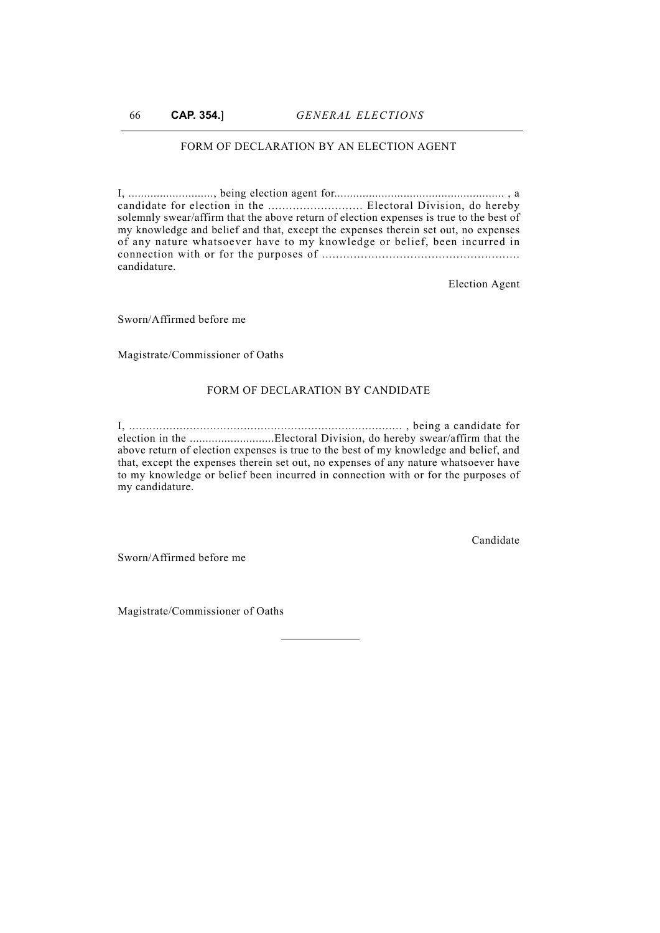## FORM OF DECLARATION BY AN ELECTION AGENT

I, ..........................., being election agent for...................................................... , a candidate for election in the ........................... Electoral Division, do hereby solemnly swear/affirm that the above return of election expenses is true to the best of my knowledge and belief and that, except the expenses therein set out, no expenses of any nature whatsoever have to my knowledge or belief, been incurred in connection with or for the purposes of ........................................................ candidature.

Election Agent

Sworn/Affirmed before me

Magistrate/Commissioner of Oaths

#### FORM OF DECLARATION BY CANDIDATE

I, ................................................................................. , being a candidate for election in the ...........................Electoral Division, do hereby swear/affirm that the above return of election expenses is true to the best of my knowledge and belief, and that, except the expenses therein set out, no expenses of any nature whatsoever have to my knowledge or belief been incurred in connection with or for the purposes of my candidature.

Candidate

Sworn/Affirmed before me

Magistrate/Commissioner of Oaths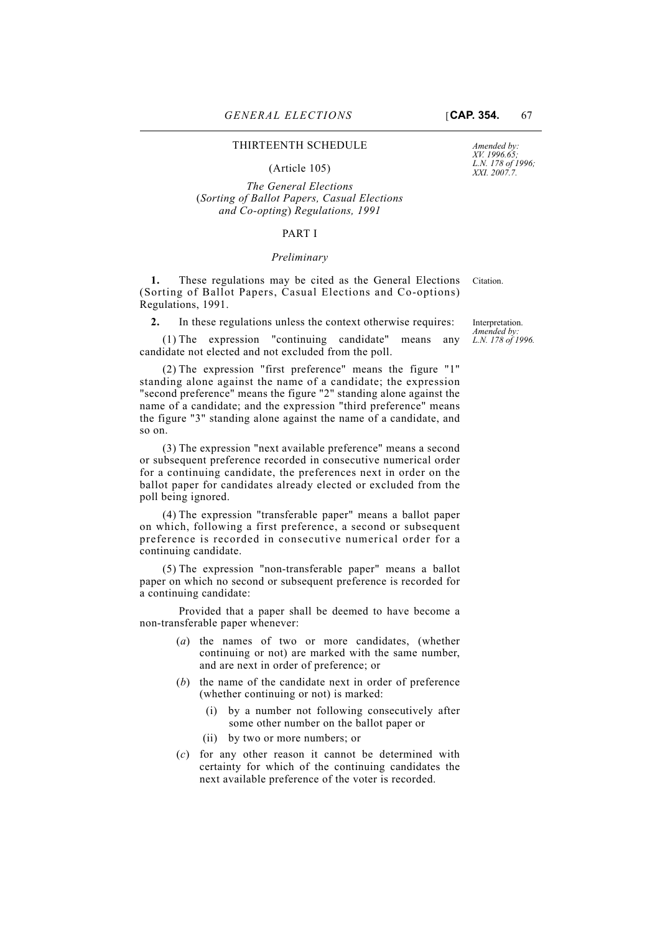#### (Article 105)

*The General Elections*  (*Sorting of Ballot Papers, Casual Elections and Co-opting*) *Regulations, 1991* 

#### PART I

#### *Preliminary*

**1.** These regulations may be cited as the General Elections Citation. (Sorting of Ballot Papers, Casual Elections and Co-options) Regulations, 1991.

**2.** In these regulations unless the context otherwise requires:

(1) The expression "continuing candidate" means any candidate not elected and not excluded from the poll.

(2) The expression "first preference" means the figure "1" standing alone against the name of a candidate; the expression "second preference" means the figure "2" standing alone against the name of a candidate; and the expression "third preference" means the figure "3" standing alone against the name of a candidate, and so on.

(3) The expression "next available preference" means a second or subsequent preference recorded in consecutive numerical order for a continuing candidate, the preferences next in order on the ballot paper for candidates already elected or excluded from the poll being ignored.

(4) The expression "transferable paper" means a ballot paper on which, following a first preference, a second or subsequent preference is recorded in consecutive numerical order for a continuing candidate.

(5) The expression "non-transferable paper" means a ballot paper on which no second or subsequent preference is recorded for a continuing candidate:

Provided that a paper shall be deemed to have become a non-transferable paper whenever:

- (*a*) the names of two or more candidates, (whether continuing or not) are marked with the same number, and are next in order of preference; or
- (*b*) the name of the candidate next in order of preference (whether continuing or not) is marked:
	- (i) by a number not following consecutively after some other number on the ballot paper or
	- (ii) by two or more numbers; or
- (*c*) for any other reason it cannot be determined with certainty for which of the continuing candidates the next available preference of the voter is recorded.

Interpretation. *Amended by: L.N. 178 of 1996.*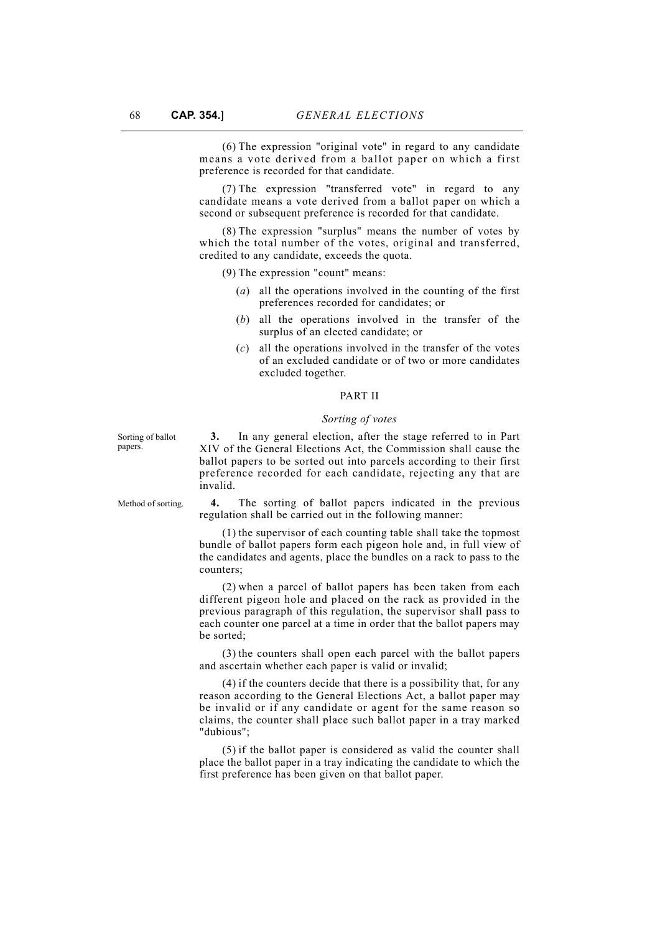(6) The expression "original vote" in regard to any candidate means a vote derived from a ballot paper on which a first preference is recorded for that candidate.

(7) The expression "transferred vote" in regard to any candidate means a vote derived from a ballot paper on which a second or subsequent preference is recorded for that candidate.

(8) The expression "surplus" means the number of votes by which the total number of the votes, original and transferred, credited to any candidate, exceeds the quota.

(9) The expression "count" means:

- (*a*) all the operations involved in the counting of the first preferences recorded for candidates; or
- (*b*) all the operations involved in the transfer of the surplus of an elected candidate; or
- (*c*) all the operations involved in the transfer of the votes of an excluded candidate or of two or more candidates excluded together.

### PART II

#### *Sorting of votes*

Sorting of ballot papers.

**3.** In any general election, after the stage referred to in Part XIV of the General Elections Act, the Commission shall cause the ballot papers to be sorted out into parcels according to their first preference recorded for each candidate, rejecting any that are invalid.

Method of sorting. **4.** The sorting of ballot papers indicated in the previous regulation shall be carried out in the following manner:

> (1) the supervisor of each counting table shall take the topmost bundle of ballot papers form each pigeon hole and, in full view of the candidates and agents, place the bundles on a rack to pass to the counters;

> (2) when a parcel of ballot papers has been taken from each different pigeon hole and placed on the rack as provided in the previous paragraph of this regulation, the supervisor shall pass to each counter one parcel at a time in order that the ballot papers may be sorted;

> (3) the counters shall open each parcel with the ballot papers and ascertain whether each paper is valid or invalid;

> (4) if the counters decide that there is a possibility that, for any reason according to the General Elections Act, a ballot paper may be invalid or if any candidate or agent for the same reason so claims, the counter shall place such ballot paper in a tray marked "dubious";

> (5) if the ballot paper is considered as valid the counter shall place the ballot paper in a tray indicating the candidate to which the first preference has been given on that ballot paper.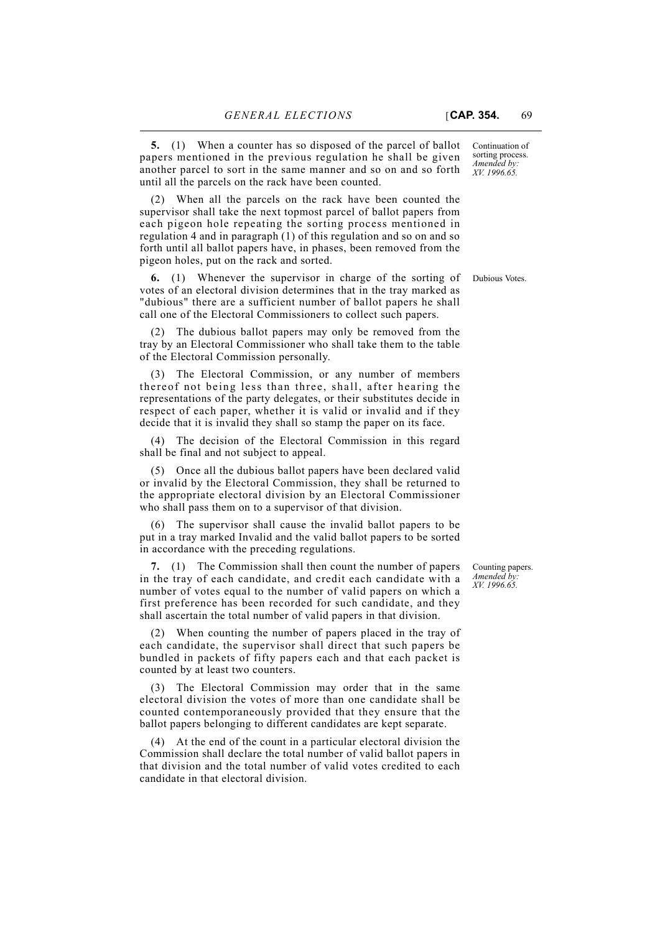**5.** (1) When a counter has so disposed of the parcel of ballot papers mentioned in the previous regulation he shall be given another parcel to sort in the same manner and so on and so forth until all the parcels on the rack have been counted.

(2) When all the parcels on the rack have been counted the supervisor shall take the next topmost parcel of ballot papers from each pigeon hole repeating the sorting process mentioned in regulation 4 and in paragraph (1) of this regulation and so on and so forth until all ballot papers have, in phases, been removed from the pigeon holes, put on the rack and sorted.

**6.** (1) Whenever the supervisor in charge of the sorting of Dubious Votes. votes of an electoral division determines that in the tray marked as "dubious" there are a sufficient number of ballot papers he shall call one of the Electoral Commissioners to collect such papers.

(2) The dubious ballot papers may only be removed from the tray by an Electoral Commissioner who shall take them to the table of the Electoral Commission personally.

(3) The Electoral Commission, or any number of members thereof not being less than three, shall, after hearing the representations of the party delegates, or their substitutes decide in respect of each paper, whether it is valid or invalid and if they decide that it is invalid they shall so stamp the paper on its face.

(4) The decision of the Electoral Commission in this regard shall be final and not subject to appeal.

(5) Once all the dubious ballot papers have been declared valid or invalid by the Electoral Commission, they shall be returned to the appropriate electoral division by an Electoral Commissioner who shall pass them on to a supervisor of that division.

(6) The supervisor shall cause the invalid ballot papers to be put in a tray marked Invalid and the valid ballot papers to be sorted in accordance with the preceding regulations.

**7.** (1) The Commission shall then count the number of papers in the tray of each candidate, and credit each candidate with a number of votes equal to the number of valid papers on which a first preference has been recorded for such candidate, and they shall ascertain the total number of valid papers in that division.

(2) When counting the number of papers placed in the tray of each candidate, the supervisor shall direct that such papers be bundled in packets of fifty papers each and that each packet is counted by at least two counters.

(3) The Electoral Commission may order that in the same electoral division the votes of more than one candidate shall be counted contemporaneously provided that they ensure that the ballot papers belonging to different candidates are kept separate.

(4) At the end of the count in a particular electoral division the Commission shall declare the total number of valid ballot papers in that division and the total number of valid votes credited to each candidate in that electoral division.

Counting papers. *Amended by: XV. 1996.65.*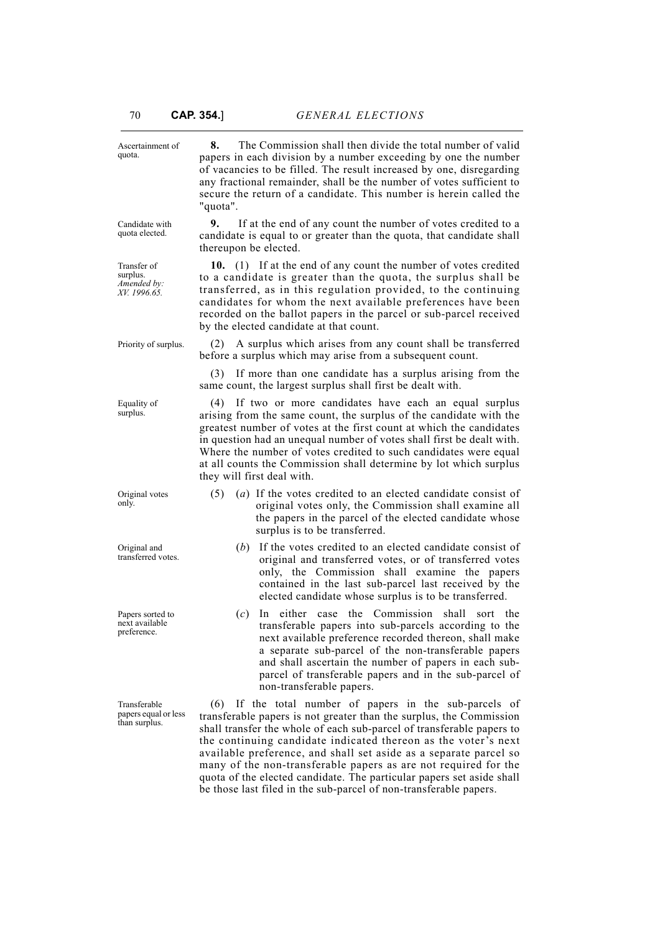| Ascertainment of<br>quota.                             | The Commission shall then divide the total number of valid<br>8.<br>papers in each division by a number exceeding by one the number<br>of vacancies to be filled. The result increased by one, disregarding<br>any fractional remainder, shall be the number of votes sufficient to<br>secure the return of a candidate. This number is herein called the<br>"quota".                                                                                    |  |  |  |
|--------------------------------------------------------|----------------------------------------------------------------------------------------------------------------------------------------------------------------------------------------------------------------------------------------------------------------------------------------------------------------------------------------------------------------------------------------------------------------------------------------------------------|--|--|--|
| Candidate with<br>quota elected.                       | If at the end of any count the number of votes credited to a<br>9.<br>candidate is equal to or greater than the quota, that candidate shall<br>thereupon be elected.                                                                                                                                                                                                                                                                                     |  |  |  |
| Transfer of<br>surplus.<br>Amended by:<br>XV. 1996.65. | 10. (1) If at the end of any count the number of votes credited<br>to a candidate is greater than the quota, the surplus shall be<br>transferred, as in this regulation provided, to the continuing<br>candidates for whom the next available preferences have been<br>recorded on the ballot papers in the parcel or sub-parcel received<br>by the elected candidate at that count.                                                                     |  |  |  |
| Priority of surplus.                                   | A surplus which arises from any count shall be transferred<br>(2)<br>before a surplus which may arise from a subsequent count.                                                                                                                                                                                                                                                                                                                           |  |  |  |
|                                                        | If more than one candidate has a surplus arising from the<br>(3)<br>same count, the largest surplus shall first be dealt with.                                                                                                                                                                                                                                                                                                                           |  |  |  |
| Equality of<br>surplus.                                | If two or more candidates have each an equal surplus<br>(4)<br>arising from the same count, the surplus of the candidate with the<br>greatest number of votes at the first count at which the candidates<br>in question had an unequal number of votes shall first be dealt with.<br>Where the number of votes credited to such candidates were equal<br>at all counts the Commission shall determine by lot which surplus<br>they will first deal with. |  |  |  |
| Original votes<br>only.                                | (a) If the votes credited to an elected candidate consist of<br>(5)<br>original votes only, the Commission shall examine all<br>the papers in the parcel of the elected candidate whose<br>surplus is to be transferred.                                                                                                                                                                                                                                 |  |  |  |
| Original and<br>transferred votes.                     | $(b)$ If the votes credited to an elected candidate consist of<br>original and transferred votes, or of transferred votes<br>only, the Commission shall examine the papers<br>contained in the last sub-parcel last received by the<br>elected candidate whose surplus is to be transferred.                                                                                                                                                             |  |  |  |
| Papers sorted to<br>next available<br>preference.      | In either case the Commission<br>shall<br>(c)<br>sort the<br>transferable papers into sub-parcels according to the<br>next available preference recorded thereon, shall make<br>a separate sub-parcel of the non-transferable papers<br>and shall ascertain the number of papers in each sub-<br>parcel of transferable papers and in the sub-parcel of<br>non-transferable papers.                                                                      |  |  |  |
| Transferable<br>papers equal or less<br>than surplus.  | If the total number of papers in the sub-parcels of<br>(6)<br>transferable papers is not greater than the surplus, the Commission<br>shall transfer the whole of each sub-parcel of transferable papers to<br>the continuing candidate indicated thereon as the voter's next<br>available preference, and shall set aside as a separate parcel so                                                                                                        |  |  |  |

many of the non-transferable papers as are not required for the quota of the elected candidate. The particular papers set aside shall be those last filed in the sub-parcel of non-transferable papers.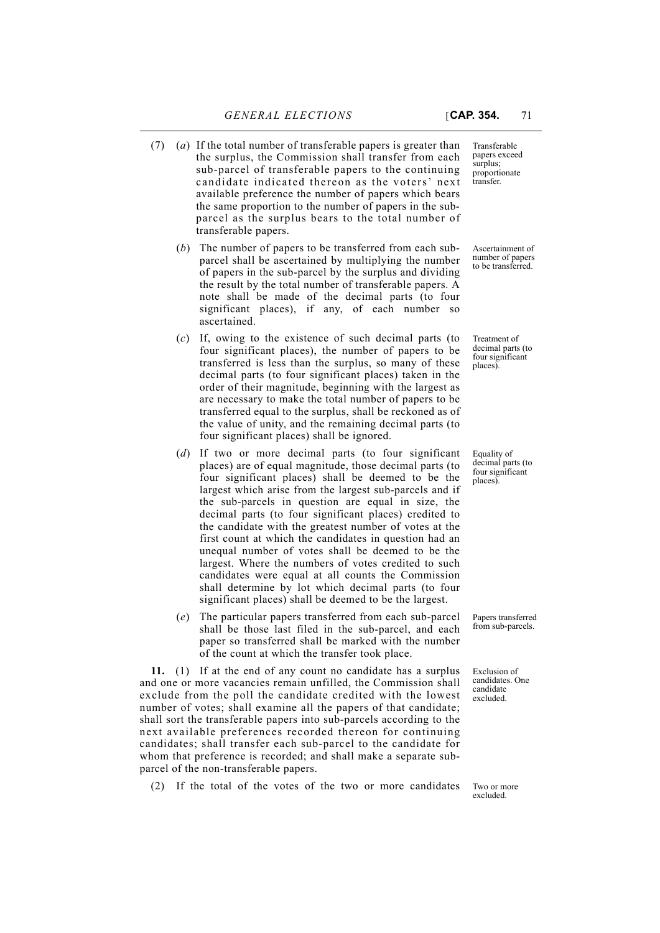- (7) (*a*) If the total number of transferable papers is greater than the surplus, the Commission shall transfer from each sub-parcel of transferable papers to the continuing candidate indicated thereon as the voters' next available preference the number of papers which bears the same proportion to the number of papers in the subparcel as the surplus bears to the total number of transferable papers.
	- (*b*) The number of papers to be transferred from each subparcel shall be ascertained by multiplying the number of papers in the sub-parcel by the surplus and dividing the result by the total number of transferable papers. A note shall be made of the decimal parts (to four significant places), if any, of each number so ascertained.
	- (*c*) If, owing to the existence of such decimal parts (to four significant places), the number of papers to be transferred is less than the surplus, so many of these decimal parts (to four significant places) taken in the order of their magnitude, beginning with the largest as are necessary to make the total number of papers to be transferred equal to the surplus, shall be reckoned as of the value of unity, and the remaining decimal parts (to four significant places) shall be ignored.
	- (*d*) If two or more decimal parts (to four significant places) are of equal magnitude, those decimal parts (to four significant places) shall be deemed to be the largest which arise from the largest sub-parcels and if the sub-parcels in question are equal in size, the decimal parts (to four significant places) credited to the candidate with the greatest number of votes at the first count at which the candidates in question had an unequal number of votes shall be deemed to be the largest. Where the numbers of votes credited to such candidates were equal at all counts the Commission shall determine by lot which decimal parts (to four significant places) shall be deemed to be the largest.
	- (*e*) The particular papers transferred from each sub-parcel shall be those last filed in the sub-parcel, and each paper so transferred shall be marked with the number of the count at which the transfer took place.

**11.** (1) If at the end of any count no candidate has a surplus and one or more vacancies remain unfilled, the Commission shall exclude from the poll the candidate credited with the lowest number of votes; shall examine all the papers of that candidate; shall sort the transferable papers into sub-parcels according to the next available preferences recorded thereon for continuing candidates; shall transfer each sub-parcel to the candidate for whom that preference is recorded; and shall make a separate subparcel of the non-transferable papers.

(2) If the total of the votes of the two or more candidates

Transferable papers exceed surplus; proportionate transfer.

Ascertainment of number of papers to be transferred.

Treatment of decimal parts (to four significant places).

Equality of decimal parts (to four significant places).

Papers transferred from sub-parcels.

Exclusion of candidates. One candidate excluded.

Two or more excluded.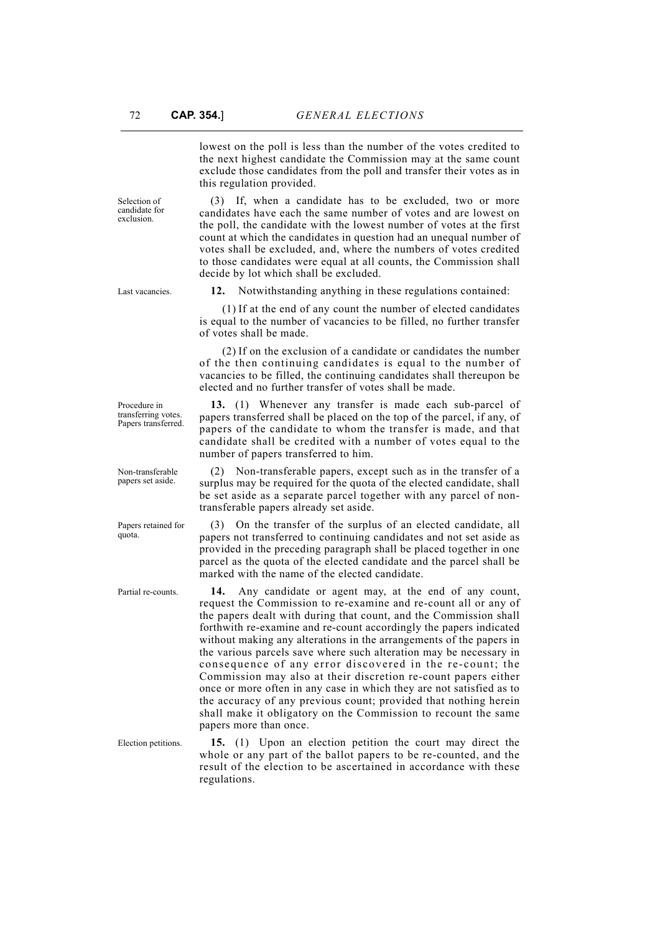lowest on the poll is less than the number of the votes credited to the next highest candidate the Commission may at the same count exclude those candidates from the poll and transfer their votes as in this regulation provided.

(3) If, when a candidate has to be excluded, two or more candidates have each the same number of votes and are lowest on the poll, the candidate with the lowest number of votes at the first count at which the candidates in question had an unequal number of votes shall be excluded, and, where the numbers of votes credited to those candidates were equal at all counts, the Commission shall decide by lot which shall be excluded.

Last vacancies. **12.** Notwithstanding anything in these regulations contained:

of votes shall be made.

(2) If on the exclusion of a candidate or candidates the number of the then continuing candidates is equal to the number of vacancies to be filled, the continuing candidates shall thereupon be elected and no further transfer of votes shall be made.

(1) If at the end of any count the number of elected candidates is equal to the number of vacancies to be filled, no further transfer

**13.** (1) Whenever any transfer is made each sub-parcel of papers transferred shall be placed on the top of the parcel, if any, of papers of the candidate to whom the transfer is made, and that candidate shall be credited with a number of votes equal to the number of papers transferred to him.

(2) Non-transferable papers, except such as in the transfer of a surplus may be required for the quota of the elected candidate, shall be set aside as a separate parcel together with any parcel of nontransferable papers already set aside.

(3) On the transfer of the surplus of an elected candidate, all papers not transferred to continuing candidates and not set aside as provided in the preceding paragraph shall be placed together in one parcel as the quota of the elected candidate and the parcel shall be marked with the name of the elected candidate.

Partial re-counts. **14.** Any candidate or agent may, at the end of any count, request the Commission to re-examine and re-count all or any of the papers dealt with during that count, and the Commission shall forthwith re-examine and re-count accordingly the papers indicated without making any alterations in the arrangements of the papers in the various parcels save where such alteration may be necessary in consequence of any error discovered in the re-count; the Commission may also at their discretion re-count papers either once or more often in any case in which they are not satisfied as to the accuracy of any previous count; provided that nothing herein shall make it obligatory on the Commission to recount the same papers more than once.

Election petitions. **15.** (1) Upon an election petition the court may direct the whole or any part of the ballot papers to be re-counted, and the result of the election to be ascertained in accordance with these regulations.

Procedure in transferring votes. Papers transferred.

Non-transferable papers set aside.

Papers retained for quota.

Selection of candidate for exclusion.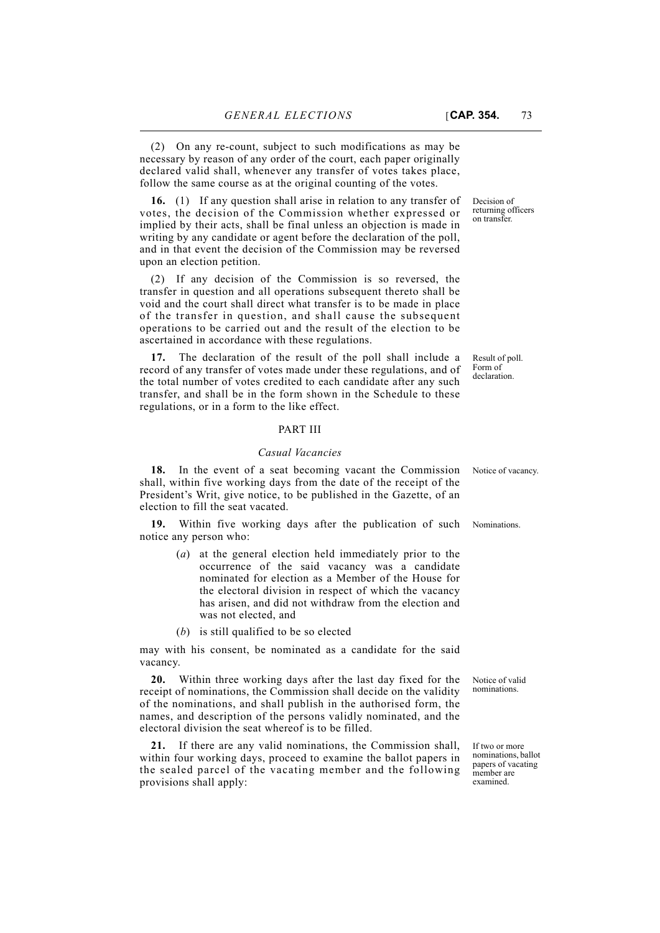(2) On any re-count, subject to such modifications as may be necessary by reason of any order of the court, each paper originally declared valid shall, whenever any transfer of votes takes place, follow the same course as at the original counting of the votes.

**16.** (1) If any question shall arise in relation to any transfer of votes, the decision of the Commission whether expressed or implied by their acts, shall be final unless an objection is made in writing by any candidate or agent before the declaration of the poll, and in that event the decision of the Commission may be reversed upon an election petition.

(2) If any decision of the Commission is so reversed, the transfer in question and all operations subsequent thereto shall be void and the court shall direct what transfer is to be made in place of the transfer in question, and shall cause the subsequent operations to be carried out and the result of the election to be ascertained in accordance with these regulations.

**17.** The declaration of the result of the poll shall include a record of any transfer of votes made under these regulations, and of the total number of votes credited to each candidate after any such transfer, and shall be in the form shown in the Schedule to these regulations, or in a form to the like effect.

## PART III

#### *Casual Vacancies*

**18.** In the event of a seat becoming vacant the Commission Notice of vacancy. shall, within five working days from the date of the receipt of the President's Writ, give notice, to be published in the Gazette, of an election to fill the seat vacated.

**19.** Within five working days after the publication of such Nominations. notice any person who:

- (*a*) at the general election held immediately prior to the occurrence of the said vacancy was a candidate nominated for election as a Member of the House for the electoral division in respect of which the vacancy has arisen, and did not withdraw from the election and was not elected, and
- (*b*) is still qualified to be so elected

may with his consent, be nominated as a candidate for the said vacancy.

**20.** Within three working days after the last day fixed for the receipt of nominations, the Commission shall decide on the validity of the nominations, and shall publish in the authorised form, the names, and description of the persons validly nominated, and the electoral division the seat whereof is to be filled.

**21.** If there are any valid nominations, the Commission shall, within four working days, proceed to examine the ballot papers in the sealed parcel of the vacating member and the following provisions shall apply:

Decision of returning officers on transfer.

Result of poll. Form of declaration.

Notice of valid nominations.

If two or more nominations, ballot papers of vacating member are examined.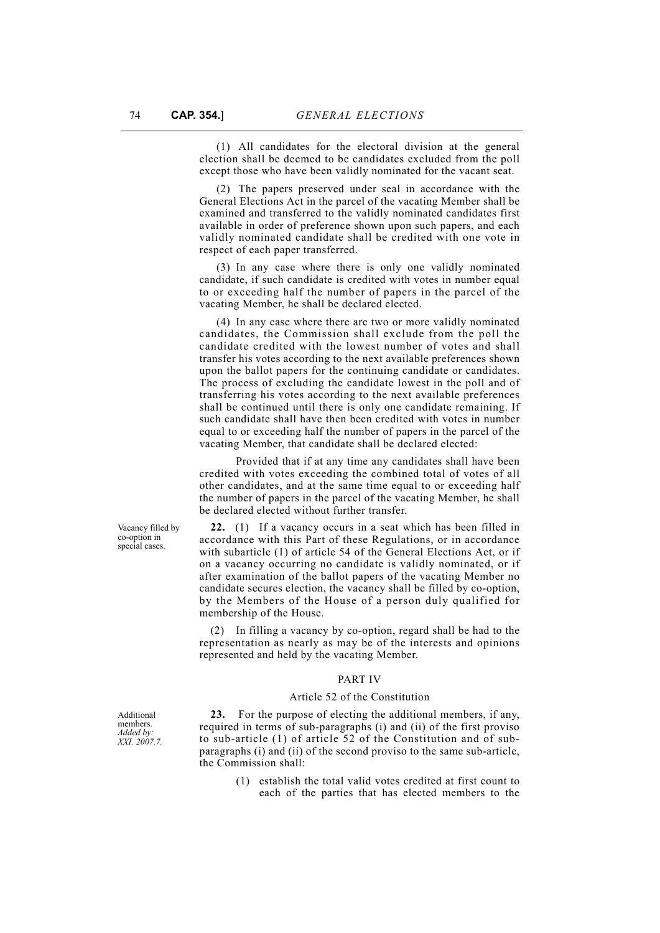(1) All candidates for the electoral division at the general election shall be deemed to be candidates excluded from the poll except those who have been validly nominated for the vacant seat.

(2) The papers preserved under seal in accordance with the General Elections Act in the parcel of the vacating Member shall be examined and transferred to the validly nominated candidates first available in order of preference shown upon such papers, and each validly nominated candidate shall be credited with one vote in respect of each paper transferred.

(3) In any case where there is only one validly nominated candidate, if such candidate is credited with votes in number equal to or exceeding half the number of papers in the parcel of the vacating Member, he shall be declared elected.

(4) In any case where there are two or more validly nominated candidates, the Commission shall exclude from the poll the candidate credited with the lowest number of votes and shall transfer his votes according to the next available preferences shown upon the ballot papers for the continuing candidate or candidates. The process of excluding the candidate lowest in the poll and of transferring his votes according to the next available preferences shall be continued until there is only one candidate remaining. If such candidate shall have then been credited with votes in number equal to or exceeding half the number of papers in the parcel of the vacating Member, that candidate shall be declared elected:

Provided that if at any time any candidates shall have been credited with votes exceeding the combined total of votes of all other candidates, and at the same time equal to or exceeding half the number of papers in the parcel of the vacating Member, he shall be declared elected without further transfer.

**22.** (1) If a vacancy occurs in a seat which has been filled in accordance with this Part of these Regulations, or in accordance with subarticle (1) of article 54 of the General Elections Act, or if on a vacancy occurring no candidate is validly nominated, or if after examination of the ballot papers of the vacating Member no candidate secures election, the vacancy shall be filled by co-option, by the Members of the House of a person duly qualified for membership of the House.

(2) In filling a vacancy by co-option, regard shall be had to the representation as nearly as may be of the interests and opinions represented and held by the vacating Member.

#### PART IV

#### Article 52 of the Constitution

**23.** For the purpose of electing the additional members, if any, required in terms of sub-paragraphs (i) and (ii) of the first proviso to sub-article (1) of article 52 of the Constitution and of subparagraphs (i) and (ii) of the second proviso to the same sub-article, the Commission shall:

> (1) establish the total valid votes credited at first count to each of the parties that has elected members to the

Vacancy filled by co-option in special cases.

Additional members. *Added by: XXI. 2007.7.*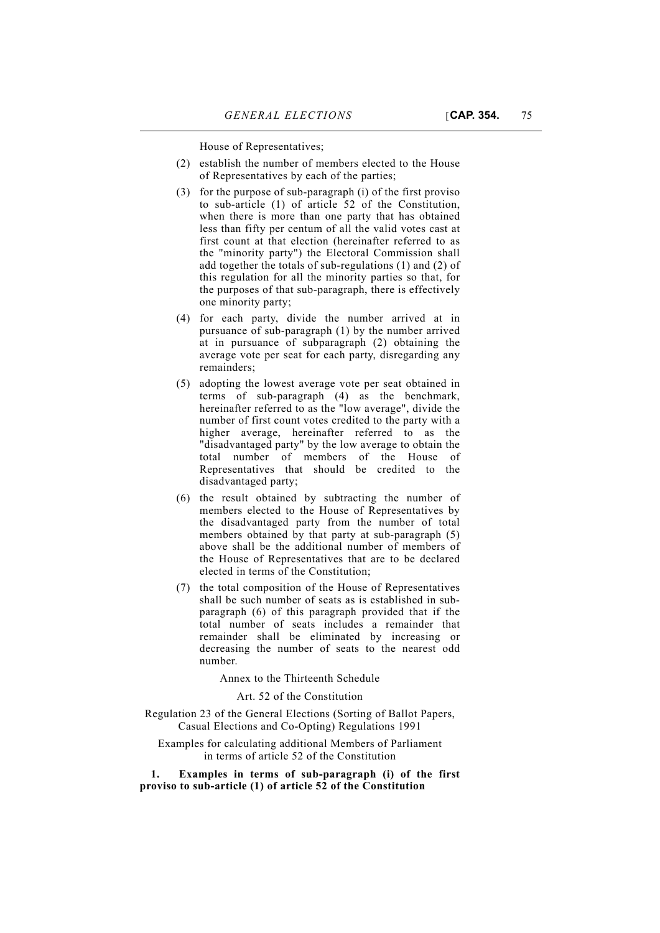House of Representatives;

- (2) establish the number of members elected to the House of Representatives by each of the parties;
- (3) for the purpose of sub-paragraph (i) of the first proviso to sub-article (1) of article 52 of the Constitution, when there is more than one party that has obtained less than fifty per centum of all the valid votes cast at first count at that election (hereinafter referred to as the "minority party") the Electoral Commission shall add together the totals of sub-regulations (1) and (2) of this regulation for all the minority parties so that, for the purposes of that sub-paragraph, there is effectively one minority party;
- (4) for each party, divide the number arrived at in pursuance of sub-paragraph (1) by the number arrived at in pursuance of subparagraph (2) obtaining the average vote per seat for each party, disregarding any remainders;
- (5) adopting the lowest average vote per seat obtained in terms of sub-paragraph (4) as the benchmark, hereinafter referred to as the "low average", divide the number of first count votes credited to the party with a higher average, hereinafter referred to as the "disadvantaged party" by the low average to obtain the total number of members of the House of Representatives that should be credited to the disadvantaged party;
- (6) the result obtained by subtracting the number of members elected to the House of Representatives by the disadvantaged party from the number of total members obtained by that party at sub-paragraph (5) above shall be the additional number of members of the House of Representatives that are to be declared elected in terms of the Constitution;
- (7) the total composition of the House of Representatives shall be such number of seats as is established in subparagraph (6) of this paragraph provided that if the total number of seats includes a remainder that remainder shall be eliminated by increasing or decreasing the number of seats to the nearest odd number.

Annex to the Thirteenth Schedule

#### Art. 52 of the Constitution

Regulation 23 of the General Elections (Sorting of Ballot Papers, Casual Elections and Co-Opting) Regulations 1991

Examples for calculating additional Members of Parliament in terms of article 52 of the Constitution

**1. Examples in terms of sub-paragraph (i) of the first proviso to sub-article (1) of article 52 of the Constitution**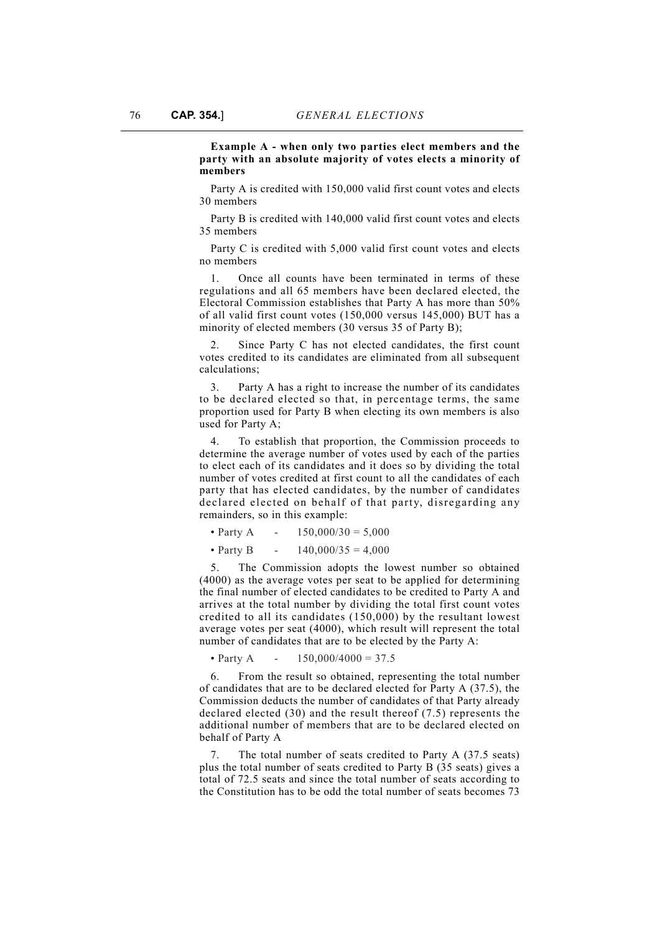**Example A - when only two parties elect members and the party with an absolute majority of votes elects a minority of members**

Party A is credited with 150,000 valid first count votes and elects 30 members

Party B is credited with 140,000 valid first count votes and elects 35 members

Party C is credited with 5,000 valid first count votes and elects no members

1. Once all counts have been terminated in terms of these regulations and all 65 members have been declared elected, the Electoral Commission establishes that Party A has more than 50% of all valid first count votes (150,000 versus 145,000) BUT has a minority of elected members (30 versus 35 of Party B);

Since Party C has not elected candidates, the first count votes credited to its candidates are eliminated from all subsequent calculations;

3. Party A has a right to increase the number of its candidates to be declared elected so that, in percentage terms, the same proportion used for Party B when electing its own members is also used for Party A;

4. To establish that proportion, the Commission proceeds to determine the average number of votes used by each of the parties to elect each of its candidates and it does so by dividing the total number of votes credited at first count to all the candidates of each party that has elected candidates, by the number of candidates declared elected on behalf of that party, disregarding any remainders, so in this example:

• Party A -  $150,000/30 = 5,000$ 

• Party B -  $140,000/35 = 4,000$ 

The Commission adopts the lowest number so obtained (4000) as the average votes per seat to be applied for determining the final number of elected candidates to be credited to Party A and arrives at the total number by dividing the total first count votes credited to all its candidates (150,000) by the resultant lowest average votes per seat (4000), which result will represent the total number of candidates that are to be elected by the Party A:

• Party A -  $150,000/4000 = 37.5$ 

6. From the result so obtained, representing the total number of candidates that are to be declared elected for Party A (37.5), the Commission deducts the number of candidates of that Party already declared elected (30) and the result thereof (7.5) represents the additional number of members that are to be declared elected on behalf of Party A

7. The total number of seats credited to Party A (37.5 seats) plus the total number of seats credited to Party B (35 seats) gives a total of 72.5 seats and since the total number of seats according to the Constitution has to be odd the total number of seats becomes 73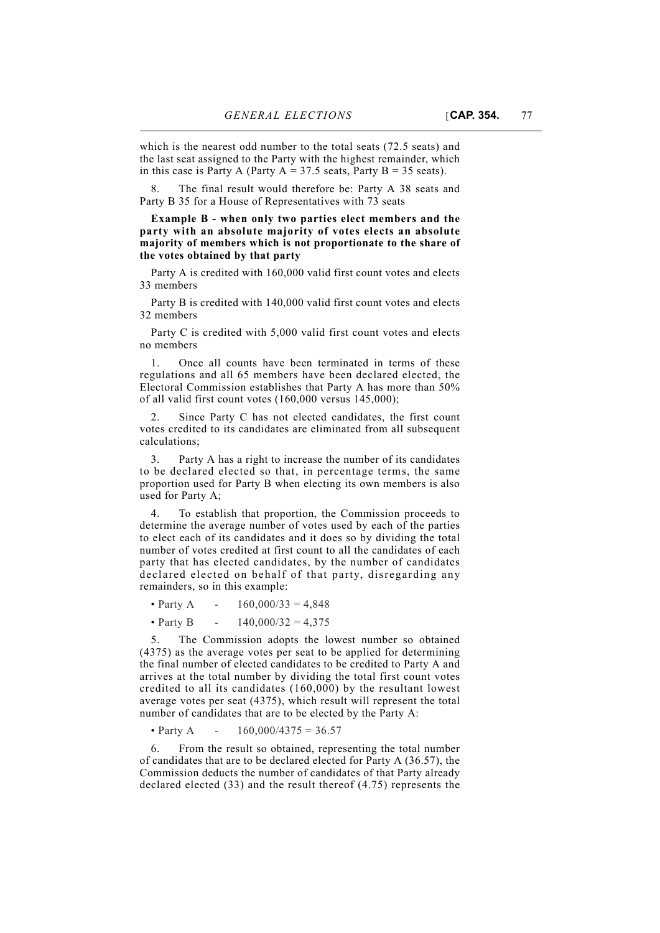the last seat assigned to the Party with the highest remainder, which in this case is Party A (Party  $A = 37.5$  seats, Party  $B = 35$  seats).

8. The final result would therefore be: Party A 38 seats and Party B 35 for a House of Representatives with 73 seats

**Example B - when only two parties elect members and the party with an absolute majority of votes elects an absolute majority of members which is not proportionate to the share of the votes obtained by that party**

Party A is credited with 160,000 valid first count votes and elects 33 members

Party B is credited with 140,000 valid first count votes and elects 32 members

Party C is credited with 5,000 valid first count votes and elects no members

1. Once all counts have been terminated in terms of these regulations and all 65 members have been declared elected, the Electoral Commission establishes that Party A has more than 50% of all valid first count votes (160,000 versus 145,000);

2. Since Party C has not elected candidates, the first count votes credited to its candidates are eliminated from all subsequent calculations;

3. Party A has a right to increase the number of its candidates to be declared elected so that, in percentage terms, the same proportion used for Party B when electing its own members is also used for Party A;

4. To establish that proportion, the Commission proceeds to determine the average number of votes used by each of the parties to elect each of its candidates and it does so by dividing the total number of votes credited at first count to all the candidates of each party that has elected candidates, by the number of candidates declared elected on behalf of that party, disregarding any remainders, so in this example:

• Party A -  $160,000/33 = 4,848$ 

• Party B -  $140,000/32 = 4,375$ 

The Commission adopts the lowest number so obtained (4375) as the average votes per seat to be applied for determining the final number of elected candidates to be credited to Party A and arrives at the total number by dividing the total first count votes credited to all its candidates (160,000) by the resultant lowest average votes per seat (4375), which result will represent the total number of candidates that are to be elected by the Party A:

• Party A -  $160,000/4375 = 36.57$ 

6. From the result so obtained, representing the total number of candidates that are to be declared elected for Party A (36.57), the Commission deducts the number of candidates of that Party already declared elected (33) and the result thereof (4.75) represents the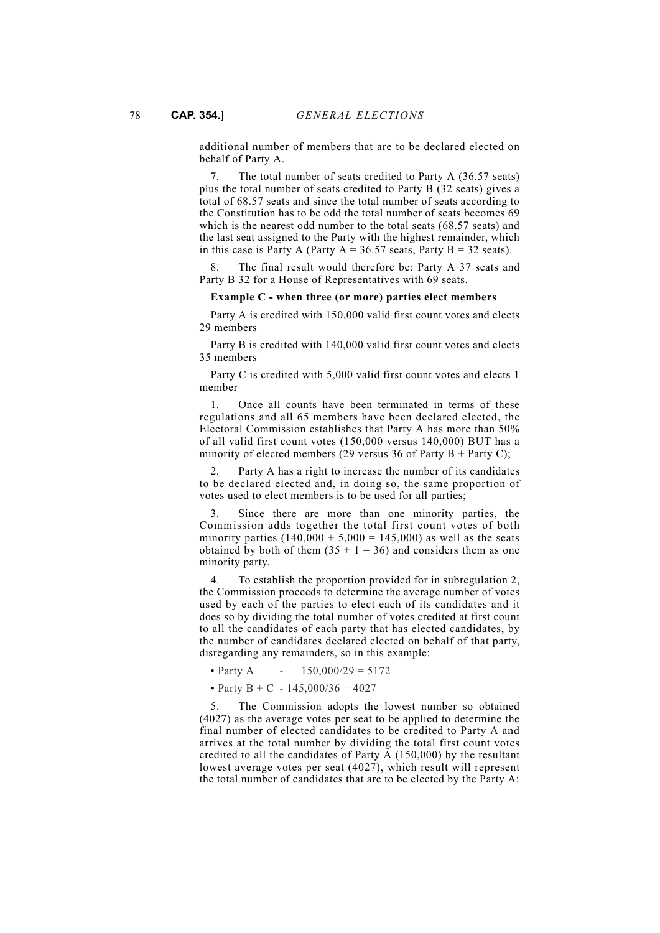additional number of members that are to be declared elected on behalf of Party A.

7. The total number of seats credited to Party A (36.57 seats) plus the total number of seats credited to Party B (32 seats) gives a total of 68.57 seats and since the total number of seats according to the Constitution has to be odd the total number of seats becomes 69 which is the nearest odd number to the total seats (68.57 seats) and the last seat assigned to the Party with the highest remainder, which in this case is Party A (Party  $A = 36.57$  seats, Party B = 32 seats).

The final result would therefore be: Party A 37 seats and Party B 32 for a House of Representatives with 69 seats.

### **Example C - when three (or more) parties elect members**

Party A is credited with 150,000 valid first count votes and elects 29 members

Party B is credited with 140,000 valid first count votes and elects 35 members

Party C is credited with 5,000 valid first count votes and elects 1 member

1. Once all counts have been terminated in terms of these regulations and all 65 members have been declared elected, the Electoral Commission establishes that Party A has more than 50% of all valid first count votes (150,000 versus 140,000) BUT has a minority of elected members (29 versus 36 of Party B + Party C);

Party A has a right to increase the number of its candidates to be declared elected and, in doing so, the same proportion of votes used to elect members is to be used for all parties;

Since there are more than one minority parties, the Commission adds together the total first count votes of both minority parties  $(140,000 + 5,000 = 145,000)$  as well as the seats obtained by both of them  $(35 + 1 = 36)$  and considers them as one minority party.

4. To establish the proportion provided for in subregulation 2, the Commission proceeds to determine the average number of votes used by each of the parties to elect each of its candidates and it does so by dividing the total number of votes credited at first count to all the candidates of each party that has elected candidates, by the number of candidates declared elected on behalf of that party, disregarding any remainders, so in this example:

• Party A  $- 150,000/29 = 5172$ 

• Party B + C - 145,000/36 = 4027

5. The Commission adopts the lowest number so obtained (4027) as the average votes per seat to be applied to determine the final number of elected candidates to be credited to Party A and arrives at the total number by dividing the total first count votes credited to all the candidates of Party A (150,000) by the resultant lowest average votes per seat (4027), which result will represent the total number of candidates that are to be elected by the Party A: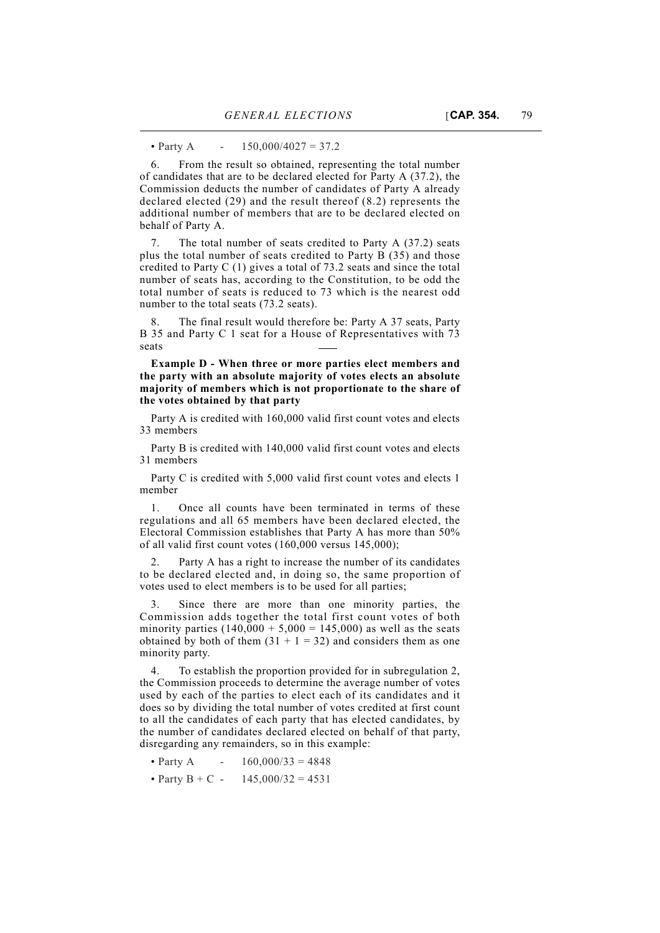• Party A -  $150,000/4027 = 37.2$ 

6. From the result so obtained, representing the total number of candidates that are to be declared elected for Party A (37.2), the Commission deducts the number of candidates of Party A already declared elected (29) and the result thereof (8.2) represents the additional number of members that are to be declared elected on behalf of Party A.

7. The total number of seats credited to Party A (37.2) seats plus the total number of seats credited to Party B (35) and those credited to Party C (1) gives a total of 73.2 seats and since the total number of seats has, according to the Constitution, to be odd the total number of seats is reduced to 73 which is the nearest odd number to the total seats (73.2 seats).

The final result would therefore be: Party A 37 seats, Party B 35 and Party C 1 seat for a House of Representatives with 73 seats

**Example D - When three or more parties elect members and the party with an absolute majority of votes elects an absolute majority of members which is not proportionate to the share of the votes obtained by that party**

Party A is credited with 160,000 valid first count votes and elects 33 members

Party B is credited with 140,000 valid first count votes and elects 31 members

Party C is credited with 5,000 valid first count votes and elects 1 member

1. Once all counts have been terminated in terms of these regulations and all 65 members have been declared elected, the Electoral Commission establishes that Party A has more than 50% of all valid first count votes (160,000 versus 145,000);

2. Party A has a right to increase the number of its candidates to be declared elected and, in doing so, the same proportion of votes used to elect members is to be used for all parties;

3. Since there are more than one minority parties, the Commission adds together the total first count votes of both minority parties  $(140,000 + 5,000 = 145,000)$  as well as the seats obtained by both of them  $(31 + 1 = 32)$  and considers them as one minority party.

To establish the proportion provided for in subregulation 2, the Commission proceeds to determine the average number of votes used by each of the parties to elect each of its candidates and it does so by dividing the total number of votes credited at first count to all the candidates of each party that has elected candidates, by the number of candidates declared elected on behalf of that party, disregarding any remainders, so in this example:

- Party A  $160,000/33 = 4848$
- Party B + C 145,000/32 = 4531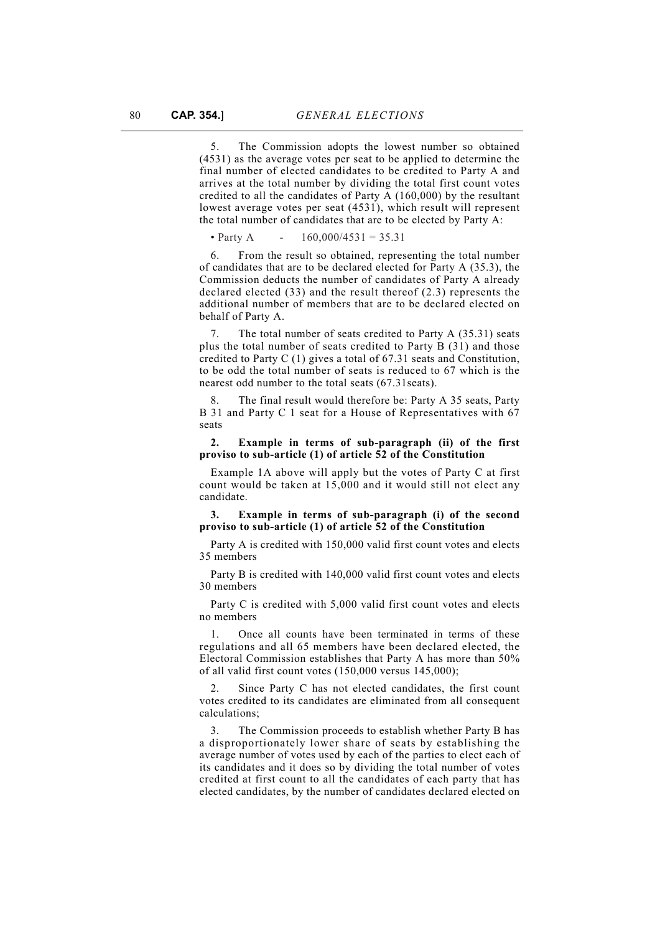5. The Commission adopts the lowest number so obtained (4531) as the average votes per seat to be applied to determine the final number of elected candidates to be credited to Party A and arrives at the total number by dividing the total first count votes credited to all the candidates of Party A (160,000) by the resultant lowest average votes per seat (4531), which result will represent the total number of candidates that are to be elected by Party A:

• Party A  $- 160,000/4531 = 35,31$ 

6. From the result so obtained, representing the total number of candidates that are to be declared elected for Party A (35.3), the Commission deducts the number of candidates of Party A already declared elected (33) and the result thereof (2.3) represents the additional number of members that are to be declared elected on behalf of Party A.

7. The total number of seats credited to Party A (35.31) seats plus the total number of seats credited to Party B (31) and those credited to Party C (1) gives a total of 67.31 seats and Constitution, to be odd the total number of seats is reduced to 67 which is the nearest odd number to the total seats (67.31seats).

8. The final result would therefore be: Party A 35 seats, Party B 31 and Party C 1 seat for a House of Representatives with 67 seats

## **2. Example in terms of sub-paragraph (ii) of the first proviso to sub-article (1) of article 52 of the Constitution**

Example 1A above will apply but the votes of Party C at first count would be taken at 15,000 and it would still not elect any candidate.

**3. Example in terms of sub-paragraph (i) of the second proviso to sub-article (1) of article 52 of the Constitution**

Party A is credited with 150,000 valid first count votes and elects 35 members

Party B is credited with 140,000 valid first count votes and elects 30 members

Party C is credited with 5,000 valid first count votes and elects no members

Once all counts have been terminated in terms of these regulations and all 65 members have been declared elected, the Electoral Commission establishes that Party A has more than 50% of all valid first count votes (150,000 versus 145,000);

2. Since Party C has not elected candidates, the first count votes credited to its candidates are eliminated from all consequent calculations;

3. The Commission proceeds to establish whether Party B has a disproportionately lower share of seats by establishing the average number of votes used by each of the parties to elect each of its candidates and it does so by dividing the total number of votes credited at first count to all the candidates of each party that has elected candidates, by the number of candidates declared elected on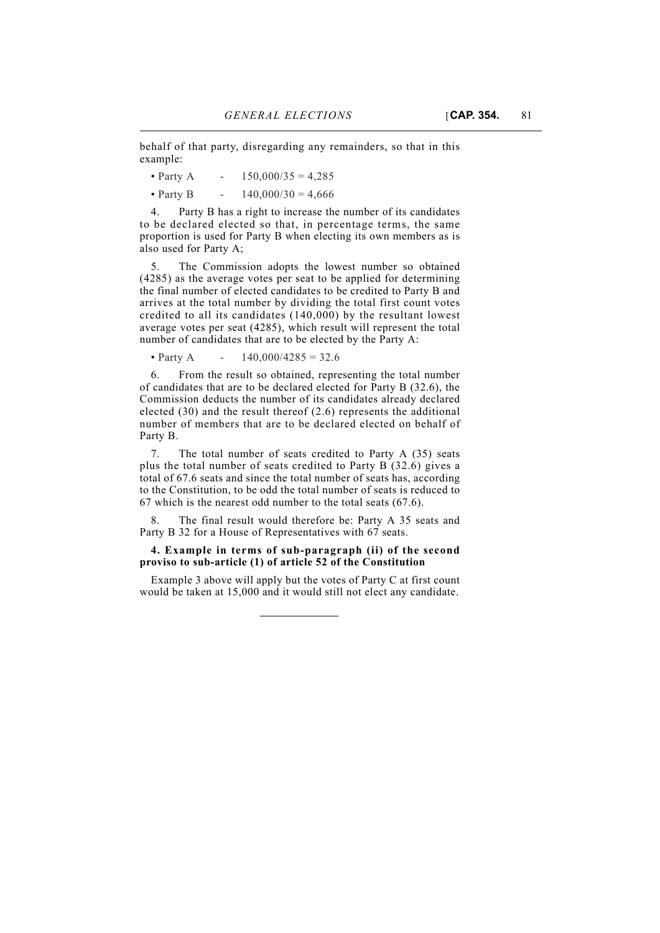behalf of that party, disregarding any remainders, so that in this example:

• Party A -  $150,000/35 = 4,285$ 

• Party B -  $140,000/30 = 4,666$ 

4. Party B has a right to increase the number of its candidates to be declared elected so that, in percentage terms, the same proportion is used for Party B when electing its own members as is also used for Party A;

5. The Commission adopts the lowest number so obtained (4285) as the average votes per seat to be applied for determining the final number of elected candidates to be credited to Party B and arrives at the total number by dividing the total first count votes credited to all its candidates (140,000) by the resultant lowest average votes per seat (4285), which result will represent the total number of candidates that are to be elected by the Party A:

• Party A  $- 140.000/4285 = 32.6$ 

6. From the result so obtained, representing the total number of candidates that are to be declared elected for Party B (32.6), the Commission deducts the number of its candidates already declared elected (30) and the result thereof (2.6) represents the additional number of members that are to be declared elected on behalf of Party B.

7. The total number of seats credited to Party A (35) seats plus the total number of seats credited to Party B (32.6) gives a total of 67.6 seats and since the total number of seats has, according to the Constitution, to be odd the total number of seats is reduced to 67 which is the nearest odd number to the total seats (67.6).

The final result would therefore be: Party A 35 seats and Party B 32 for a House of Representatives with 67 seats.

## **4. Example in terms of sub-paragraph (ii) of the second proviso to sub-article (1) of article 52 of the Constitution**

Example 3 above will apply but the votes of Party C at first count would be taken at 15,000 and it would still not elect any candidate.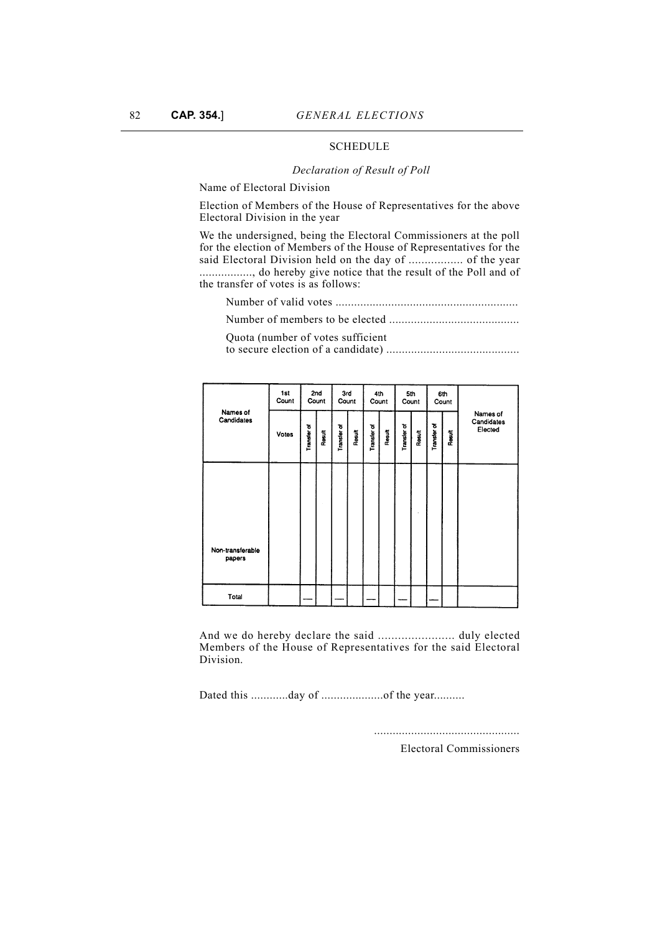# **SCHEDULE**

#### *Declaration of Result of Poll*

Name of Electoral Division

Election of Members of the House of Representatives for the above Electoral Division in the year

We the undersigned, being the Electoral Commissioners at the poll for the election of Members of the House of Representatives for the said Electoral Division held on the day of ................. of the year ................., do hereby give notice that the result of the Poll and of the transfer of votes is as follows:

Number of valid votes ...........................................................

Number of members to be elected ..........................................

Quota (number of votes sufficient

to secure election of a candidate) ...........................................

|                        | 1st<br>Count |             | 2nd<br>Count | 3rd<br>Count |        | Count              | 4th    | 5th<br>Count |        |             | 6th<br>Count |                                   |
|------------------------|--------------|-------------|--------------|--------------|--------|--------------------|--------|--------------|--------|-------------|--------------|-----------------------------------|
| Names of<br>Candidates | Votes        | Transfer of | Result       | Transfer of  | Result | <b>Transfer of</b> | Result | Transfer of  | Result | Transfer of | Result       | Names of<br>Candidates<br>Elected |
| Non-transforable       |              |             |              |              |        |                    |        |              |        |             |              |                                   |
| papers                 |              |             |              |              |        |                    |        |              |        |             |              |                                   |
| Total                  |              |             |              |              |        |                    |        |              |        |             |              |                                   |

And we do hereby declare the said ....................... duly elected Members of the House of Representatives for the said Electoral Division.

Dated this .............day of ........................of the year..........

...............................................

Electoral Commissioners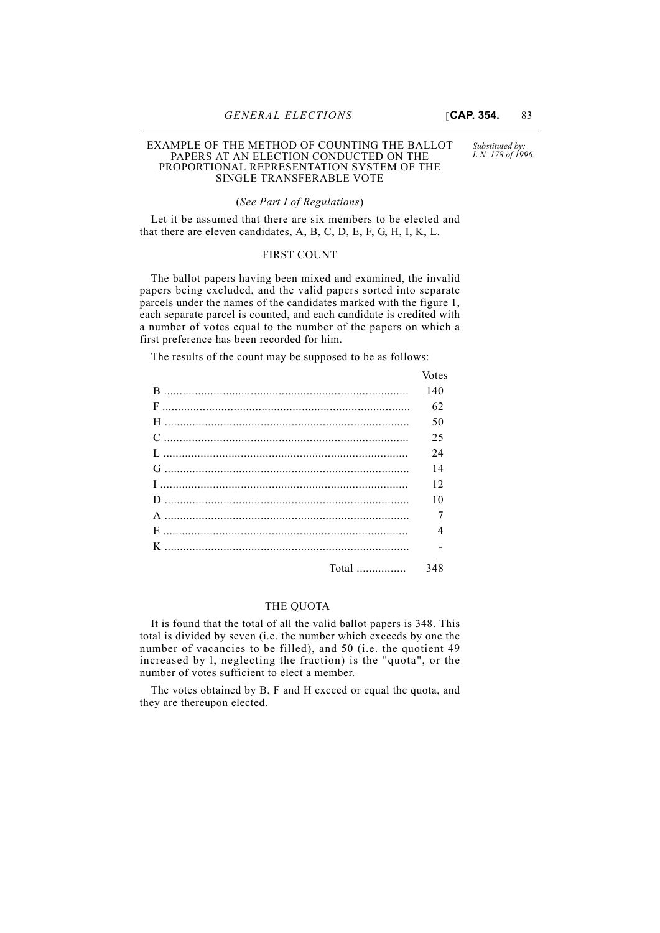#### EXAMPLE OF THE METHOD OF COUNTING THE BALLOT PAPERS AT AN ELECTION CONDUCTED ON THE PROPORTIONAL REPRESENTATION SYSTEM OF THE SINGLE TRANSFERABLE VOTE

*Substituted by: L.N. 178 of 1996.*

### (*See Part I of Regulations*)

Let it be assumed that there are six members to be elected and that there are eleven candidates, A, B, C, D, E, F, G, H, I, K, L.

## FIRST COUNT

The ballot papers having been mixed and examined, the invalid papers being excluded, and the valid papers sorted into separate parcels under the names of the candidates marked with the figure 1, each separate parcel is counted, and each candidate is credited with a number of votes equal to the number of the papers on which a first preference has been recorded for him.

The results of the count may be supposed to be as follows:

| <b>VOLUS</b> |
|--------------|
| 140          |
| 62           |
| 50           |
| 25           |
| 24           |
| 14           |
| 12           |
| 10           |
|              |
| 4            |
|              |
| 348          |
|              |

# THE QUOTA

It is found that the total of all the valid ballot papers is 348. This total is divided by seven (i.e. the number which exceeds by one the number of vacancies to be filled), and 50 (i.e. the quotient 49 increased by l, neglecting the fraction) is the "quota", or the number of votes sufficient to elect a member.

The votes obtained by B, F and H exceed or equal the quota, and they are thereupon elected.

 $V_{\alpha \alpha}$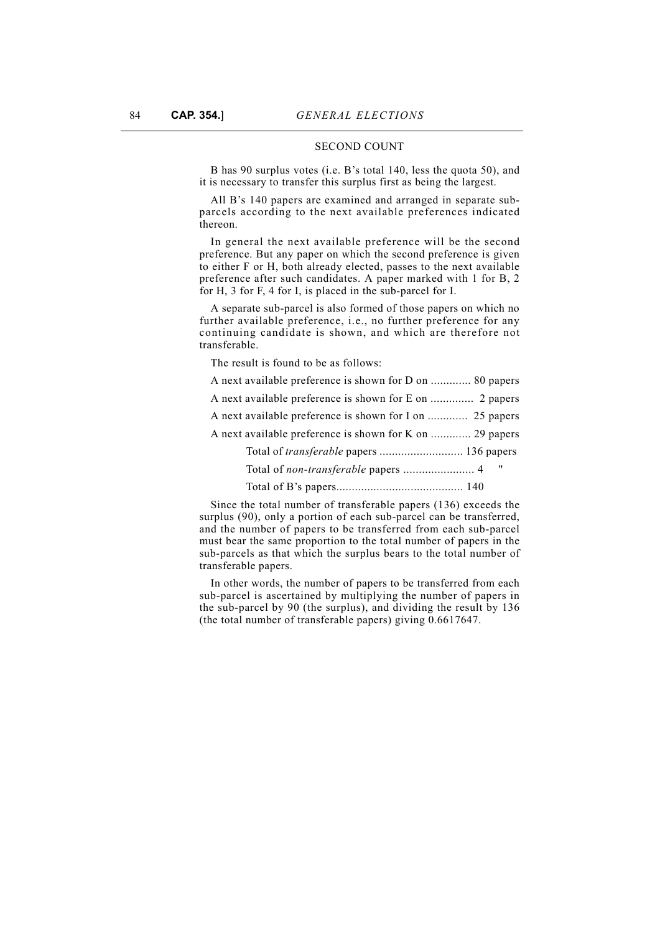## SECOND COUNT

B has 90 surplus votes (i.e. B's total 140, less the quota 50), and it is necessary to transfer this surplus first as being the largest.

All B's 140 papers are examined and arranged in separate subparcels according to the next available preferences indicated thereon.

In general the next available preference will be the second preference. But any paper on which the second preference is given to either F or H, both already elected, passes to the next available preference after such candidates. A paper marked with 1 for B, 2 for H, 3 for F, 4 for I, is placed in the sub-parcel for I.

A separate sub-parcel is also formed of those papers on which no further available preference, i.e., no further preference for any continuing candidate is shown, and which are therefore not transferable.

The result is found to be as follows:

A next available preference is shown for D on ............. 80 papers

A next available preference is shown for E on .............. 2 papers

A next available preference is shown for I on ............. 25 papers

A next available preference is shown for K on ............. 29 papers

Total of *transferable* papers ........................... 136 papers

Total of *non-transferable* papers ....................... 4 "

Total of B's papers......................................... 140

Since the total number of transferable papers (136) exceeds the surplus (90), only a portion of each sub-parcel can be transferred, and the number of papers to be transferred from each sub-parcel must bear the same proportion to the total number of papers in the sub-parcels as that which the surplus bears to the total number of transferable papers.

In other words, the number of papers to be transferred from each sub-parcel is ascertained by multiplying the number of papers in the sub-parcel by 90 (the surplus), and dividing the result by 136 (the total number of transferable papers) giving 0.6617647.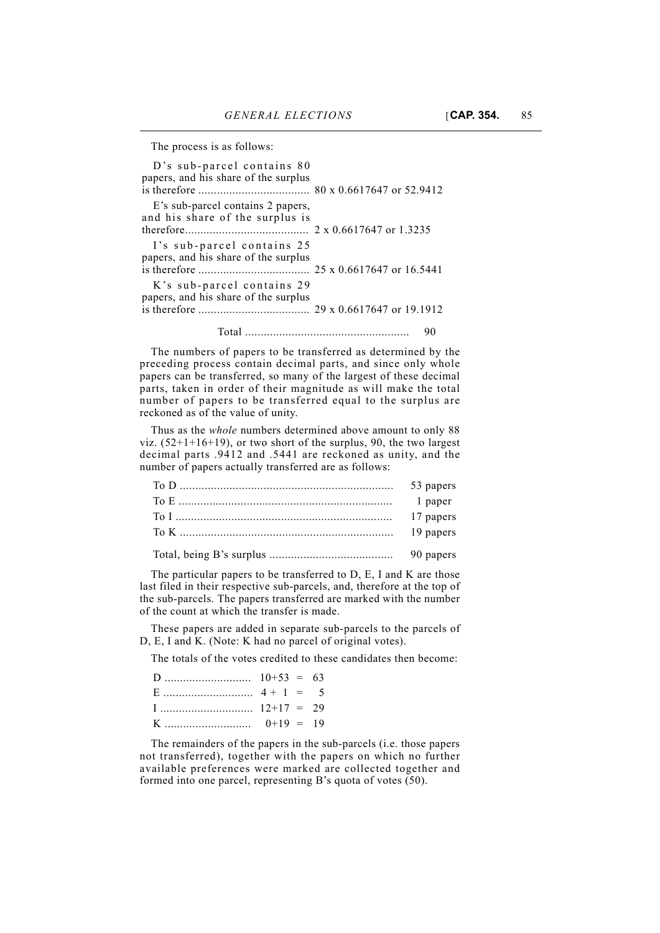The process is as follows:

| D's sub-parcel contains 80                                         |  |
|--------------------------------------------------------------------|--|
| papers, and his share of the surplus                               |  |
| E's sub-parcel contains 2 papers,                                  |  |
| and his share of the surplus is                                    |  |
|                                                                    |  |
| I's sub-parcel contains 25<br>papers, and his share of the surplus |  |
|                                                                    |  |
| K's sub-parcel contains 29<br>papers, and his share of the surplus |  |
|                                                                    |  |
|                                                                    |  |

The numbers of papers to be transferred as determined by the preceding process contain decimal parts, and since only whole papers can be transferred, so many of the largest of these decimal parts, taken in order of their magnitude as will make the total number of papers to be transferred equal to the surplus are reckoned as of the value of unity.

Thus as the *whole* numbers determined above amount to only 88 viz.  $(52+1+16+19)$ , or two short of the surplus, 90, the two largest decimal parts .9412 and .5441 are reckoned as unity, and the number of papers actually transferred are as follows:

| 53 papers |
|-----------|
| 1 paper   |
|           |
|           |
| 90 papers |

The particular papers to be transferred to D, E, I and K are those last filed in their respective sub-parcels, and, therefore at the top of the sub-parcels. The papers transferred are marked with the number of the count at which the transfer is made.

These papers are added in separate sub-parcels to the parcels of D, E, I and K. (Note: K had no parcel of original votes).

The totals of the votes credited to these candidates then become:

| $1 \dots \dots \dots \dots \dots \dots \dots \dots \quad 12+17 = 29$ |  |  |
|----------------------------------------------------------------------|--|--|
|                                                                      |  |  |

The remainders of the papers in the sub-parcels (i.e. those papers not transferred), together with the papers on which no further available preferences were marked are collected together and formed into one parcel, representing B's quota of votes (50).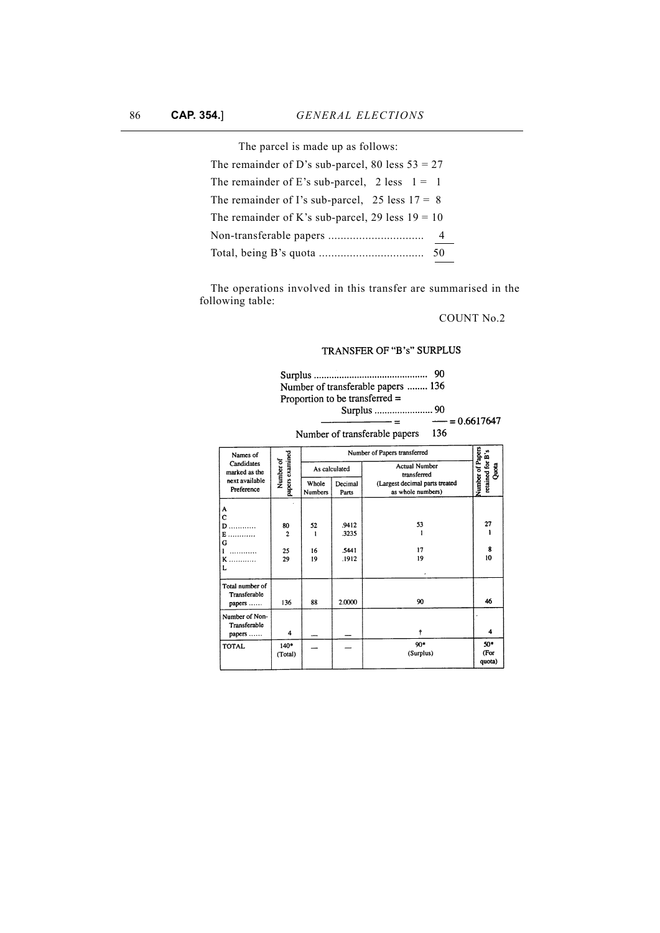| The parcel is made up as follows:                        |
|----------------------------------------------------------|
| The remainder of D's sub-parcel, 80 less $53 = 27$       |
| The remainder of E's sub-parcel, $2 \text{ less } 1 = 1$ |
| The remainder of I's sub-parcel, $25$ less $17 = 8$      |
| The remainder of K's sub-parcel, 29 less $19 = 10$       |
|                                                          |
|                                                          |

The operations involved in this transfer are summarised in the following table:

# COUNT No.2

# TRANSFER OF "B's" SURPLUS

|                                 |                              |               |         | 90                                            |                                               |
|---------------------------------|------------------------------|---------------|---------|-----------------------------------------------|-----------------------------------------------|
|                                 |                              |               |         | Number of transferable papers  136            |                                               |
|                                 |                              |               |         | Proportion to be transferred $=$              |                                               |
|                                 |                              |               |         | Surplus  90                                   |                                               |
|                                 |                              |               |         | $\frac{1}{1}$ = 0.6617647                     |                                               |
|                                 |                              |               |         | Number of transferable papers 136             |                                               |
|                                 |                              |               |         |                                               |                                               |
| Names of                        |                              |               |         | Number of Papers transferred                  |                                               |
| Candidates<br>marked as the     | papers examined<br>Number of | As calculated |         | <b>Actual Number</b>                          | Number of Papers<br>retained for B's<br>Quota |
| next available                  |                              | Whole         | Decimal | transferred<br>(Largest decimal parts treated |                                               |
| Preference                      |                              | Numbers       | Parts   | as whole numbers)                             |                                               |
|                                 |                              |               |         |                                               |                                               |
| A<br>Ċ                          |                              |               |         |                                               |                                               |
| $\mathbf{D}$                    | 80                           | 52            | .9412   | 53                                            | 27                                            |
| E.<br>.                         | $\overline{2}$               | ı             | .3235   | ı                                             | 1                                             |
| G                               |                              | 16            | 5441    | 17                                            | 8                                             |
| .<br>Ŧ<br>ĸ<br>.                | 25<br>29                     | 19            | .1912   | 19                                            | 10                                            |
| L                               |                              |               |         |                                               |                                               |
|                                 |                              |               |         |                                               |                                               |
| Total number of<br>Transferable |                              |               |         |                                               |                                               |
| papers                          | 136                          | 88            | 2.0000  | 90                                            | 46                                            |
| Number of Non-                  |                              |               |         |                                               |                                               |
| Transferable                    |                              |               |         |                                               |                                               |
| papers                          | 4                            |               |         | ŧ                                             | 4                                             |
| <b>TOTAL</b>                    | $140*$                       |               |         | 90*                                           | 50*                                           |
|                                 | (Total)                      |               |         | (Surplus)                                     | (For                                          |
|                                 |                              |               |         |                                               | quota)                                        |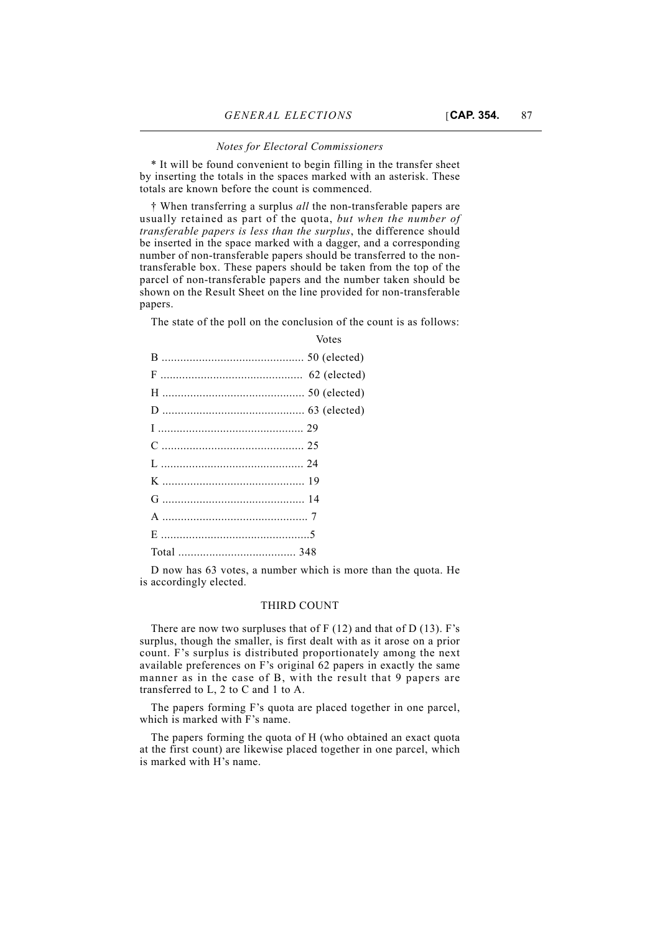#### *Notes for Electoral Commissioners*

\* It will be found convenient to begin filling in the transfer sheet by inserting the totals in the spaces marked with an asterisk. These totals are known before the count is commenced.

† When transferring a surplus *all* the non-transferable papers are usually retained as part of the quota, *but when the number of transferable papers is less than the surplus*, the difference should be inserted in the space marked with a dagger, and a corresponding number of non-transferable papers should be transferred to the nontransferable box. These papers should be taken from the top of the parcel of non-transferable papers and the number taken should be shown on the Result Sheet on the line provided for non-transferable papers.

The state of the poll on the conclusion of the count is as follows:

Votes

D now has 63 votes, a number which is more than the quota. He is accordingly elected.

## THIRD COUNT

There are now two surpluses that of F (12) and that of D (13). F's surplus, though the smaller, is first dealt with as it arose on a prior count. F's surplus is distributed proportionately among the next available preferences on F's original 62 papers in exactly the same manner as in the case of B, with the result that 9 papers are transferred to L, 2 to C and 1 to A.

The papers forming F's quota are placed together in one parcel, which is marked with F's name.

The papers forming the quota of H (who obtained an exact quota at the first count) are likewise placed together in one parcel, which is marked with H's name.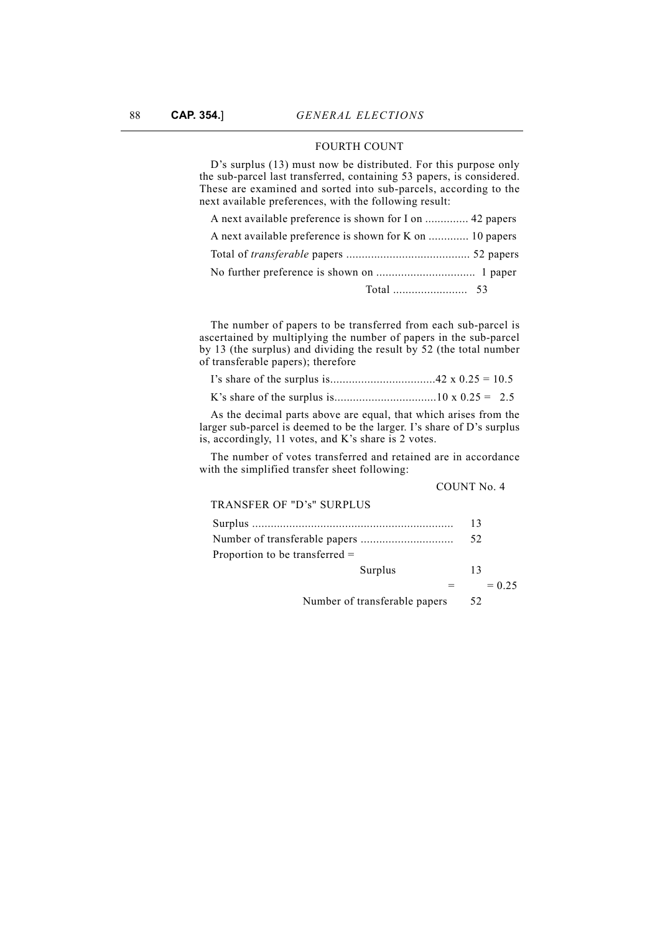# FOURTH COUNT

D's surplus (13) must now be distributed. For this purpose only the sub-parcel last transferred, containing 53 papers, is considered. These are examined and sorted into sub-parcels, according to the next available preferences, with the following result:

| A next available preference is shown for K on  10 papers |  |
|----------------------------------------------------------|--|
|                                                          |  |

The number of papers to be transferred from each sub-parcel is ascertained by multiplying the number of papers in the sub-parcel by 13 (the surplus) and dividing the result by 52 (the total number of transferable papers); therefore

As the decimal parts above are equal, that which arises from the larger sub-parcel is deemed to be the larger. I's share of D's surplus is, accordingly, 11 votes, and K's share is 2 votes.

The number of votes transferred and retained are in accordance with the simplified transfer sheet following:

| COUNT No. 4 |  |  |
|-------------|--|--|
|-------------|--|--|

| TRANSFER OF "D's" SURPLUS        |         |    |          |
|----------------------------------|---------|----|----------|
|                                  |         | 13 |          |
|                                  |         | 52 |          |
| Proportion to be transferred $=$ |         |    |          |
|                                  | Surplus | 13 |          |
|                                  |         |    | $= 0.25$ |
|                                  |         |    |          |

Number of transferable papers 52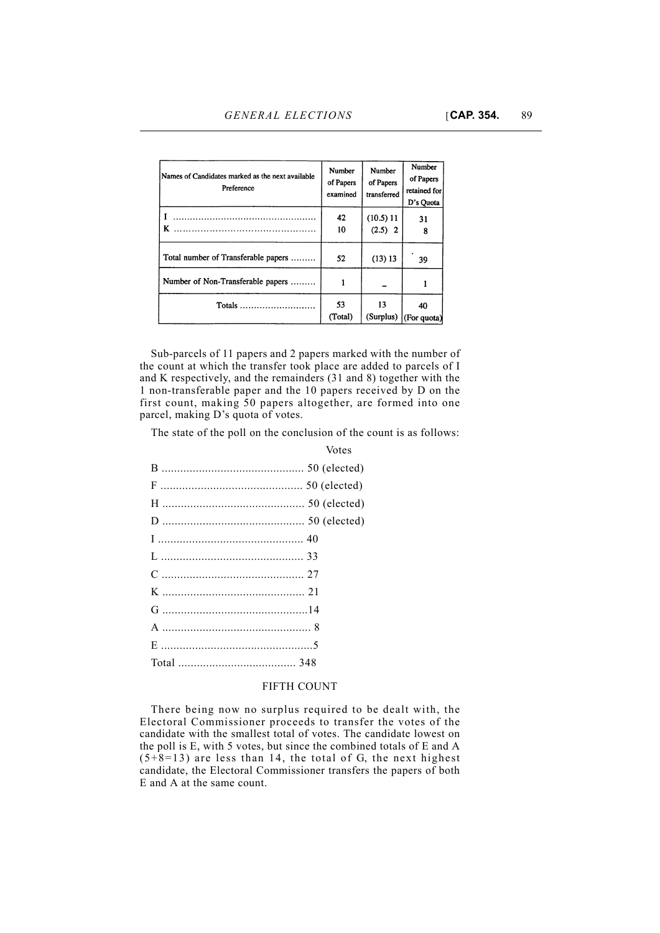| Names of Candidates marked as the next available<br>Preference | Number<br>of Papers<br>examined | Number<br>of Papers<br>transferred | Number<br>of Papers<br>retained for<br>D's Quota |
|----------------------------------------------------------------|---------------------------------|------------------------------------|--------------------------------------------------|
| K                                                              | 42<br>10                        | (10.5) 11<br>$(2.5)$ 2             | 31<br>8                                          |
| Total number of Transferable papers                            | 52                              | (13) 13                            | 39                                               |
| Number of Non-Transferable papers                              |                                 |                                    |                                                  |
| Totals                                                         | 53<br>(Total)                   | 13<br>(Surplus)                    | 40<br>$ $ (For quota)                            |

Sub-parcels of 11 papers and 2 papers marked with the number of the count at which the transfer took place are added to parcels of I and K respectively, and the remainders (31 and 8) together with the 1 non-transferable paper and the 10 papers received by D on the first count, making 50 papers altogether, are formed into one parcel, making D's quota of votes.

The state of the poll on the conclusion of the count is as follows:

Votes

# FIFTH COUNT

There being now no surplus required to be dealt with, the Electoral Commissioner proceeds to transfer the votes of the candidate with the smallest total of votes. The candidate lowest on the poll is E, with 5 votes, but since the combined totals of E and A  $(5+8=13)$  are less than 14, the total of G, the next highest candidate, the Electoral Commissioner transfers the papers of both E and A at the same count.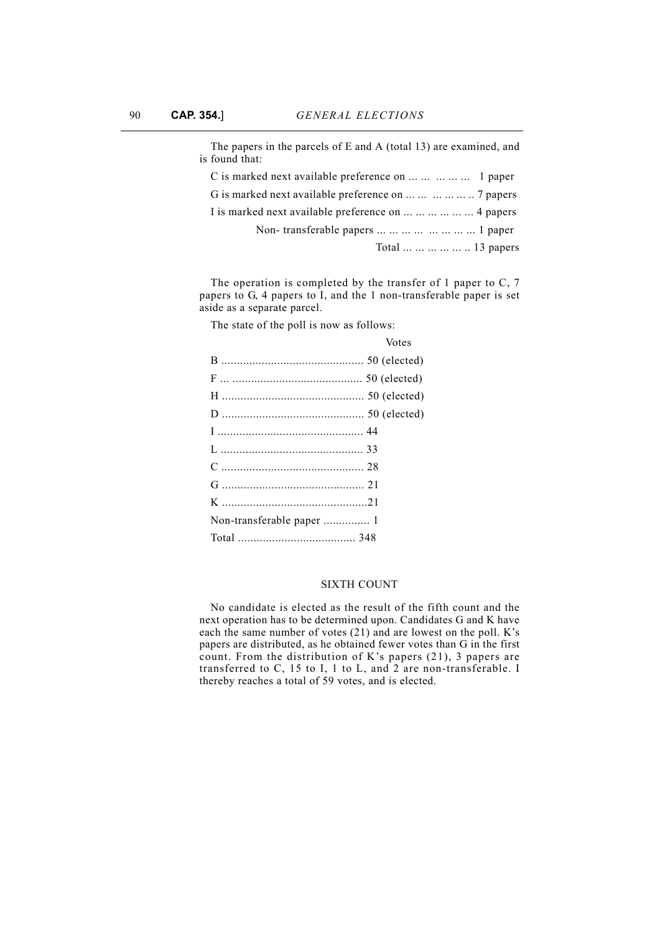| The papers in the parcels of E and A (total 13) are examined, and<br>is found that: |
|-------------------------------------------------------------------------------------|
| C is marked next available preference on      1 paper                               |
| G is marked next available preference on       7 papers                             |
| I is marked next available preference on       4 papers                             |
| Non-transferable papers         1 paper                                             |
| Total      13 papers                                                                |

The operation is completed by the transfer of 1 paper to C, 7 papers to G, 4 papers to I, and the 1 non-transferable paper is set aside as a separate parcel.

The state of the poll is now as follows:

| Votes |
|-------|
|       |
|       |
|       |
|       |
|       |
|       |
|       |
|       |
|       |
|       |
|       |

#### SIXTH COUNT

No candidate is elected as the result of the fifth count and the next operation has to be determined upon. Candidates G and K have each the same number of votes (21) and are lowest on the poll. K's papers are distributed, as he obtained fewer votes than G in the first count. From the distribution of K's papers (21), 3 papers are transferred to C, 15 to I, 1 to L, and 2 are non-transferable. I thereby reaches a total of 59 votes, and is elected.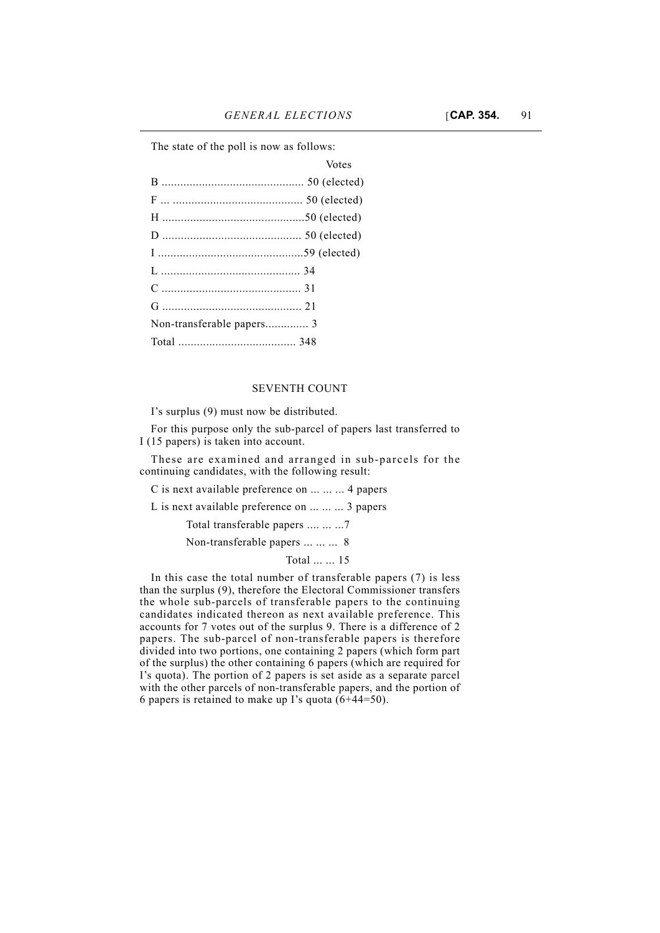The state of the poll is now as follows:

| Votes |
|-------|
|       |
|       |
|       |
|       |
|       |
|       |
|       |
|       |
|       |
|       |
|       |

### SEVENTH COUNT

I's surplus (9) must now be distributed.

For this purpose only the sub-parcel of papers last transferred to I (15 papers) is taken into account.

These are examined and arranged in sub-parcels for the continuing candidates, with the following result:

C is next available preference on ... ... ... 4 papers

L is next available preference on ... ... ... 3 papers

Total transferable papers .... ... ...7

Non-transferable papers ... ... ... 8

Total ... ... 15

In this case the total number of transferable papers (7) is less than the surplus (9), therefore the Electoral Commissioner transfers the whole sub-parcels of transferable papers to the continuing candidates indicated thereon as next available preference. This accounts for 7 votes out of the surplus 9. There is a difference of 2 papers. The sub-parcel of non-transferable papers is therefore divided into two portions, one containing 2 papers (which form part of the surplus) the other containing 6 papers (which are required for I's quota). The portion of 2 papers is set aside as a separate parcel with the other parcels of non-transferable papers, and the portion of 6 papers is retained to make up I's quota  $(6+44=50)$ .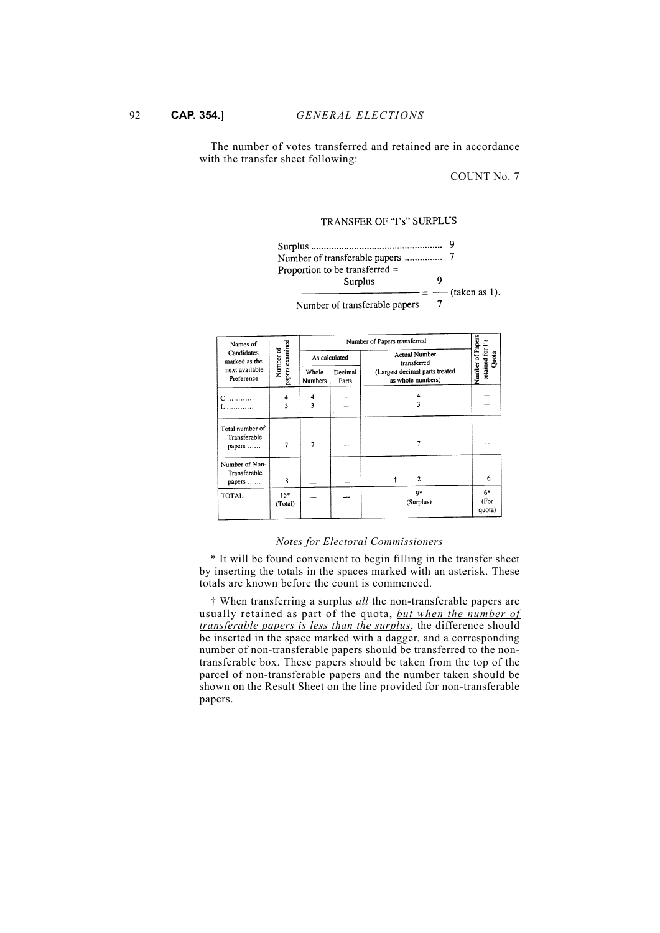The number of votes transferred and retained are in accordance with the transfer sheet following:

COUNT No. 7

# TRANSFER OF "I's" SURPLUS



| Names of                                                                                       |                  | Number of Papers transferred                        |                  |                                     |                        |  |  |  |
|------------------------------------------------------------------------------------------------|------------------|-----------------------------------------------------|------------------|-------------------------------------|------------------------|--|--|--|
| Candidates<br>marked as the                                                                    | Number of        |                                                     | As calculated    | <b>Actual Number</b><br>transferred | retained for<br>Quota  |  |  |  |
| papers examined<br>next available<br>Whole<br>Decimal<br>Preference<br><b>Numbers</b><br>Parts |                  | (Largest decimal parts treated<br>as whole numbers) | Number of Papers |                                     |                        |  |  |  |
| C<br>.                                                                                         | 4                | 4                                                   |                  |                                     |                        |  |  |  |
| .                                                                                              | 3                | 3                                                   |                  | ٦                                   |                        |  |  |  |
| Total number of<br>Transferable<br>papers                                                      | 7                | 7                                                   |                  | 7                                   |                        |  |  |  |
| Number of Non-<br>Transferable<br>papers                                                       | 8                |                                                     |                  | $\overline{2}$                      | 6                      |  |  |  |
| TOTAL                                                                                          | $15*$<br>(Total) |                                                     |                  | $9*$<br>(Surplus)                   | $6*$<br>(For<br>quota) |  |  |  |

#### *Notes for Electoral Commissioners*

\* It will be found convenient to begin filling in the transfer sheet by inserting the totals in the spaces marked with an asterisk. These totals are known before the count is commenced.

† When transferring a surplus *all* the non-transferable papers are usually retained as part of the quota, *but when the number of transferable papers is less than the surplus*, the difference should be inserted in the space marked with a dagger, and a corresponding number of non-transferable papers should be transferred to the nontransferable box. These papers should be taken from the top of the parcel of non-transferable papers and the number taken should be shown on the Result Sheet on the line provided for non-transferable papers.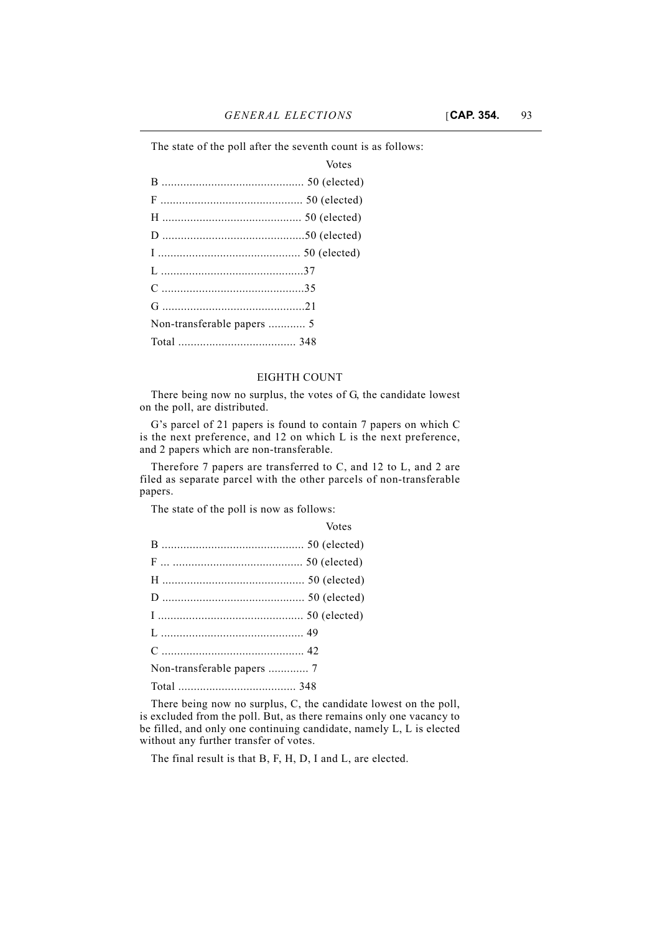The state of the poll after the seventh count is as follows:

| Votes |
|-------|
|       |
|       |
|       |
|       |
|       |
|       |
|       |
|       |
|       |
|       |

## EIGHTH COUNT

There being now no surplus, the votes of G, the candidate lowest on the poll, are distributed.

G's parcel of 21 papers is found to contain 7 papers on which C is the next preference, and 12 on which L is the next preference, and 2 papers which are non-transferable.

Therefore 7 papers are transferred to C, and 12 to L, and 2 are filed as separate parcel with the other parcels of non-transferable papers.

The state of the poll is now as follows:

| Votes |
|-------|
|       |
|       |
|       |
|       |
|       |
|       |
|       |
|       |
|       |

There being now no surplus, C, the candidate lowest on the poll, is excluded from the poll. But, as there remains only one vacancy to be filled, and only one continuing candidate, namely L, L is elected without any further transfer of votes.

The final result is that B, F, H, D, I and L, are elected.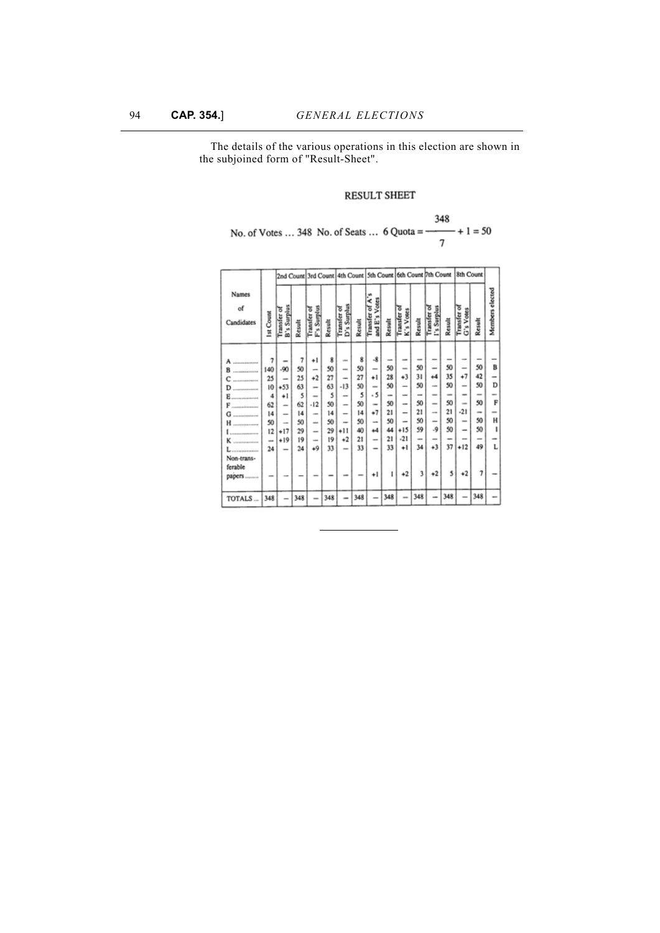The details of the various operations in this election are shown in the subjoined form of "Result-Sheet".

# RESULT SHEET

|  | 348                                                    |
|--|--------------------------------------------------------|
|  | No. of Votes  348 No. of Seats  6 Quota = $-$ + 1 = 50 |
|  |                                                        |

|                           |           |                                | 2nd Count 3rd Count 4th Count 5th Count 6th Count 7th Count |                          |        |                          |        |                                    |        |                                      | 8th Count                |                              |            |                                               |        |                 |
|---------------------------|-----------|--------------------------------|-------------------------------------------------------------|--------------------------|--------|--------------------------|--------|------------------------------------|--------|--------------------------------------|--------------------------|------------------------------|------------|-----------------------------------------------|--------|-----------------|
| Names<br>of<br>Candidates | Ist Count | B's Surplus<br><b>Transfer</b> | Result                                                      | Surplus<br>Transfer<br>ĉ | Result | D's Surplus<br>Transfer  | Result | Votes<br>ă<br>Transfer<br>£'s<br>š | Result | ठ<br>Votes<br><b>Transfer</b><br>K's | Result                   | I's Surplus<br>ठ<br>Transfer | Result     | ढ<br>Votes<br>Transfer<br>$\ddot{\textbf{c}}$ | Result | Members elected |
|                           |           |                                |                                                             |                          |        |                          |        |                                    |        |                                      |                          |                              |            |                                               |        |                 |
| -------------             |           |                                | 7                                                           | ٠ı                       | 8      | $\sim$                   | 8      | -8                                 |        |                                      |                          |                              |            |                                               |        |                 |
|                           | 140       | -90                            | 50                                                          | -                        | 50     | $\overline{\phantom{a}}$ | 50     | -                                  | 50     | $\overline{\phantom{a}}$             | 50                       | -                            | 50         |                                               | 50     | в               |
| --------------            | 25        | $\overline{\phantom{a}}$       | 25                                                          | $+2$                     | 27     | $\overline{\phantom{a}}$ | 27     | ٠ı                                 | 28     | 43                                   | 31                       | $\ddot{\phantom{1}}$         | 35         | $^{+7}$                                       | 42     |                 |
| D                         | 10        | $+53$                          | 63                                                          | $\overline{\phantom{a}}$ | 63     | -13                      | 50     | -                                  | 50     | -                                    | 50                       | on.                          | 50         | -                                             | 50     | D               |
| Ë                         | 4         | ٠ı                             | 5                                                           | $\overline{\phantom{a}}$ | 5      | -                        | 5      | - 5                                | -      | -                                    | -                        | $\equiv$                     | <b>MAY</b> | $\equiv$                                      | -      |                 |
| --------------            | 62        | -                              | 62                                                          | $-12$                    | 50     | -                        | 50     | $\sim$                             | 50     | -                                    | 50                       | -                            | 50         | $\sim$                                        | 50     | F               |
| -------------             | 14        | -                              | 14                                                          | $\equiv$                 | 14     | -                        | 14     | +7                                 | 21     | -                                    | 21                       | $\cdots$                     | 21         | $-21$                                         | $\sim$ |                 |
| -------------             | 50        | ۰                              | 50                                                          | $\overline{\phantom{a}}$ | 50     | -                        | 50     | -                                  | 50     | -                                    | 50                       | -                            | 50         | $\equiv$                                      | 50     | н               |
| ------------              | 12        | +17                            | 29                                                          | -                        | 29     | +11                      | 40     | 44                                 | 44     | +15                                  | 59                       | -9                           | 50         | -                                             | 50     | ı               |
| --------------            | $\sim$    | $+19$                          | 19                                                          | $\overline{\phantom{a}}$ | 19     | $^{+2}$                  | 21     | -                                  | 21     | $-21$                                | $\overline{\phantom{a}}$ | -                            |            |                                               |        |                 |
|                           | 24        | $\overline{\phantom{a}}$       | 24                                                          | $+9$                     | 33     | -                        | 33     |                                    | 33     | ٠ı                                   | 34                       | +3                           | 37         | $+12$                                         | 49     |                 |
| Non-trans-                |           |                                |                                                             |                          |        |                          |        |                                    |        |                                      |                          |                              |            |                                               |        |                 |
| ferable                   |           |                                |                                                             |                          |        |                          |        |                                    |        |                                      |                          |                              |            |                                               |        |                 |
| papers                    |           |                                |                                                             |                          |        |                          |        | ÷١                                 | 1      | $+2$                                 | 3                        | $+2$                         | 5          | 42                                            | 7      |                 |
|                           |           |                                |                                                             |                          |        |                          |        |                                    |        |                                      |                          |                              |            |                                               |        |                 |
| TOTALS                    | 348       |                                | 348                                                         |                          | 348    |                          | 348    |                                    | 348    | -                                    | 348                      |                              | 348        |                                               | 348    |                 |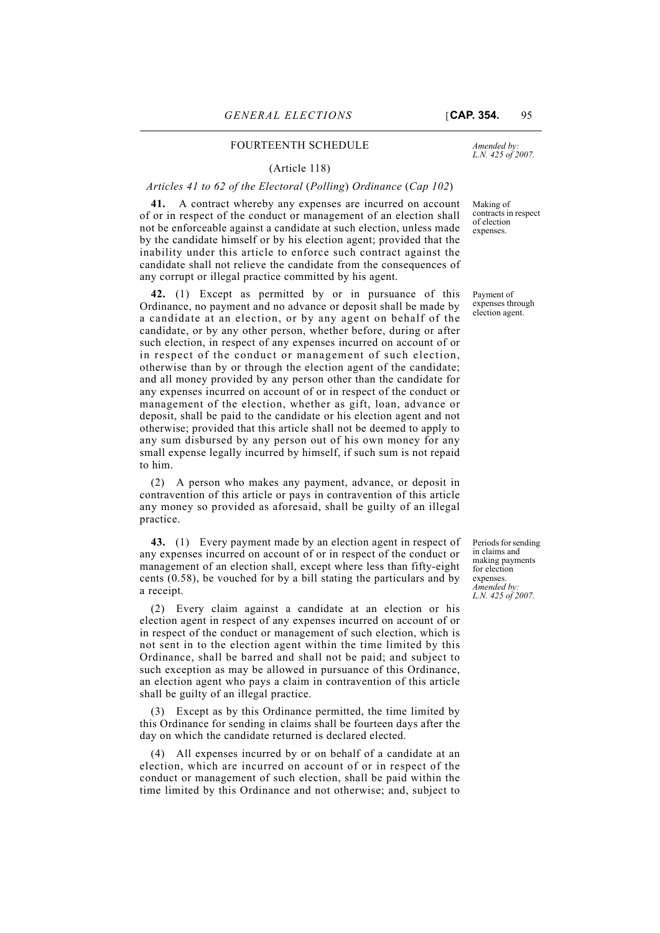### FOURTEENTH SCHEDULE

#### (Article 118)

### *Articles 41 to 62 of the Electoral* (*Polling*) *Ordinance* (*Cap 102*)

**41.** A contract whereby any expenses are incurred on account of or in respect of the conduct or management of an election shall not be enforceable against a candidate at such election, unless made by the candidate himself or by his election agent; provided that the inability under this article to enforce such contract against the candidate shall not relieve the candidate from the consequences of any corrupt or illegal practice committed by his agent.

**42.** (1) Except as permitted by or in pursuance of this Ordinance, no payment and no advance or deposit shall be made by a candidate at an election, or by any agent on behalf of the candidate, or by any other person, whether before, during or after such election, in respect of any expenses incurred on account of or in respect of the conduct or management of such election, otherwise than by or through the election agent of the candidate; and all money provided by any person other than the candidate for any expenses incurred on account of or in respect of the conduct or management of the election, whether as gift, loan, advance or deposit, shall be paid to the candidate or his election agent and not otherwise; provided that this article shall not be deemed to apply to any sum disbursed by any person out of his own money for any small expense legally incurred by himself, if such sum is not repaid to him.

(2) A person who makes any payment, advance, or deposit in contravention of this article or pays in contravention of this article any money so provided as aforesaid, shall be guilty of an illegal practice.

**43.** (1) Every payment made by an election agent in respect of any expenses incurred on account of or in respect of the conduct or management of an election shall, except where less than fifty-eight cents (0.58), be vouched for by a bill stating the particulars and by a receipt.

(2) Every claim against a candidate at an election or his election agent in respect of any expenses incurred on account of or in respect of the conduct or management of such election, which is not sent in to the election agent within the time limited by this Ordinance, shall be barred and shall not be paid; and subject to such exception as may be allowed in pursuance of this Ordinance, an election agent who pays a claim in contravention of this article shall be guilty of an illegal practice.

(3) Except as by this Ordinance permitted, the time limited by this Ordinance for sending in claims shall be fourteen days after the day on which the candidate returned is declared elected.

(4) All expenses incurred by or on behalf of a candidate at an election, which are incurred on account of or in respect of the conduct or management of such election, shall be paid within the time limited by this Ordinance and not otherwise; and, subject to

*L.N. 425 of 2007.*

Making of contracts in respect of election expenses.

Payment of expenses through election agent.

Periods for sending in claims and making payments for election expenses. *Amended by: L.N. 425 of 2007.*

*Amended by:*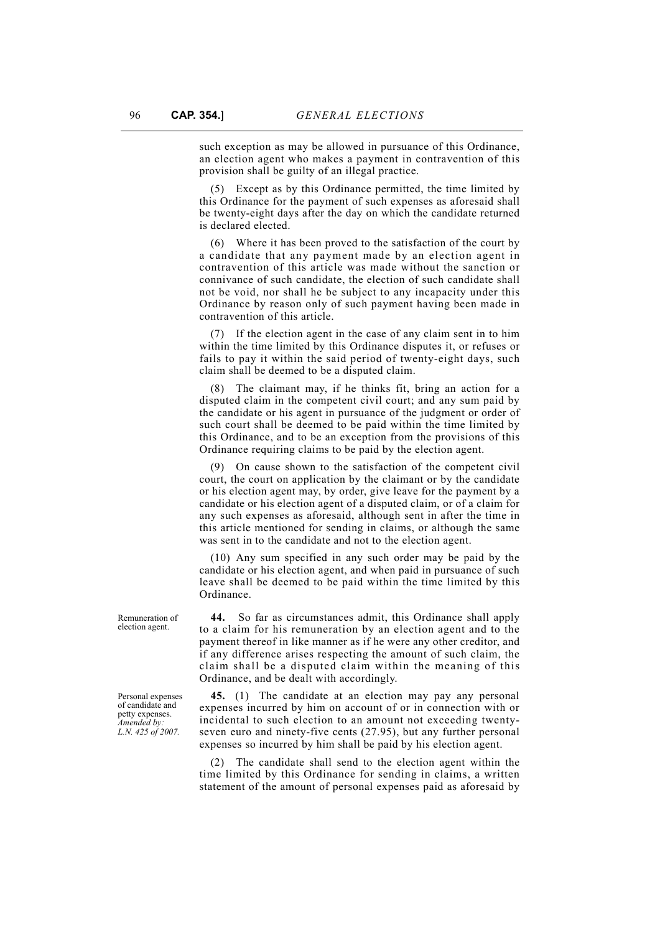such exception as may be allowed in pursuance of this Ordinance, an election agent who makes a payment in contravention of this provision shall be guilty of an illegal practice.

(5) Except as by this Ordinance permitted, the time limited by this Ordinance for the payment of such expenses as aforesaid shall be twenty-eight days after the day on which the candidate returned is declared elected.

(6) Where it has been proved to the satisfaction of the court by a candidate that any payment made by an election agent in contravention of this article was made without the sanction or connivance of such candidate, the election of such candidate shall not be void, nor shall he be subject to any incapacity under this Ordinance by reason only of such payment having been made in contravention of this article.

(7) If the election agent in the case of any claim sent in to him within the time limited by this Ordinance disputes it, or refuses or fails to pay it within the said period of twenty-eight days, such claim shall be deemed to be a disputed claim.

(8) The claimant may, if he thinks fit, bring an action for a disputed claim in the competent civil court; and any sum paid by the candidate or his agent in pursuance of the judgment or order of such court shall be deemed to be paid within the time limited by this Ordinance, and to be an exception from the provisions of this Ordinance requiring claims to be paid by the election agent.

(9) On cause shown to the satisfaction of the competent civil court, the court on application by the claimant or by the candidate or his election agent may, by order, give leave for the payment by a candidate or his election agent of a disputed claim, or of a claim for any such expenses as aforesaid, although sent in after the time in this article mentioned for sending in claims, or although the same was sent in to the candidate and not to the election agent.

(10) Any sum specified in any such order may be paid by the candidate or his election agent, and when paid in pursuance of such leave shall be deemed to be paid within the time limited by this Ordinance.

**44.** So far as circumstances admit, this Ordinance shall apply to a claim for his remuneration by an election agent and to the payment thereof in like manner as if he were any other creditor, and if any difference arises respecting the amount of such claim, the claim shall be a disputed claim within the meaning of this Ordinance, and be dealt with accordingly.

**45.** (1) The candidate at an election may pay any personal expenses incurred by him on account of or in connection with or incidental to such election to an amount not exceeding twentyseven euro and ninety-five cents (27.95), but any further personal expenses so incurred by him shall be paid by his election agent.

(2) The candidate shall send to the election agent within the time limited by this Ordinance for sending in claims, a written statement of the amount of personal expenses paid as aforesaid by

Remuneration of election agent.

Personal expenses of candidate and petty expenses. *Amended by: L.N. 425 of 2007.*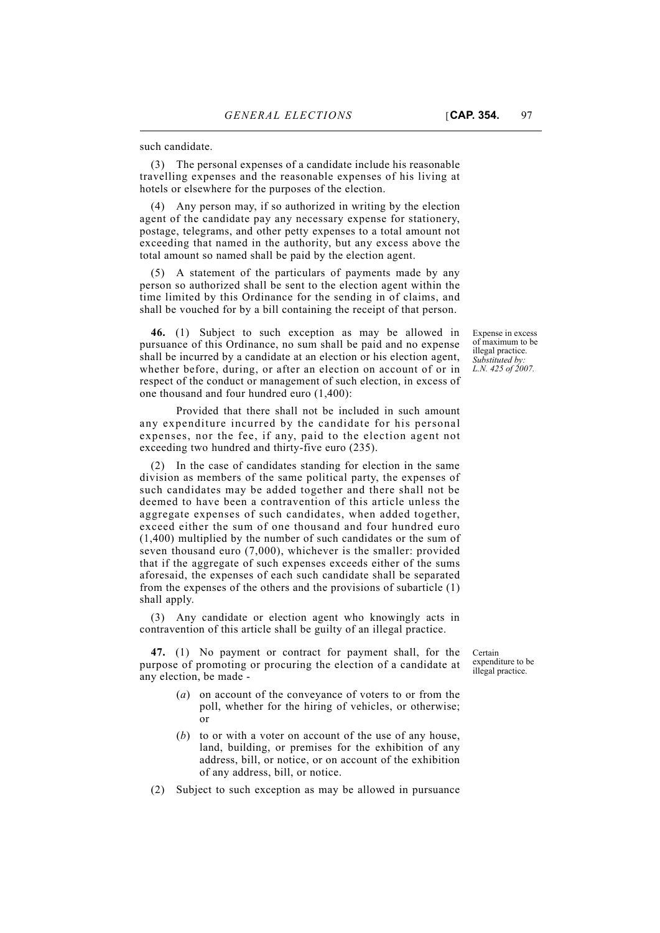such candidate.

(3) The personal expenses of a candidate include his reasonable travelling expenses and the reasonable expenses of his living at hotels or elsewhere for the purposes of the election.

(4) Any person may, if so authorized in writing by the election agent of the candidate pay any necessary expense for stationery, postage, telegrams, and other petty expenses to a total amount not exceeding that named in the authority, but any excess above the total amount so named shall be paid by the election agent.

(5) A statement of the particulars of payments made by any person so authorized shall be sent to the election agent within the time limited by this Ordinance for the sending in of claims, and shall be vouched for by a bill containing the receipt of that person.

**46.** (1) Subject to such exception as may be allowed in pursuance of this Ordinance, no sum shall be paid and no expense shall be incurred by a candidate at an election or his election agent, whether before, during, or after an election on account of or in respect of the conduct or management of such election, in excess of one thousand and four hundred euro (1,400):

Provided that there shall not be included in such amount any expenditure incurred by the candidate for his personal expenses, nor the fee, if any, paid to the election agent not exceeding two hundred and thirty-five euro (235).

(2) In the case of candidates standing for election in the same division as members of the same political party, the expenses of such candidates may be added together and there shall not be deemed to have been a contravention of this article unless the aggregate expenses of such candidates, when added together, exceed either the sum of one thousand and four hundred euro (1,400) multiplied by the number of such candidates or the sum of seven thousand euro (7,000), whichever is the smaller: provided that if the aggregate of such expenses exceeds either of the sums aforesaid, the expenses of each such candidate shall be separated from the expenses of the others and the provisions of subarticle (1) shall apply.

(3) Any candidate or election agent who knowingly acts in contravention of this article shall be guilty of an illegal practice.

**47.** (1) No payment or contract for payment shall, for the purpose of promoting or procuring the election of a candidate at any election, be made -

- (*a*) on account of the conveyance of voters to or from the poll, whether for the hiring of vehicles, or otherwise; or
- (*b*) to or with a voter on account of the use of any house, land, building, or premises for the exhibition of any address, bill, or notice, or on account of the exhibition of any address, bill, or notice.
- (2) Subject to such exception as may be allowed in pursuance

illegal practice. *Substituted by: L.N. 425 of 2007.*

Expense in excess of maximum to be

Certain expenditure to be illegal practice.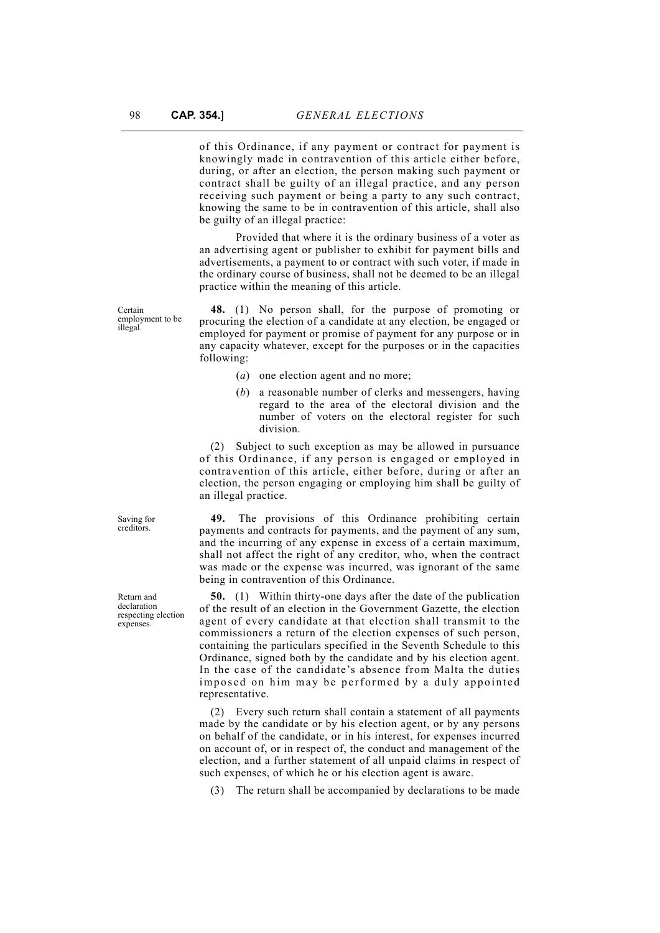of this Ordinance, if any payment or contract for payment is knowingly made in contravention of this article either before, during, or after an election, the person making such payment or contract shall be guilty of an illegal practice, and any person receiving such payment or being a party to any such contract, knowing the same to be in contravention of this article, shall also be guilty of an illegal practice:

Provided that where it is the ordinary business of a voter as an advertising agent or publisher to exhibit for payment bills and advertisements, a payment to or contract with such voter, if made in the ordinary course of business, shall not be deemed to be an illegal practice within the meaning of this article.

Certain employment to be illegal.

**48.** (1) No person shall, for the purpose of promoting or procuring the election of a candidate at any election, be engaged or employed for payment or promise of payment for any purpose or in any capacity whatever, except for the purposes or in the capacities following:

- (*a*) one election agent and no more;
- (*b*) a reasonable number of clerks and messengers, having regard to the area of the electoral division and the number of voters on the electoral register for such division.

(2) Subject to such exception as may be allowed in pursuance of this Ordinance, if any person is engaged or employed in contravention of this article, either before, during or after an election, the person engaging or employing him shall be guilty of an illegal practice.

**49.** The provisions of this Ordinance prohibiting certain payments and contracts for payments, and the payment of any sum, and the incurring of any expense in excess of a certain maximum, shall not affect the right of any creditor, who, when the contract was made or the expense was incurred, was ignorant of the same being in contravention of this Ordinance.

**50.** (1) Within thirty-one days after the date of the publication of the result of an election in the Government Gazette, the election agent of every candidate at that election shall transmit to the commissioners a return of the election expenses of such person, containing the particulars specified in the Seventh Schedule to this Ordinance, signed both by the candidate and by his election agent. In the case of the candidate's absence from Malta the duties imposed on him may be performed by a duly appointed representative.

(2) Every such return shall contain a statement of all payments made by the candidate or by his election agent, or by any persons on behalf of the candidate, or in his interest, for expenses incurred on account of, or in respect of, the conduct and management of the election, and a further statement of all unpaid claims in respect of such expenses, of which he or his election agent is aware.

(3) The return shall be accompanied by declarations to be made

Saving for creditors.

Return and declaration respecting election expenses.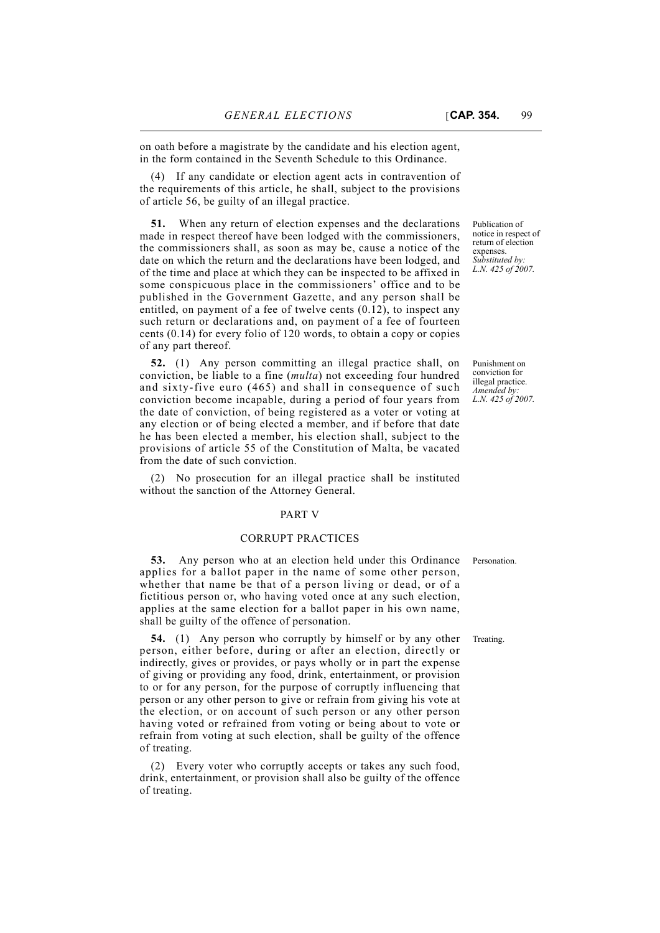on oath before a magistrate by the candidate and his election agent, in the form contained in the Seventh Schedule to this Ordinance.

(4) If any candidate or election agent acts in contravention of the requirements of this article, he shall, subject to the provisions of article 56, be guilty of an illegal practice.

**51.** When any return of election expenses and the declarations made in respect thereof have been lodged with the commissioners, the commissioners shall, as soon as may be, cause a notice of the date on which the return and the declarations have been lodged, and of the time and place at which they can be inspected to be affixed in some conspicuous place in the commissioners' office and to be published in the Government Gazette, and any person shall be entitled, on payment of a fee of twelve cents (0.12), to inspect any such return or declarations and, on payment of a fee of fourteen cents (0.14) for every folio of 120 words, to obtain a copy or copies of any part thereof.

**52.** (1) Any person committing an illegal practice shall, on conviction, be liable to a fine (*multa*) not exceeding four hundred and sixty-five euro (465) and shall in consequence of such conviction become incapable, during a period of four years from the date of conviction, of being registered as a voter or voting at any election or of being elected a member, and if before that date he has been elected a member, his election shall, subject to the provisions of article 55 of the Constitution of Malta, be vacated from the date of such conviction.

(2) No prosecution for an illegal practice shall be instituted without the sanction of the Attorney General.

## PART V

## CORRUPT PRACTICES

**53.** Any person who at an election held under this Ordinance Personation. applies for a ballot paper in the name of some other person, whether that name be that of a person living or dead, or of a fictitious person or, who having voted once at any such election, applies at the same election for a ballot paper in his own name, shall be guilty of the offence of personation.

**54.** (1) Any person who corruptly by himself or by any other Treating. person, either before, during or after an election, directly or indirectly, gives or provides, or pays wholly or in part the expense of giving or providing any food, drink, entertainment, or provision to or for any person, for the purpose of corruptly influencing that person or any other person to give or refrain from giving his vote at the election, or on account of such person or any other person having voted or refrained from voting or being about to vote or refrain from voting at such election, shall be guilty of the offence of treating.

(2) Every voter who corruptly accepts or takes any such food, drink, entertainment, or provision shall also be guilty of the offence of treating.

Publication of notice in respect of return of election expenses. *Substituted by: L.N. 425 of 2007.*

Punishment on conviction for illegal practice. *Amended by: L.N. 425 of 2007.*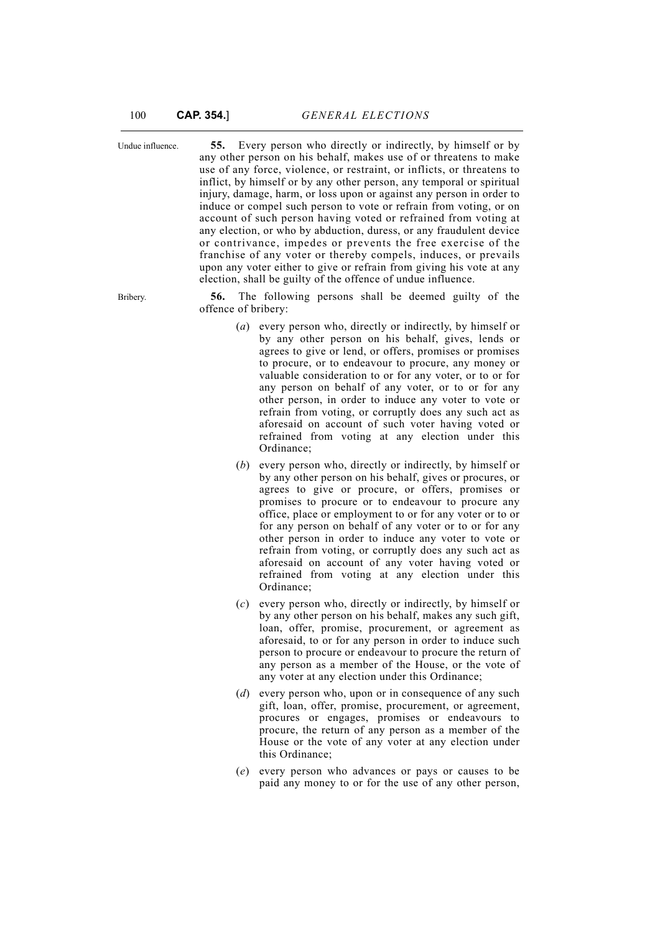Undue influence. **55.** Every person who directly or indirectly, by himself or by any other person on his behalf, makes use of or threatens to make use of any force, violence, or restraint, or inflicts, or threatens to inflict, by himself or by any other person, any temporal or spiritual injury, damage, harm, or loss upon or against any person in order to induce or compel such person to vote or refrain from voting, or on account of such person having voted or refrained from voting at any election, or who by abduction, duress, or any fraudulent device or contrivance, impedes or prevents the free exercise of the franchise of any voter or thereby compels, induces, or prevails upon any voter either to give or refrain from giving his vote at any election, shall be guilty of the offence of undue influence.

Bribery. **56.** The following persons shall be deemed guilty of the offence of bribery:

- (*a*) every person who, directly or indirectly, by himself or by any other person on his behalf, gives, lends or agrees to give or lend, or offers, promises or promises to procure, or to endeavour to procure, any money or valuable consideration to or for any voter, or to or for any person on behalf of any voter, or to or for any other person, in order to induce any voter to vote or refrain from voting, or corruptly does any such act as aforesaid on account of such voter having voted or refrained from voting at any election under this Ordinance;
- (*b*) every person who, directly or indirectly, by himself or by any other person on his behalf, gives or procures, or agrees to give or procure, or offers, promises or promises to procure or to endeavour to procure any office, place or employment to or for any voter or to or for any person on behalf of any voter or to or for any other person in order to induce any voter to vote or refrain from voting, or corruptly does any such act as aforesaid on account of any voter having voted or refrained from voting at any election under this Ordinance;
- (*c*) every person who, directly or indirectly, by himself or by any other person on his behalf, makes any such gift, loan, offer, promise, procurement, or agreement as aforesaid, to or for any person in order to induce such person to procure or endeavour to procure the return of any person as a member of the House, or the vote of any voter at any election under this Ordinance;
- (*d*) every person who, upon or in consequence of any such gift, loan, offer, promise, procurement, or agreement, procures or engages, promises or endeavours to procure, the return of any person as a member of the House or the vote of any voter at any election under this Ordinance;
- (*e*) every person who advances or pays or causes to be paid any money to or for the use of any other person,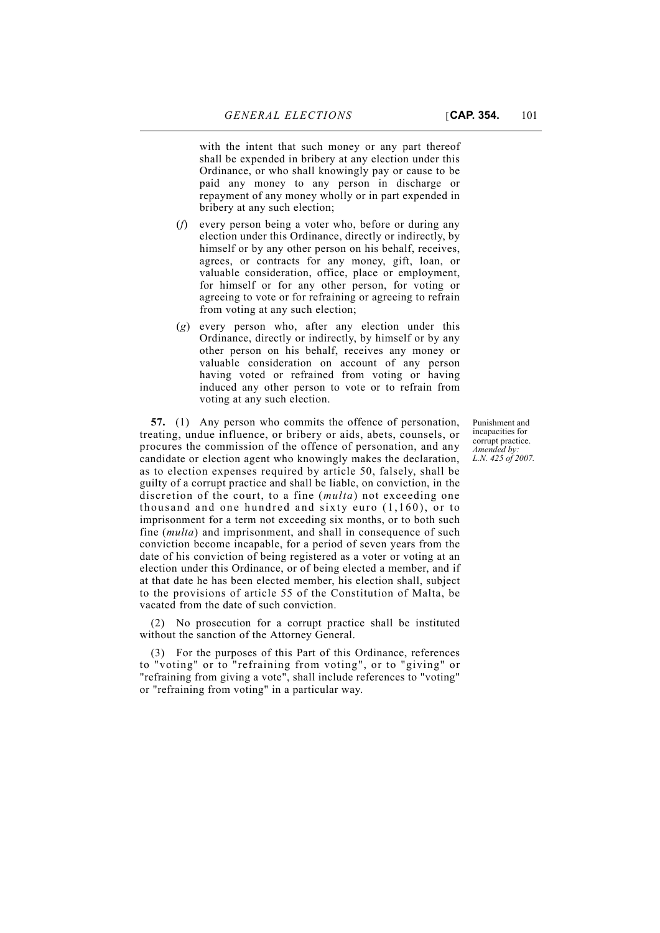with the intent that such money or any part thereof shall be expended in bribery at any election under this Ordinance, or who shall knowingly pay or cause to be paid any money to any person in discharge or repayment of any money wholly or in part expended in bribery at any such election;

- (*f*) every person being a voter who, before or during any election under this Ordinance, directly or indirectly, by himself or by any other person on his behalf, receives, agrees, or contracts for any money, gift, loan, or valuable consideration, office, place or employment, for himself or for any other person, for voting or agreeing to vote or for refraining or agreeing to refrain from voting at any such election;
- (*g*) every person who, after any election under this Ordinance, directly or indirectly, by himself or by any other person on his behalf, receives any money or valuable consideration on account of any person having voted or refrained from voting or having induced any other person to vote or to refrain from voting at any such election.

**57.** (1) Any person who commits the offence of personation, treating, undue influence, or bribery or aids, abets, counsels, or procures the commission of the offence of personation, and any candidate or election agent who knowingly makes the declaration, as to election expenses required by article 50, falsely, shall be guilty of a corrupt practice and shall be liable, on conviction, in the discretion of the court, to a fine (*multa*) not exceeding one thousand and one hundred and sixty euro (1,160), or to imprisonment for a term not exceeding six months, or to both such fine (*multa*) and imprisonment, and shall in consequence of such conviction become incapable, for a period of seven years from the date of his conviction of being registered as a voter or voting at an election under this Ordinance, or of being elected a member, and if at that date he has been elected member, his election shall, subject to the provisions of article 55 of the Constitution of Malta, be vacated from the date of such conviction.

(2) No prosecution for a corrupt practice shall be instituted without the sanction of the Attorney General.

(3) For the purposes of this Part of this Ordinance, references to "voting" or to "refraining from voting", or to "giving" or "refraining from giving a vote", shall include references to "voting" or "refraining from voting" in a particular way.

Punishment and incapacities for corrupt practice. *Amended by: L.N. 425 of 2007.*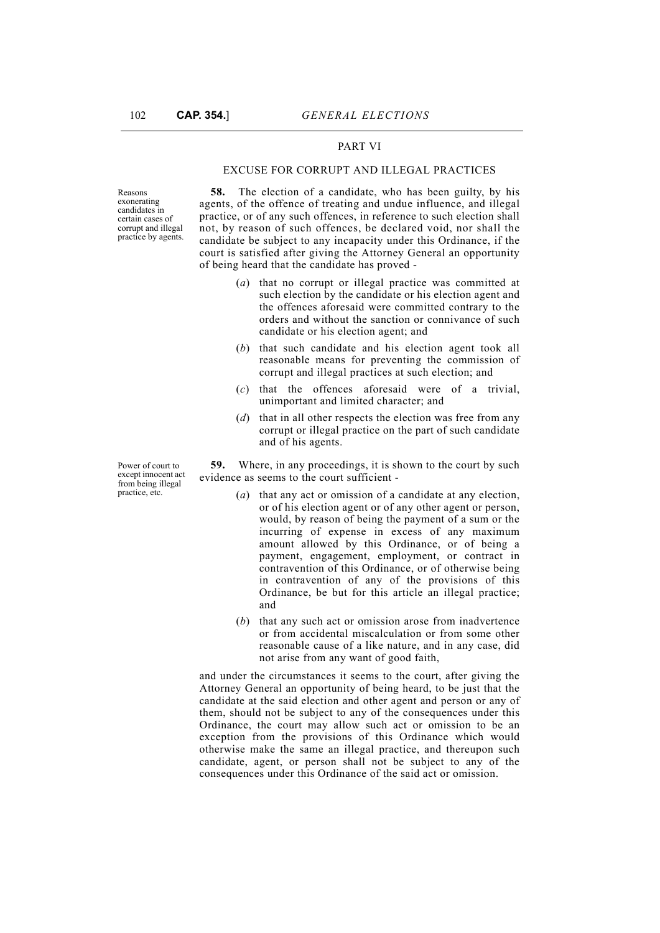## PART VI

## EXCUSE FOR CORRUPT AND ILLEGAL PRACTICES

Reasons exonerating candidates in certain cases of corrupt and illegal practice by agents.

**58.** The election of a candidate, who has been guilty, by his agents, of the offence of treating and undue influence, and illegal practice, or of any such offences, in reference to such election shall not, by reason of such offences, be declared void, nor shall the candidate be subject to any incapacity under this Ordinance, if the court is satisfied after giving the Attorney General an opportunity of being heard that the candidate has proved -

- (*a*) that no corrupt or illegal practice was committed at such election by the candidate or his election agent and the offences aforesaid were committed contrary to the orders and without the sanction or connivance of such candidate or his election agent; and
- (*b*) that such candidate and his election agent took all reasonable means for preventing the commission of corrupt and illegal practices at such election; and
- (*c*) that the offences aforesaid were of a trivial, unimportant and limited character; and
- (*d*) that in all other respects the election was free from any corrupt or illegal practice on the part of such candidate and of his agents.

**59.** Where, in any proceedings, it is shown to the court by such evidence as seems to the court sufficient -

- (*a*) that any act or omission of a candidate at any election, or of his election agent or of any other agent or person, would, by reason of being the payment of a sum or the incurring of expense in excess of any maximum amount allowed by this Ordinance, or of being a payment, engagement, employment, or contract in contravention of this Ordinance, or of otherwise being in contravention of any of the provisions of this Ordinance, be but for this article an illegal practice; and
- (*b*) that any such act or omission arose from inadvertence or from accidental miscalculation or from some other reasonable cause of a like nature, and in any case, did not arise from any want of good faith,

and under the circumstances it seems to the court, after giving the Attorney General an opportunity of being heard, to be just that the candidate at the said election and other agent and person or any of them, should not be subject to any of the consequences under this Ordinance, the court may allow such act or omission to be an exception from the provisions of this Ordinance which would otherwise make the same an illegal practice, and thereupon such candidate, agent, or person shall not be subject to any of the consequences under this Ordinance of the said act or omission.

Power of court to except innocent act from being illegal practice, etc.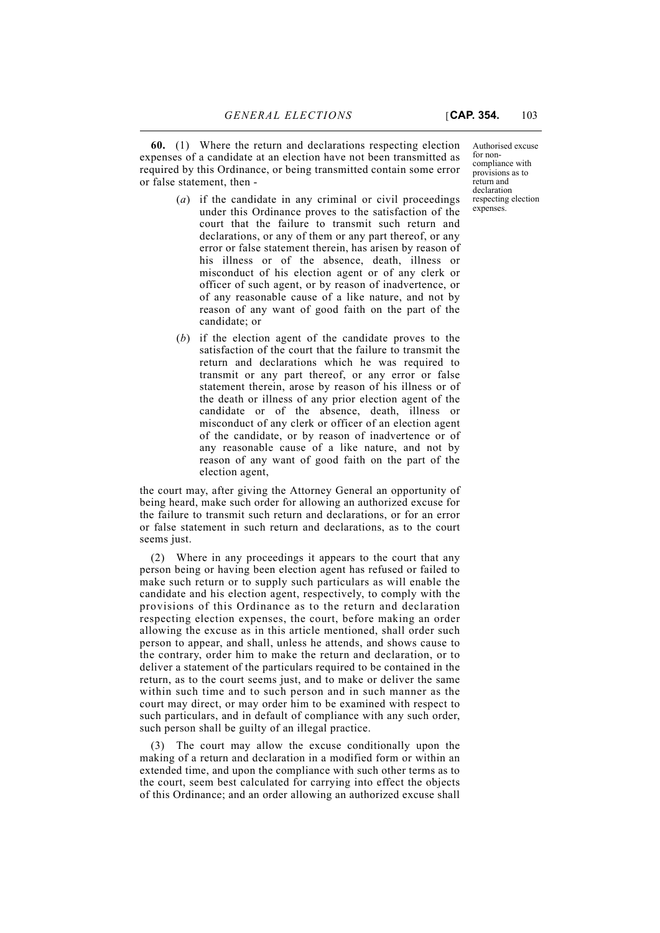**60.** (1) Where the return and declarations respecting election expenses of a candidate at an election have not been transmitted as required by this Ordinance, or being transmitted contain some error or false statement, then -

- (*a*) if the candidate in any criminal or civil proceedings under this Ordinance proves to the satisfaction of the court that the failure to transmit such return and declarations, or any of them or any part thereof, or any error or false statement therein, has arisen by reason of his illness or of the absence, death, illness or misconduct of his election agent or of any clerk or officer of such agent, or by reason of inadvertence, or of any reasonable cause of a like nature, and not by reason of any want of good faith on the part of the candidate; or
- (*b*) if the election agent of the candidate proves to the satisfaction of the court that the failure to transmit the return and declarations which he was required to transmit or any part thereof, or any error or false statement therein, arose by reason of his illness or of the death or illness of any prior election agent of the candidate or of the absence, death, illness or misconduct of any clerk or officer of an election agent of the candidate, or by reason of inadvertence or of any reasonable cause of a like nature, and not by reason of any want of good faith on the part of the election agent,

the court may, after giving the Attorney General an opportunity of being heard, make such order for allowing an authorized excuse for the failure to transmit such return and declarations, or for an error or false statement in such return and declarations, as to the court seems just.

(2) Where in any proceedings it appears to the court that any person being or having been election agent has refused or failed to make such return or to supply such particulars as will enable the candidate and his election agent, respectively, to comply with the provisions of this Ordinance as to the return and declaration respecting election expenses, the court, before making an order allowing the excuse as in this article mentioned, shall order such person to appear, and shall, unless he attends, and shows cause to the contrary, order him to make the return and declaration, or to deliver a statement of the particulars required to be contained in the return, as to the court seems just, and to make or deliver the same within such time and to such person and in such manner as the court may direct, or may order him to be examined with respect to such particulars, and in default of compliance with any such order, such person shall be guilty of an illegal practice.

(3) The court may allow the excuse conditionally upon the making of a return and declaration in a modified form or within an extended time, and upon the compliance with such other terms as to the court, seem best calculated for carrying into effect the objects of this Ordinance; and an order allowing an authorized excuse shall

Authorised excuse for noncompliance with provisions as to return and declaration respecting election expenses.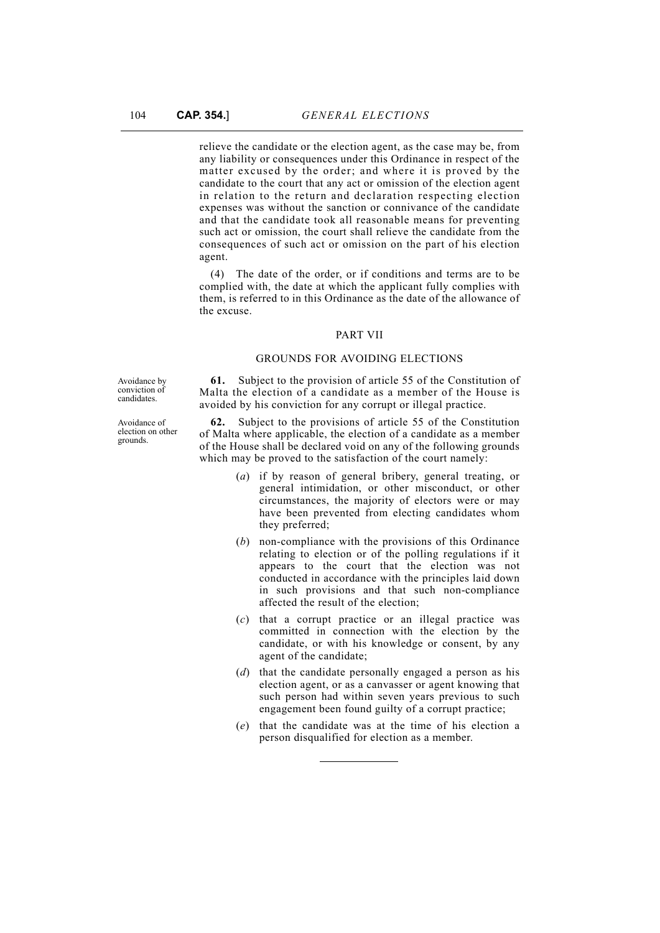relieve the candidate or the election agent, as the case may be, from any liability or consequences under this Ordinance in respect of the matter excused by the order; and where it is proved by the candidate to the court that any act or omission of the election agent in relation to the return and declaration respecting election expenses was without the sanction or connivance of the candidate and that the candidate took all reasonable means for preventing such act or omission, the court shall relieve the candidate from the consequences of such act or omission on the part of his election agent.

(4) The date of the order, or if conditions and terms are to be complied with, the date at which the applicant fully complies with them, is referred to in this Ordinance as the date of the allowance of the excuse.

#### PART VII

## GROUNDS FOR AVOIDING ELECTIONS

Avoidance by conviction of candidates.

Avoidance of election on other grounds.

**61.** Subject to the provision of article 55 of the Constitution of Malta the election of a candidate as a member of the House is avoided by his conviction for any corrupt or illegal practice.

**62.** Subject to the provisions of article 55 of the Constitution of Malta where applicable, the election of a candidate as a member of the House shall be declared void on any of the following grounds which may be proved to the satisfaction of the court namely:

- (*a*) if by reason of general bribery, general treating, or general intimidation, or other misconduct, or other circumstances, the majority of electors were or may have been prevented from electing candidates whom they preferred;
- (*b*) non-compliance with the provisions of this Ordinance relating to election or of the polling regulations if it appears to the court that the election was not conducted in accordance with the principles laid down in such provisions and that such non-compliance affected the result of the election;
- (*c*) that a corrupt practice or an illegal practice was committed in connection with the election by the candidate, or with his knowledge or consent, by any agent of the candidate;
- (*d*) that the candidate personally engaged a person as his election agent, or as a canvasser or agent knowing that such person had within seven years previous to such engagement been found guilty of a corrupt practice;
- (*e*) that the candidate was at the time of his election a person disqualified for election as a member.